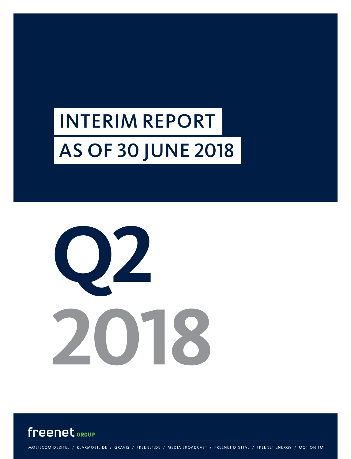# INTERIM REPORT AS OF 30 JUNE 2018





MOBILCOM-DEBITEL / KLARMOBIL.DE / GRAVIS / FREENET.DE / MEDIA BROADCAST / FREENET DIGITAL / FREENET ENERGY / MOTION TM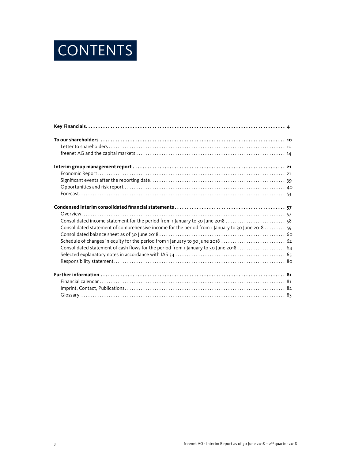# CONTENTS

| Consolidated income statement for the period from 1 January to 30 June 2018  58<br>Consolidated statement of comprehensive income for the period from 1 January to 30 June 2018 59<br>Schedule of changes in equity for the period from 1 January to 30 June 2018  62<br>Consolidated statement of cash flows for the period from 1 January to 30 June 2018  64 |  |
|-----------------------------------------------------------------------------------------------------------------------------------------------------------------------------------------------------------------------------------------------------------------------------------------------------------------------------------------------------------------|--|
|                                                                                                                                                                                                                                                                                                                                                                 |  |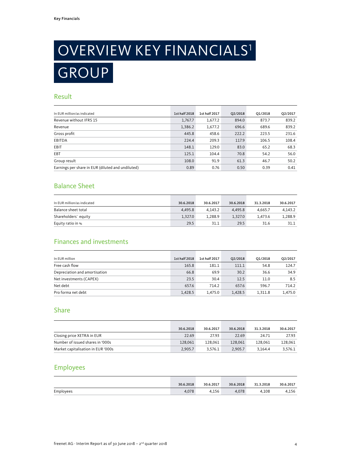# GROUP OVERVIEW KEY FINANCIALS1

#### Result

| In FUR million/as indicated                       | 1st half 2018 | 1st half 2017 | O2/2018 | O1/2018 | Q2/2017 |
|---------------------------------------------------|---------------|---------------|---------|---------|---------|
| Revenue without IFRS 15                           | 1,767.7       | 1,677.2       | 894.0   | 873.7   | 839.2   |
| Revenue                                           | 1,386.2       | 1,677.2       | 696.6   | 689.6   | 839.2   |
| Gross profit                                      | 445.8         | 458.6         | 222.2   | 223.5   | 231.6   |
| <b>EBITDA</b>                                     | 224.4         | 209.3         | 117.9   | 106.5   | 108.4   |
| EBIT                                              | 148.1         | 129.0         | 83.0    | 65.2    | 68.3    |
| EBT                                               | 125.1         | 104.4         | 70.8    | 54.2    | 56.0    |
| Group result                                      | 108.0         | 91.9          | 61.3    | 46.7    | 50.2    |
| Earnings per share in EUR (diluted and undiluted) | 0.89          | 0.76          | 0.50    | 0.39    | 0.41    |

#### Balance Sheet

| In EUR million/as indicated | 30.6.2018 | 30.6.2017 | 30.6.2018 | 31.3.2018 | 30.6.2017 |
|-----------------------------|-----------|-----------|-----------|-----------|-----------|
| Balance sheet total         | 4.495.8   | 4.143.2   | 4.495.8   | 4.665.7   | 4.143.2   |
| Shareholders' equity        | 1.327.0   | 1.288.9   | 1.327.0   | 1.473.6   | 1,288.9   |
| Equity ratio in %           | 29.5      | 31.1      | 29.5      | 31.6      | 31.1      |

#### Finances and investments

| In EUR million                | 1st half 2018 | 1st half 2017 | O2/2018 | 01/2018 | Q2/2017 |
|-------------------------------|---------------|---------------|---------|---------|---------|
| Free cash flow                | 165.8         | 181.1         | 111.1   | 54.8    | 124.7   |
| Depreciation and amortisation | 66.8          | 69.9          | 30.2    | 36.6    | 34.9    |
| Net investments (CAPEX)       | 23.5          | 30.4          | 12.5    | 11.0    | 8.5     |
| Net debt                      | 657.6         | 714.2         | 657.6   | 596.7   | 714.2   |
| Pro forma net debt            | 1,428.5       | 1.475.0       | 1,428.5 | 1.311.8 | 1.475.0 |

#### Share

|                                    | 30.6.2018 | 30.6.2017 | 30.6.2018 | 31.3.2018 | 30.6.2017 |
|------------------------------------|-----------|-----------|-----------|-----------|-----------|
| Closing price XETRA in EUR         | 22.69     | 27.93     | 22.69     | 24.71     | 27.93     |
| Number of issued shares in '000s   | 128,061   | 128,061   | 128,061   | 128.061   | 128.061   |
| Market capitalisation in EUR '000s | 2.905.7   | 3.576.1   | 2.905.7   | 3.164.4   | 3.576.1   |

#### Employees

|           | 30.6.2018 | 30.6.2017 | 30.6.2018  | .3.2018<br>21 | 30.6.2017 |
|-----------|-----------|-----------|------------|---------------|-----------|
| Employees | 070       | +.156     | <b>078</b> | .108          | .156      |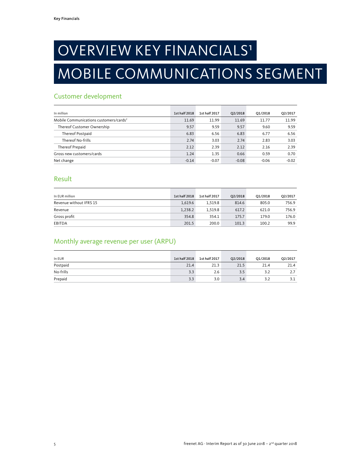# OVERVIEW KEY FINANCIALS<sup>1</sup> MOBILE COMMUNICATIONS SEGMENT

#### Customer development

| In million                                         | 1st half 2018 | 1st half 2017 | Q2/2018 | 01/2018 | Q2/2017 |
|----------------------------------------------------|---------------|---------------|---------|---------|---------|
| Mobile Communications customers/cards <sup>2</sup> | 11.69         | 11.99         | 11.69   | 11.77   | 11.99   |
| Thereof Customer Ownership                         | 9.57          | 9.59          | 9.57    | 9.60    | 9.59    |
| Thereof Postpaid                                   | 6.83          | 6.56          | 6.83    | 6.77    | 6.56    |
| Thereof No-frills                                  | 2.74          | 3.03          | 2.74    | 2.83    | 3.03    |
| <b>Thereof Prepaid</b>                             | 2.12          | 2.39          | 2.12    | 2.16    | 2.39    |
| Gross new customers/cards                          | 1.24          | 1.35          | 0.66    | 0.59    | 0.70    |
| Net change                                         | $-0.14$       | $-0.07$       | $-0.08$ | $-0.06$ | $-0.02$ |

#### Result

| In EUR million          | 1st half 2018 | 1st half 2017 | O2/2018 | O1/2018 | Q2/2017 |
|-------------------------|---------------|---------------|---------|---------|---------|
| Revenue without IFRS 15 | 1.619.6       | 1.519.8       | 814.6   | 805.0   | 756.9   |
| Revenue                 | 1.238.2       | 1.519.8       | 617.2   | 621.0   | 756.9   |
| Gross profit            | 354.8         | 354.1         | 175.7   | 179.0   | 176.0   |
| EBITDA                  | 201.5         | 200.0         | 101.3   | 100.2   | 99.9    |

#### Monthly average revenue per user (ARPU)

| In EUR    | 1st half 2018 | 1st half 2017 | Q2/2018 | Q1/2018 | Q2/2017 |
|-----------|---------------|---------------|---------|---------|---------|
| Postpaid  | 21.4          | 21.3          | 21.5    | 21.4    | 21.4    |
| No-frills | 3.3           | 2.6           | 3.5     | 3.2     | 2.7     |
| Prepaid   | 3.3           | 3.0           | 3.4     | 3.2     | 3.1     |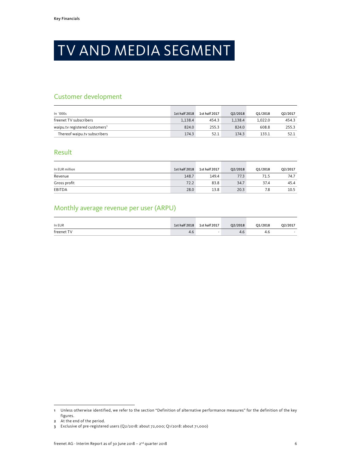# TV AND MEDIA SEGMENT

#### Customer development

| In '000s                                   | 1st half 2018 | 1st half 2017 | O2/2018 | 01/2018 | Q2/2017 |
|--------------------------------------------|---------------|---------------|---------|---------|---------|
| freenet TV subscribers                     | 1.138.4       | 454.3         | 1.138.4 | 1.022.0 | 454.3   |
| waipu.tv registered customers <sup>3</sup> | 824.0         | 255.3         | 824.0   | 608.8   | 255.3   |
| Thereof waipu.tv subscribers               | 174.3         | 52.1          | 174.3   | 133.1   | 52.1    |

#### Result

| In EUR million | 1st half 2018 | 1st half 2017 | Q2/2018 | Q1/2018 | Q2/2017 |
|----------------|---------------|---------------|---------|---------|---------|
| Revenue        | 148.7         | 149.4         | 77.3    | 71.5    | 74.7    |
| Gross profit   | 72.2          | 83.8          | 34.7    | 37.4    | 45.4    |
| <b>EBITDA</b>  | 28.0          | 13.8          | 20.3    | 7.8     | 10.5    |

#### Monthly average revenue per user (ARPU)

| In EUR     | 1st half 2018 | 1st half 2017 | Q2/2018 | O1/2018 | Q2/2017                  |
|------------|---------------|---------------|---------|---------|--------------------------|
| freenet TV | 4.6           | $\sim$        | 4.C     | 4.6     | $\overline{\phantom{0}}$ |

<sup>1</sup> Unless otherwise identified, we refer to the section "Definition of alternative performance measures" for the definition of the key figures.

<sup>2</sup> At the end of the period.

<sup>3</sup> Exclusive of pre-registered users (Q2/2018: about 72,000; Q1/2018: about 71,000)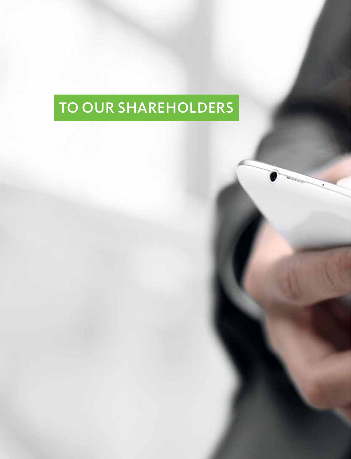# TO OUR SHAREHOLDERS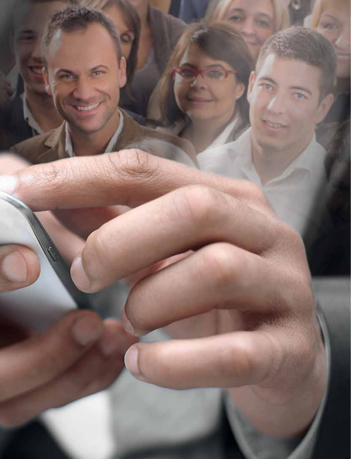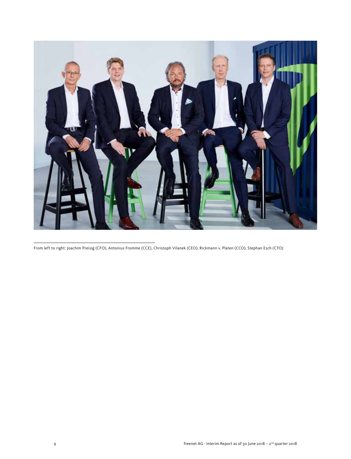

From left to right: Joachim Preisig (CFO), Antonius Fromme (CCE), Christoph Vilanek (CEO), Rickmann v. Platen (CCO), Stephan Esch (CTO)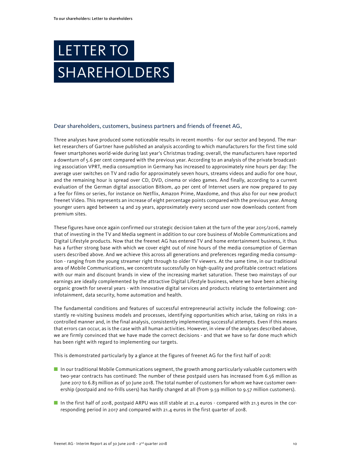

#### Dear shareholders, customers, business partners and friends of freenet AG,

Three analyses have produced some noticeable results in recent months - for our sector and beyond. The market researchers of Gartner have published an analysis according to which manufacturers for the first time sold fewer smartphones world-wide during last year's Christmas trading; overall, the manufacturers have reported a downturn of 5.6 per cent compared with the previous year. According to an analysis of the private broadcasting association VPRT, media consumption in Germany has increased to approximately nine hours per day: The average user switches on TV and radio for approximately seven hours, streams videos and audio for one hour, and the remaining hour is spread over CD, DVD, cinema or video games. And finally, according to a current evaluation of the German digital association Bitkom, 40 per cent of Internet users are now prepared to pay a fee for films or series, for instance on Netflix, Amazon Prime, Maxdome, and thus also for our new product freenet Video. This represents an increase of eight percentage points compared with the previous year. Among younger users aged between 14 and 29 years, approximately every second user now downloads content from premium sites.

These figures have once again confirmed our strategic decision taken at the turn of the year 2015/2016, namely that of investing in the TV and Media segment in addition to our core business of Mobile Communications and Digital Lifestyle products. Now that the freenet AG has entered TV and home entertainment business, it thus has a further strong base with which we cover eight out of nine hours of the media consumption of German users described above. And we achieve this across all generations and preferences regarding media consumption - ranging from the young streamer right through to older TV viewers. At the same time, in our traditional area of Mobile Communications, we concentrate successfully on high-quality and profitable contract relations with our main and discount brands in view of the increasing market saturation. These two mainstays of our earnings are ideally complemented by the attractive Digital Lifestyle business, where we have been achieving organic growth for several years - with innovative digital services and products relating to entertainment and infotainment, data security, home automation and health.

The fundamental conditions and features of successful entrepreneurial activity include the following: constantly re-visiting business models and processes, identifying opportunities which arise, taking on risks in a controlled manner and, in the final analysis, consistently implementing successful attempts. Even if this means that errors can occur, as is the case with all human activities. However, in view of the analyses described above, we are firmly convinced that we have made the correct decisions - and that we have so far done much which has been right with regard to implementing our targets.

This is demonstrated particularly by a glance at the figures of freenet AG for the first half of 2018:

- In our traditional Mobile Communications segment, the growth among particularly valuable customers with two-year contracts has continued: The number of these postpaid users has increased from 6.56 million as June 2017 to 6.83 million as of 30 June 2018. The total number of customers for whom we have customer ownership (postpaid and no-frills users) has hardly changed at all (from 9.59 million to 9.57 million customers).
- In the first half of 2018, postpaid ARPU was still stable at 21.4 euros compared with 21.3 euros in the corresponding period in 2017 and compared with 21.4 euros in the first quarter of 2018.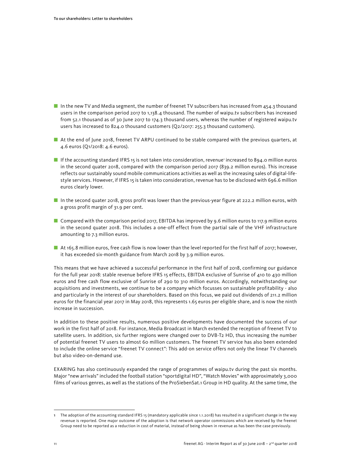- In the new TV and Media segment, the number of freenet TV subscribers has increased from 454.3 thousand users in the comparison period 2017 to 1,138.4 thousand. The number of waipu.tv subscribers has increased from 52.1 thousand as of 30 June 2017 to 174.3 thousand users, whereas the number of registered waipu.tv users has increased to 824.0 thousand customers (Q2/2017: 255.3 thousand customers).
- At the end of June 2018, freenet TV ARPU continued to be stable compared with the previous quarters, at 4.6 euros (Q1/2018: 4.6 euros).
- If the accounting standard IFRS 15 is not taken into consideration, revenue' increased to 894.0 million euros in the second quater 2018, compared with the comparison period 2017 (839.2 million euros). This increase reflects our sustainably sound mobile communications activities as well as the increasing sales of digital-lifestyle services. However, if IFRS 15 is taken into consideration, revenue has to be disclosed with 696.6 million euros clearly lower.
- In the second quater 2018, gross profit was lower than the previous-year figure at 222.2 million euros, with a gross profit margin of 31.9 per cent.
- Compared with the comparison period 2017, EBITDA has improved by 9.6 million euros to 117.9 million euros in the second quater 2018. This includes a one-off effect from the partial sale of the VHF infrastructure amounting to 7.3 million euros.
- At 165.8 million euros, free cash flow is now lower than the level reported for the first half of 2017; however, it has exceeded six-month guidance from March 2018 by 3.9 million euros.

This means that we have achieved a successful performance in the first half of 2018, confirming our guidance for the full year 2018: stable revenue before IFRS 15 effects, EBITDA exclusive of Sunrise of 410 to 430 million euros and free cash flow exclusive of Sunrise of 290 to 310 million euros. Accordingly, notwithstanding our acquisitions and investments, we continue to be a company which focusses on sustainable profitability - also and particularly in the interest of our shareholders. Based on this focus, we paid out dividends of 211.2 million euros for the financial year 2017 in May 2018, this represents 1.65 euros per eligible share, and is now the ninth increase in succession.

In addition to these positive results, numerous positive developments have documented the success of our work in the first half of 2018. For instance, Media Broadcast in March extended the reception of freenet TV to satellite users. In addition, six further regions were changed over to DVB-T2 HD, thus increasing the number of potential freenet TV users to almost 60 million customers. The freenet TV service has also been extended to include the online service "freenet TV connect": This add-on service offers not only the linear TV channels but also video-on-demand use.

EXARING has also continuously expanded the range of programmes of waipu.tv during the past six months. Major "new arrivals" included the football station "sportdigital HD", "Watch Movies" with approximately 3,000 films of various genres, as well as the stations of the ProSiebenSat.1 Group in HD quality. At the same time, the

<sup>1</sup> The adoption of the accounting standard IFRS 15 (mandatory applicable since 1.1.2018) has resulted in a significant change in the way revenue is reported. One major outcome of the adoption is that network operator commissions which are received by the freenet Group need to be reported as a reduction in cost of material, instead of being shown in revenue as has been the case previously.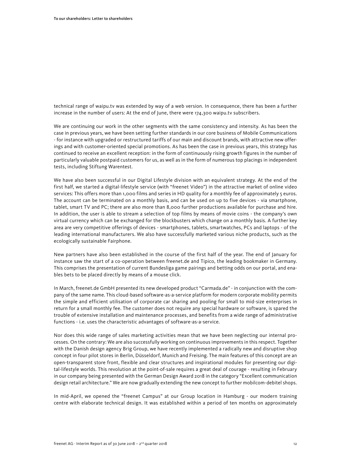technical range of waipu.tv was extended by way of a web version. In consequence, there has been a further increase in the number of users: At the end of June, there were 174,300 waipu.tv subscribers.

We are continuing our work in the other segments with the same consistency and intensity. As has been the case in previous years, we have been setting further standards in our core business of Mobile Communications - for instance with upgraded or restructured tariffs of our main and discount brands, with attractive new offerings and with customer-oriented special promotions. As has been the case in previous years, this strategy has continued to receive an excellent reception: in the form of continuously rising growth figures in the number of particularly valuable postpaid customers for us, as well as in the form of numerous top placings in independent tests, including Stiftung Warentest.

We have also been successful in our Digital Lifestyle division with an equivalent strategy. At the end of the first half, we started a digital-lifestyle service (with "freenet Video") in the attractive market of online video services: This offers more than 1,000 films and series in HD quality for a monthly fee of approximately 5 euros. The account can be terminated on a monthly basis, and can be used on up to five devices - via smartphone, tablet, smart TV and PC; there are also more than 8,000 further productions available for purchase and hire. In addition, the user is able to stream a selection of top films by means of movie coins - the company's own virtual currency which can be exchanged for the blockbusters which change on a monthly basis. A further key area are very competitive offerings of devices - smartphones, tablets, smartwatches, PCs and laptops - of the leading international manufacturers. We also have successfully marketed various niche products, such as the ecologically sustainable Fairphone.

New partners have also been established in the course of the first half of the year. The end of January for instance saw the start of a co-operation between freenet.de and Tipico, the leading bookmaker in Germany. This comprises the presentation of current Bundesliga game pairings and betting odds on our portal, and enables bets to be placed directly by means of a mouse click.

In March, freenet.de GmbH presented its new developed product "Carmada.de" - in conjunction with the company of the same name. This cloud-based software-as-a-service platform for modern corporate mobility permits the simple and efficient utilisation of corporate car sharing and pooling for small to mid-size enterprises in return for a small monthly fee. The customer does not require any special hardware or software, is spared the trouble of extensive installation and maintenance processes, and benefits from a wide range of administrative functions - i.e. uses the characteristic advantages of software-as-a-service.

Nor does this wide range of sales marketing activities mean that we have been neglecting our internal processes. On the contrary: We are also successfully working on continuous improvements in this respect. Together with the Danish design agency Brig Group, we have recently implemented a radically new and disruptive shop concept in four pilot stores in Berlin, Düsseldorf, Munich and Freising. The main features of this concept are an open-transparent store front, flexible and clear structures and inspirational modules for presenting our digital-lifestyle worlds. This revolution at the point-of-sale requires a great deal of courage - resulting in February in our company being presented with the German Design Award 2018 in the category "Excellent communication design retail architecture." We are now gradually extending the new concept to further mobilcom-debitel shops.

In mid-April, we opened the "freenet Campus" at our Group location in Hamburg - our modern training centre with elaborate technical design. It was established within a period of ten months on approximately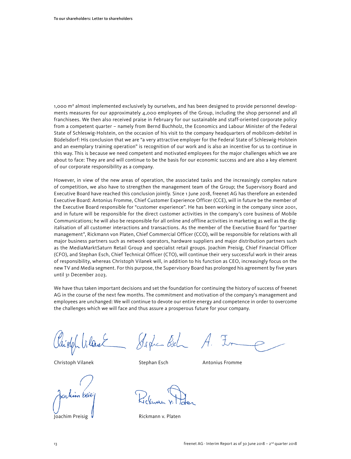1,000 m<sup>2</sup> almost implemented exclusively by ourselves, and has been designed to provide personnel developments measures for our approximately 4,000 employees of the Group, including the shop personnel and all franchisees. We then also received praise in February for our sustainable and staff-oriented corporate policy from a competent quarter – namely from Bernd Buchholz, the Economics and Labour Minister of the Federal State of Schleswig-Holstein, on the occasion of his visit to the company headquarters of mobilcom-debitel in Büdelsdorf: His conclusion that we are "a very attractive employer for the Federal State of Schleswig-Holstein and an exemplary training operation" is recognition of our work and is also an incentive for us to continue in this way. This is because we need competent and motivated employees for the major challenges which we are about to face: They are and will continue to be the basis for our economic success and are also a key element of our corporate responsibility as a company.

However, in view of the new areas of operation, the associated tasks and the increasingly complex nature of competition, we also have to strengthen the management team of the Group; the Supervisory Board and Executive Board have reached this conclusion jointly. Since 1 June 2018, freenet AG has therefore an extended Executive Board: Antonius Fromme, Chief Customer Experience Officer (CCE), will in future be the member of the Executive Board responsible for "customer experience". He has been working in the company since 2001, and in future will be responsible for the direct customer activities in the company's core business of Mobile Communications; he will also be responsible for all online and offline activities in marketing as well as the digitalisation of all customer interactions and transactions. As the member of the Executive Board for "partner management", Rickmann von Platen, Chief Commercial Officer (CCO), will be responsible for relations with all major business partners such as network operators, hardware suppliers and major distribution partners such as the MediaMarktSaturn Retail Group and specialist retail groups. Joachim Preisig, Chief Financial Officer (CFO), and Stephan Esch, Chief Technical Officer (CTO), will continue their very successful work in their areas of responsibility, whereas Christoph Vilanek will, in addition to his function as CEO, increasingly focus on the new TV and Media segment. For this purpose, the Supervisory Board has prolonged his agreement by five years until 31 December 2023.

We have thus taken important decisions and set the foundation for continuing the history of success of freenet AG in the course of the next few months. The commitment and motivation of the company's management and employees are unchanged: We will continue to devote our entire energy and competence in order to overcome the challenges which we will face and thus assure a prosperous future for your company.

Christoph Vilanek **Stephan Esch** Antonius Fromme

Stephen Boch 1

**Joachim Preisig V** and Rickmann v. Platen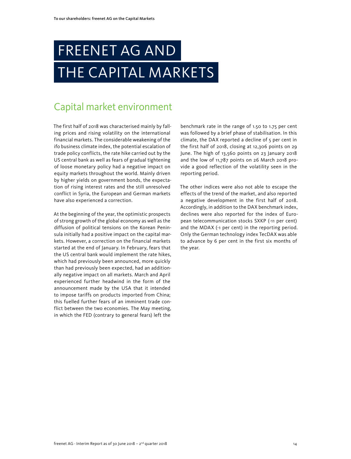# THE CAPITAL MARKETS FREENET AG AND

# Capital market environment

The first half of 2018 was characterised mainly by falling prices and rising volatility on the international financial markets. The considerable weakening of the ifo business climate index, the potential escalation of trade policy conflicts, the rate hike carried out by the US central bank as well as fears of gradual tightening of loose monetary policy had a negative impact on equity markets throughout the world. Mainly driven by higher yields on government bonds, the expectation of rising interest rates and the still unresolved conflict in Syria, the European and German markets have also experienced a correction.

At the beginning of the year, the optimistic prospects of strong growth of the global economy as well as the diffusion of political tensions on the Korean Peninsula initially had a positive impact on the capital markets. However, a correction on the financial markets started at the end of January. In February, fears that the US central bank would implement the rate hikes, which had previously been announced, more quickly than had previously been expected, had an additionally negative impact on all markets. March and April experienced further headwind in the form of the announcement made by the USA that it intended to impose tariffs on products imported from China; this fuelled further fears of an imminent trade conflict between the two economies. The May meeting, in which the FED (contrary to general fears) left the

benchmark rate in the range of 1.50 to 1.75 per cent was followed by a brief phase of stabilisation. In this climate, the DAX reported a decline of 5 per cent in the first half of 2018, closing at 12,306 points on 29 June. The high of 13,560 points on 23 January 2018 and the low of 11,787 points on 26 March 2018 provide a good reflection of the volatility seen in the reporting period.

The other indices were also not able to escape the effects of the trend of the market, and also reported a negative development in the first half of 2018. Accordingly, in addition to the DAX benchmark index, declines were also reported for the index of European telecommunication stocks SXKP (-11 per cent) and the MDAX (-1 per cent) in the reporting period. Only the German technology index TecDAX was able to advance by 6 per cent in the first six months of the year.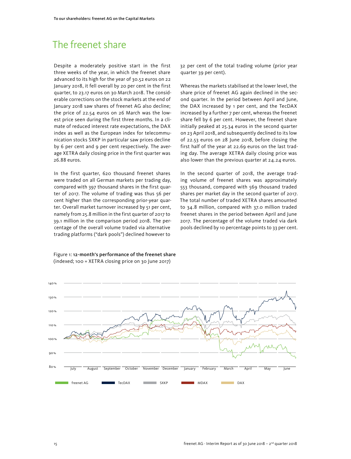### The freenet share

Despite a moderately positive start in the first three weeks of the year, in which the freenet share advanced to its high for the year of 30.52 euros on 22 January 2018, it fell overall by 20 per cent in the first quarter, to 23.17 euros on 30 March 2018. The considerable corrections on the stock markets at the end of January 2018 saw shares of freenet AG also decline; the price of 22.54 euros on 26 March was the lowest price seen during the first three months. In a climate of reduced interest rate expectations, the DAX index as well as the European index for telecommunication stocks SXKP in particular saw prices decline by 6 per cent and 9 per cent respectively. The average XETRA daily closing price in the first quarter was 26.88 euros.

In the first quarter, 620 thousand freenet shares were traded on all German markets per trading day, compared with 397 thousand shares in the first quarter of 2017. The volume of trading was thus 56 per cent higher than the corresponding prior-year quarter. Overall market turnover increased by 51 per cent, namely from 25.8 million in the first quarter of 2017 to 39.1 million in the comparison period 2018. The percentage of the overall volume traded via alternative trading platforms ("dark pools") declined however to

Figure 1: 12-month's performance of the freenet share (indexed; 100 = XETRA closing price on 30 June 2017)

32 per cent of the total trading volume (prior year quarter 39 per cent).

Whereas the markets stabilised at the lower level, the share price of freenet AG again declined in the second quarter. In the period between April and June, the DAX increased by 1 per cent, and the TecDAX increased by a further 7 per cent, whereas the freenet share fell by 6 per cent. However, the freenet share initially peaked at 25.34 euros in the second quarter on 23 April 2018, and subsequently declined to its low of 22.53 euros on 28 June 2018, before closing the first half of the year at 22.69 euros on the last trading day. The average XETRA daily closing price was also lower than the previous quarter at 24.24 euros.

In the second quarter of 2018, the average trading volume of freenet shares was approximately 553 thousand, compared with 569 thousand traded shares per market day in the second quarter of 2017. The total number of traded XETRA shares amounted to 34.8 million, compared with 37.0 million traded freenet shares in the period between April and June 2017. The percentage of the volume traded via dark pools declined by 10 percentage points to 33 per cent.

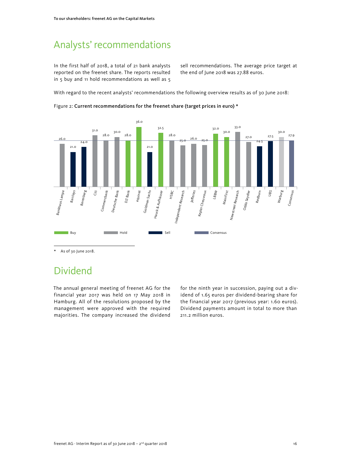## Analysts' recommendations

In the first half of 2018, a total of 21 bank analysts reported on the freenet share. The reports resulted in 5 buy and 11 hold recommendations as well as 5 sell recommendations. The average price target at the end of June 2018 was 27.88 euros.

With regard to the recent analysts' recommendations the following overview results as of 30 June 2018:



Figure 2: Current recommendations for the freenet share (target prices in euro) \*

As of 30 June 2018.

## Dividend

The annual general meeting of freenet AG for the financial year 2017 was held on 17 May 2018 in Hamburg. All of the resolutions proposed by the management were approved with the required majorities. The company increased the dividend for the ninth year in succession, paying out a dividend of 1.65 euros per dividend-bearing share for the financial year 2017 (previous year: 1.60 euros). Dividend payments amount in total to more than 211.2 million euros.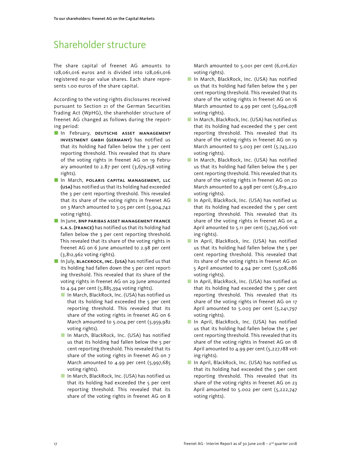## Shareholder structure

The share capital of freenet AG amounts to 128,061,016 euros and is divided into 128,061,016 registered no-par value shares. Each share represents 1.00 euros of the share capital.

According to the voting rights disclosures received pursuant to Section 21 of the German Securities Trading Act (WpHG), the shareholder structure of freenet AG changed as follows during the reporting period:

- In February, Deutsche Asset Management Investment GmbH (Germany) has notified us that its holding had fallen below the 3 per cent reporting threshold. This revealed that its share of the voting rights in freenet AG on 19 February amounted to 2.87 per cent (3,679,158 voting rights).
- **In March, POLARIS CAPITAL MANAGEMENT, LLC** (USA) has notified us that its holding had exceeded the 3 per cent reporting threshold. This revealed that its share of the voting rights in freenet AG on 3 March amounted to 3.05 per cent (3,904,742 voting rights).
- In June, BNP PARIBAS ASSET MANAGEMENT FRANCE S.A.S. (France) has notified us that its holding had fallen below the 3 per cent reporting threshold. This revealed that its share of the voting rights in freenet AG on 6 June amounted to 2.98 per cent (3,812,962 voting rights).
- In July, BLACKROCK, INC. (USA) has notified us that its holding had fallen down the 5 per cent reporting threshold. This revealed that its share of the voting rights in freenet AG on 29 June amounted to 4.94 per cent (5,885,394 voting rights).
	- In March, BlackRock, Inc. (USA) has notified us that its holding had exceeded the 5 per cent reporting threshold. This revealed that its share of the voting rights in freenet AG on 6 March amounted to 5.004 per cent (5,959,982 voting rights).
	- In March, BlackRock, Inc. (USA) has notified us that its holding had fallen below the 5 per cent reporting threshold. This revealed that its share of the voting rights in freenet AG on 7 March amounted to 4.99 per cent (5,997,685 voting rights).
	- In March, BlackRock, Inc. (USA) has notified us that its holding had exceeded the 5 per cent reporting threshold. This revealed that its share of the voting rights in freenet AG on 8

March amounted to 5.001 per cent (6,016,621 voting rights).

- In March, BlackRock, Inc. (USA) has notified us that its holding had fallen below the 5 per cent reporting threshold. This revealed that its share of the voting rights in freenet AG on 16 March amounted to 4.99 per cent (5,694,078 voting rights).
- In March, BlackRock, Inc. (USA) has notified us that its holding had exceeded the 5 per cent reporting threshold. This revealed that its share of the voting rights in freenet AG on 19 March amounted to 5.003 per cent (5.743,220 voting rights).
- In March, BlackRock, Inc. (USA) has notified us that its holding had fallen below the 5 per cent reporting threshold. This revealed that its share of the voting rights in freenet AG on 20 March amounted to 4.998 per cent (5,819,420 voting rights).
- In April, BlackRock, Inc. (USA) has notified us that its holding had exceeded the 5 per cent reporting threshold. This revealed that its share of the voting rights in freenet AG on 4 April amounted to 5.11 per cent (5,745,606 voting rights).
- In April, BlackRock, Inc. (USA) has notified us that its holding had fallen below the 5 per cent reporting threshold. This revealed that its share of the voting rights in freenet AG on 5 April amounted to 4.94 per cent (5,508,086 voting rights).
- In April, BlackRock, Inc. (USA) has notified us that its holding had exceeded the 5 per cent reporting threshold. This revealed that its share of the voting rights in freenet AG on 17 April amounted to 5.003 per cent (5,241,797 voting rights).
- In April, BlackRock, Inc. (USA) has notified us that its holding had fallen below the 5 per cent reporting threshold. This revealed that its share of the voting rights in freenet AG on 18 April amounted to 4.99 per cent (5,227,188 voting rights).
- In April, BlackRock, Inc. (USA) has notified us that its holding had exceeded the 5 per cent reporting threshold. This revealed that its share of the voting rights in freenet AG on 23 April amounted to 5.002 per cent (5,222,747 voting rights).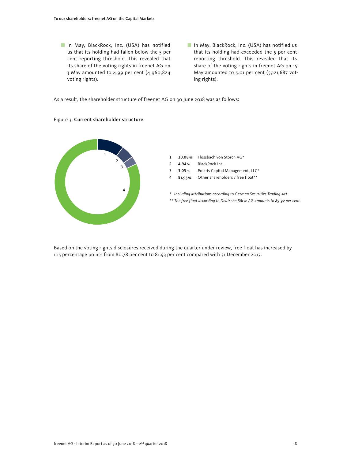- In May, BlackRock, Inc. (USA) has notified us that its holding had fallen below the 5 per cent reporting threshold. This revealed that its share of the voting rights in freenet AG on 3 May amounted to 4.99 per cent (4,960,824 voting rights).
- In May, BlackRock, Inc. (USA) has notified us that its holding had exceeded the 5 per cent reporting threshold. This revealed that its share of the voting rights in freenet AG on 15 May amounted to 5.01 per cent (5,121,687 voting rights).

As a result, the shareholder structure of freenet AG on 30 June 2018 was as follows:

#### Figure 3: Current shareholder structure



Based on the voting rights disclosures received during the quarter under review, free float has increased by 1.15 percentage points from 80.78 per cent to 81.93 per cent compared with 31 December 2017.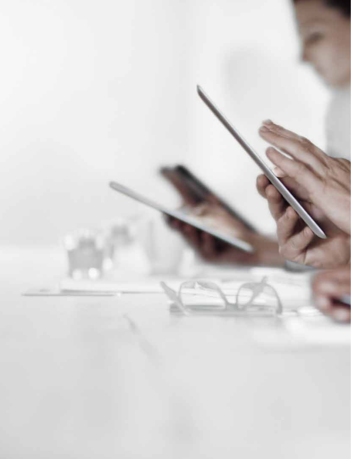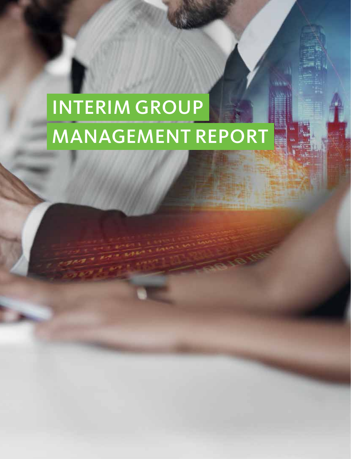# MANAGEMENT REPORT INTERIM GROUP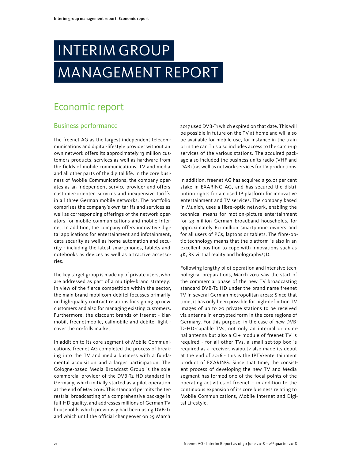# MANAGEMENT REPORT INTERIM GROUP

# Economic report

#### Business performance

The freenet AG as the largest independent telecommunications and digital-lifestyle provider without an own network offers its approximately 13 million customers products, services as well as hardware from the fields of mobile communications, TV and media and all other parts of the digital life. In the core business of Mobile Communications, the company operates as an independent service provider and offers customer-oriented services and inexpensive tariffs in all three German mobile networks. The portfolio comprises the company's own tariffs and services as well as corresponding offerings of the network operators for mobile communications and mobile Internet. In addition, the company offers innovative digital applications for entertainment and infotainment, data security as well as home automation and security - including the latest smartphones, tablets and notebooks as devices as well as attractive accessories.

The key target group is made up of private users, who are addressed as part of a multiple-brand strategy: In view of the fierce competition within the sector, the main brand mobilcom-debitel focusses primarily on high-quality contract relations for signing up new customers and also for managing existing customers. Furthermore, the discount brands of freenet - klarmobil, freenetmobile, callmobile and debitel light cover the no-frills market.

In addition to its core segment of Mobile Communications, freenet AG completed the process of breaking into the TV and media business with a fundamental acquisition and a larger participation. The Cologne-based Media Broadcast Group is the sole commercial provider of the DVB-T2 HD standard in Germany, which initially started as a pilot operation at the end of May 2016. This standard permits the terrestrial broadcasting of a comprehensive package in full-HD quality, and addresses millions of German TV households which previously had been using DVB-T1 and which until the official changeover on 29 March

2017 used DVB-T1 which expired on that date. This will be possible in future on the TV at home and will also be available for mobile use, for instance in the train or in the car. This also includes access to the catch-up services of the various stations. The acquired package also included the business units radio (VHF and DAB+) as well as network services for TV productions.

In addition, freenet AG has acquired a 50.01 per cent stake in EXARING AG, and has secured the distribution rights for a closed IP platform for innovative entertainment and TV services. The company based in Munich, uses a fibre-optic network, enabling the technical means for motion-picture entertainment for 23 million German broadband households, for approximately 60 million smartphone owners and for all users of PCs, laptops or tablets. The fibre-optic technology means that the platform is also in an excellent position to cope with innovations such as 4K, 8K virtual reality and holography/3D.

Following lengthy pilot operation and intensive technological preparations, March 2017 saw the start of the commercial phase of the new TV broadcasting standard DVB-T2 HD under the brand name freenet TV in several German metropolitan areas: Since that time, it has only been possible for high-definition TV images of up to 20 private stations to be received via antenna in encrypted form in the core regions of Germany. For this purpose, in the case of new DVB-T2-HD-capable TVs, not only an internal or external antenna but also a CI+ module of freenet TV is required - for all other TVs, a small set-top box is required as a receiver. waipu.tv also made its debut at the end of 2016 - this is the IPTV/entertainment product of EXARING. Since that time, the consistent process of developing the new TV and Media segment has formed one of the focal points of the operating activities of freenet – in addition to the continuous expansion of its core business relating to Mobile Communications, Mobile Internet and Digital Lifestyle.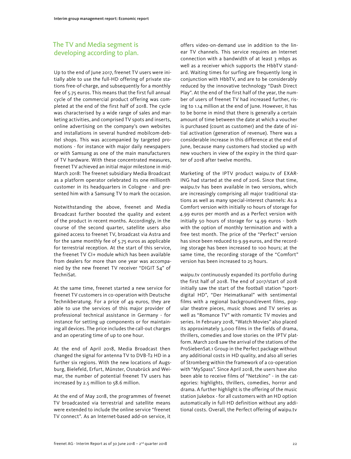#### The TV and Media segment is developing according to plan.

Up to the end of June 2017, freenet TV users were initially able to use the full-HD offering of private stations free-of-charge, and subsequently for a monthly fee of 5.75 euros. This means that the first full annual cycle of the commercial product offering was completed at the end of the first half of 2018. The cycle was characterised by a wide range of sales and marketing activities, and comprised TV spots and inserts, online advertising on the company's own websites and installations in several hundred mobilcom-debitel shops. This was accompanied by targeted promotions - for instance with major daily newspapers or with Samsung as one of the main manufacturers of TV hardware. With these concentrated measures, freenet TV achieved an initial major milestone in mid-March 2018: The freenet subsidiary Media Broadcast as a platform operator celebrated its one millionth customer in its headquarters in Cologne - and presented him with a Samsung TV to mark the occasion.

Notwithstanding the above, freenet and Media Broadcast further boosted the quality and extent of the product in recent months. Accordingly, in the course of the second quarter, satellite users also gained access to freenet TV, broadcast via Astra and for the same monthly fee of 5.75 euros as applicable for terrestrial reception. At the start of this service, the freenet TV CI+ module which has been available from dealers for more than one year was accompanied by the new freenet TV receiver "DIGIT S4" of TechniSat.

At the same time, freenet started a new service for freenet TV customers in co-operation with Deutsche Technikberatung. For a price of 49 euros, they are able to use the services of this major provider of professional technical assistance in Germany - for instance for setting up components or for maintaining all devices. The price includes the call-out charges and an operating time of up to one hour.

At the end of April 2018, Media Broadcast then changed the signal for antenna TV to DVB-T2 HD in a further six regions. With the new locations of Augsburg, Bielefeld, Erfurt, Münster, Osnabrück and Weimar, the number of potential freenet TV users has increased by 2.5 million to 58.6 million.

At the end of May 2018, the programmes of freenet TV broadcasted via terrestrial and satellite means were extended to include the online service "freenet TV connect". As an Internet-based add-on service, it offers video-on-demand use in addition to the linear TV channels. This service requires an Internet connection with a bandwidth of at least 3 mbps as well as a receiver which supports the HbbTV standard. Waiting times for surfing are frequently long in conjunction with HbbTV, and are to be considerably reduced by the innovative technology "Dash Direct Play". At the end of the first half of the year, the number of users of freenet TV had increased further, rising to 1.14 million at the end of June. However, it has to be borne in mind that there is generally a certain amount of time between the date at which a voucher is purchased (count as customer) and the date of initial activation (generation of revenue). There was a considerable increase in this difference at the end of June, because many customers had stocked up with new vouchers in view of the expiry in the third quarter of 2018 after twelve months.

Marketing of the IPTV product waipu.tv of EXAR-ING had started at the end of 2016. Since that time, waipu.tv has been available in two versions, which are increasingly comprising all major traditional stations as well as many special-interest channels: As a Comfort version with initially 10 hours of storage for 4.99 euros per month and as a Perfect version with initially 50 hours of storage for 14.99 euros - both with the option of monthly termination and with a free test month. The price of the "Perfect" version has since been reduced to 9.99 euros, and the recording storage has been increased to 100 hours; at the same time, the recording storage of the "Comfort" version has been increased to 25 hours.

waipu.tv continuously expanded its portfolio during the first half of 2018. The end of 2017/start of 2018 initially saw the start of the football station "sportdigital HD", "Der Heimatkanal" with sentimental films with a regional background/event films, popular theatre pieces, music shows and TV series as well as "Romance TV" with romantic TV movies and series. In February 2018, "Watch Movies" also placed its approximately 3,000 films in the fields of drama, thrillers, comedies and love stories on the IPTV platform. March 2018 saw the arrival of the stations of the ProSiebenSat.1 Group in the Perfect package without any additional costs in HD quality, and also all series of Stromberg within the framework of a co-operation with "MySpass". Since April 2018, the users have also been able to receive films of "Netzkino" - in the categories: highlights, thrillers, comedies, horror and drama. A further highlight is the offering of the music station Jukebox - for all customers with an HD option automatically in full-HD definition without any additional costs. Overall, the Perfect offering of waipu.tv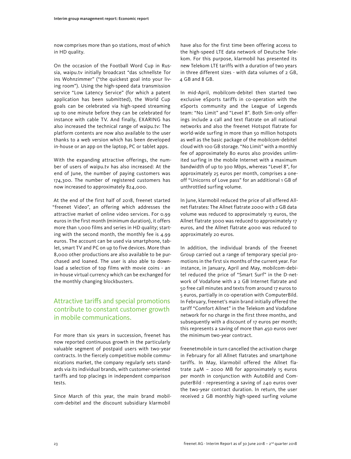now comprises more than 90 stations, most of which in HD quality.

On the occasion of the Football Word Cup in Russia, waipu.tv initially broadcast "das schnellste Tor ins Wohnzimmer" ("the quickest goal into your living room"). Using the high-speed data transmission service "Low Latency Service" (for which a patent application has been submitted), the World Cup goals can be celebrated via high-speed streaming up to one minute before they can be celebrated for instance with cable TV. And finally, EXARING has also increased the technical range of waipu.tv: The platform contents are now also available to the user thanks to a web version which has been developed in-house or an app on the laptop, PC or tablet apps.

With the expanding attractive offerings, the number of users of waipu.tv has also increased: At the end of June, the number of paying customers was 174,300. The number of registered customers has now increased to approximately 824,000.

At the end of the first half of 2018, freenet started "freenet Video", an offering which addresses the attractive market of online video services. For 0.99 euros in the first month (minimum duration), it offers more than 1,000 films and series in HD quality; starting with the second month, the monthly fee is 4.99 euros. The account can be used via smartphone, tablet, smart TV and PC on up to five devices. More than 8,000 other productions are also available to be purchased and loaned. The user is also able to download a selection of top films with movie coins - an in-house virtual currency which can be exchanged for the monthly changing blockbusters.

#### Attractive tariffs and special promotions contribute to constant customer growth in mobile communications.

For more than six years in succession, freenet has now reported continuous growth in the particularly valuable segment of postpaid users with two-year contracts. In the fiercely competitive mobile communications market, the company regularly sets standards via its individual brands, with customer-oriented tariffs and top placings in independent comparison tests.

Since March of this year, the main brand mobilcom-debitel and the discount subsidiary klarmobil

have also for the first time been offering access to the high-speed LTE data network of Deutsche Telekom. For this purpose, klarmobil has presented its new Telekom LTE tariffs with a duration of two years in three different sizes - with data volumes of 2 GB, 4 GB and 8 GB.

In mid-April, mobilcom-debitel then started two exclusive eSports tariffs in co-operation with the eSports community and the League of Legends team: "No Limit" and "Level 8". Both Sim-only offerings include a call and text flatrate on all national networks and also the freenet Hotspot flatrate for world-wide surfing in more than 50 million hotspots as well as the basic package of the mobilcom-debitel cloud with 100 GB storage. "No Limit" with a monthly fee of approximately 80 euros also provides unlimited surfing in the mobile Internet with a maximum bandwidth of up to 300 Mbps, whereas "Level 8", for approximately 25 euros per month, comprises a oneoff "Unicorns of Love pass" for an additional 1 GB of unthrottled surfing volume.

In June, klarmobil reduced the price of all offered Allnet flatrates: The Allnet flatrate 2000 with 2 GB data volume was reduced to approximately 13 euros, the Allnet flatrate 3000 was reduced to approximately 17 euros, and the Allnet flatrate 4000 was reduced to approximately 20 euros.

In addition, the individual brands of the freenet Group carried out a range of temporary special promotions in the first six months of the current year. For instance, in January, April and May, mobilcom-debitel reduced the price of "Smart Surf" in the D-network of Vodafone with a 2 GB Internet flatrate and 50 free call minutes and texts from around 17 euros to 5 euros, partially in co-operation with ComputerBild. In February, freenet's main brand initially offered the tariff "Comfort Allnet" in the Telekom and Vodafone network for no charge in the first three months, and subsequently with a discount of 17 euros per month; this represents a saving of more than 450 euros over the minimum two-year contract.

freenetmobile in turn cancelled the activation charge in February for all Allnet flatrates and smartphone tariffs. In May, klarmobil offered the Allnet flatrate 24M – 2000 MB for approximately 15 euros per month in conjunction with AutoBild and ComputerBild - representing a saving of 240 euros over the two-year contract duration. In return, the user received 2 GB monthly high-speed surfing volume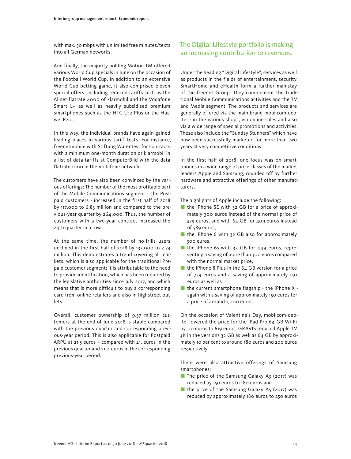with max. 50 mbps with unlimited free minutes/texts into all German networks.

And finally, the majority holding Motion TM offered various World Cup specials in June on the occasion of the Football World Cup. In addition to an extensive World Cup betting game, it also comprised eleven special offers, including reduced tariffs such as the Allnet flatrate 4000 of klarmobil and the Vodafone Smart L+ as well as heavily subsidised premium smartphones such as the HTC U12 Plus or the Huawei P20.

In this way, the individual brands have again gained leading places in various tariff tests. For instance, freenetmobile with Stiftung Warentest for contracts with a minimum one-month duration or klarmobil in a list of data tariffs at ComputerBild with the data flatrate 1000 in the Vodafone network.

The customers have also been convinced by the various offerings: The number of the most profitable part of the Mobile Communications segment – the Postpaid customers - increased in the first half of 2018 by 117,000 to 6.83 million and compared to the previous-year quarter by 264,000. Thus, the number of customers with a two-year contract increased the 24th quarter in a row.

At the same time, the number of no-frills users declined in the first half of 2018 by 137,000 to 2.74 million. This demonstrates a trend covering all markets, which is also applicable for the traditional Prepaid customer segment; it is attributable to the need to provide identification, which has been required by the legislative authorities since July 2017, and which means that is more difficult to buy a corresponding card from online retailers and also in highstreet outlets.

Overall, customer ownership of 9.57 million customers at the end of June 2018 is stable compared with the previous quarter and corresponding previous-year period. This is also applicable for Postpaid ARPU at 21.5 euros – compared with 21. euros in the previous quarter and 21.4 euros in the corresponding previous-year period.

#### The Digital Lifestyle portfolio is making an increasing contribution to revenues.

Under the heading "Digital Lifestyle", services as well as products in the fields of entertainment, security, SmartHome and eHealth form a further mainstay of the freenet Group. They complement the traditional Mobile Communications activities and the TV and Media segment. The products and services are generally offered via the main brand mobilcom-debitel - in the various shops, via online sales and also via a wide range of special promotions and activities. These also include the "Sunday Stunners" which have now been successfully marketed for more than two years at very competitive conditions.

In the first half of 2018, one focus was on smartphones in a wide range of price classes of the market leaders Apple and Samsung, rounded off by further hardware and attractive offerings of other manufacturers.

The highlights of Apple include the following:

- the iPhone SE with 32 GB for a price of approximately 300 euros instead of the normal price of 479 euros, and with 64 GB for 409 euros instead of 589 euros,
- the iPhone 6 with 32 GB also for approximately 300 euros,
- the iPhone 6s with 32 GB for 444 euros, representing a saving of more than 300 euros compared with the normal market price,
- the iPhone 8 Plus in the 64 GB version for a price of 759 euros and a saving of approximately 150 euros as well as
- the current smartphone flagship the iPhone X again with a saving of approximately 150 euros for a price of around 1,000 euros.

On the occasion of Valentine's Day, mobilcom-debitel lowered the price for the iPad Pro 64 GB Wi-Fi by 110 euros to 619 euros. GRAVIS reduced Apple TV 4K in the versions 32 GB as well as 64 GB by approximately 10 per cent to around 180 euros and 200 euros respectively.

There were also attractive offerings of Samsung smartphones:

- The price of the Samsung Galaxy A3 (2017) was reduced by 150 euros to 180 euros and
- the price of the Samsung Galaxy A5 (2017) was reduced by approximately 180 euros to 250 euros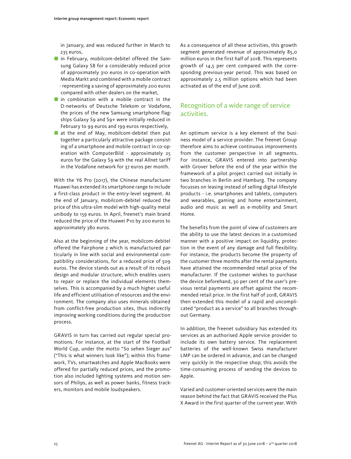in January, and was reduced further in March to 235 euros,

- in February, mobilcom-debitel offered the Samsung Galaxy S8 for a considerably reduced price of approximately 310 euros in co-operation with Media Markt and combined with a mobile contract - representing a saving of approximately 200 euros compared with other dealers on the market,
- in combination with a mobile contract in the D-networks of Deutsche Telekom or Vodafone, the prices of the new Samsung smartphone flagships Galaxy S9 and S9+ were initially reduced in February to 99 euros and 199 euros respectively,
- at the end of May, mobilcom-debitel then put together a particularly attractive package consisting of a smartphone and mobile contract in co-operation with ComputerBild - approximately 25 euros for the Galaxy S9 with the real Allnet tariff in the Vodafone network for 37 euros per month.

With the Y6 Pro (2017), the Chinese manufacturer Huawei has extended its smartphone range to include a first-class product in the entry-level segment. At the end of January, mobilcom-debitel reduced the price of this ultra-slim model with high-quality metal unibody to 159 euros. In April, freenet's main brand reduced the price of the Huawei P10 by 200 euros to approximately 380 euros.

Also at the beginning of the year, mobilcom-debitel offered the Fairphone 2 which is manufactured particularly in line with social and environmental compatibility considerations, for a reduced price of 509 euros. The device stands out as a result of its robust design and modular structure, which enables users to repair or replace the individual elements themselves. This is accompanied by a much higher useful life and efficient utilisation of resources and the environment. The company also uses minerals obtained from conflict-free production sites, thus indirectly improving working conditions during the production process.

GRAVIS in turn has carried out regular special promotions. For instance, at the start of the Football World Cup, under the motto "So sehen Sieger aus" ("This is what winners look like"); within this framework, TVs, smartwatches and Apple MacBooks were offered for partially reduced prices, and the promotion also included lighting systems and motion sensors of Philips, as well as power banks, fitness trackers, monitors and mobile loudspeakers.

As a consequence of all these activities, this growth segment generated revenue of approximately 85,0 million euros in the first half of 2018. This represents growth of 14,5 per cent compared with the corresponding previous-year period. This was based on approximately 2.5 million options which had been activated as of the end of June 2018.

#### Recognition of a wide range of service activities.

An optimum service is a key element of the business model of a service provider. The freenet Group therefore aims to achieve continuous improvements from the customer perspective in all segments. For instance, GRAVIS entered into partnership with Grover before the end of the year within the framework of a pilot project carried out initially in two branches in Berlin and Hamburg. The company focusses on leasing instead of selling digital-lifestyle products - i.e. smartphones and tablets, computers and wearables, gaming and home entertainment, audio and music as well as e-mobility and Smart Home.

The benefits from the point of view of customers are the ability to use the latest devices in a customised manner with a positive impact on liquidity, protection in the event of any damage and full flexibility. For instance, the products become the property of the customer three months after the rental payments have attained the recommended retail price of the manufacturer. If the customer wishes to purchase the device beforehand, 30 per cent of the user's previous rental payments are offset against the recommended retail price. In the first half of 2018, GRAVIS then extended this model of a rapid and uncomplicated "product as a service" to all branches throughout Germany.

In addition, the freenet subsidiary has extended its services as an authorised Apple service provider to include its own battery service. The replacement batteries of the well-known Swiss manufacturer LMP can be ordered in advance, and can be changed very quickly in the respective shop; this avoids the time-consuming process of sending the devices to Apple.

Varied and customer-oriented services were the main reason behind the fact that GRAVIS received the Plus X Award in the first quarter of the current year. With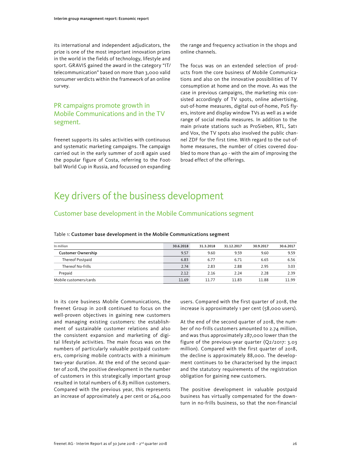its international and independent adjudicators, the prize is one of the most important innovation prizes in the world in the fields of technology, lifestyle and sport. GRAVIS gained the award in the category "IT/ telecommunication" based on more than 3,000 valid consumer verdicts within the framework of an online survey.

#### PR campaigns promote growth in Mobile Communications and in the TV segment.

freenet supports its sales activities with continuous and systematic marketing campaigns. The campaign carried out in the early summer of 2018 again used the popular figure of Costa, referring to the Football World Cup in Russia, and focussed on expanding

the range and frequency activation in the shops and online channels.

The focus was on an extended selection of products from the core business of Mobile Communications and also on the innovative possibilities of TV consumption at home and on the move. As was the case in previous campaigns, the marketing mix consisted accordingly of TV spots, online advertising, out-of-home measures, digital out-of-home, PoS flyers, instore and display window TVs as well as a wide range of social media measures. In addition to the main private stations such as ProSieben, RTL, Sat1 and Vox, the TV spots also involved the public channel ZDF for the first time. With regard to the out-ofhome measures, the number of cities covered doubled to more than  $40 -$  with the aim of improving the broad effect of the offerings.

## Key drivers of the business development

#### Customer base development in the Mobile Communications segment

| In million                | 30.6.2018 | 31.3.2018 | 31.12.2017 | 30.9.2017 | 30.6.2017 |
|---------------------------|-----------|-----------|------------|-----------|-----------|
| <b>Customer Ownership</b> | 9.57      | 9.60      | 9.59       | 9.60      | 9.59      |
| <b>Thereof Postpaid</b>   | 6.83      | 6.77      | 6.71       | 6.65      | 6.56      |
| Thereof No-frills         | 2.74      | 2.83      | 2.88       | 2.95      | 3.03      |
| Prepaid                   | 2.12      | 2.16      | 2.24       | 2.28      | 2.39      |
| Mobile customers/cards    | 11.69     | 11.77     | 11.83      | 11.88     | 11.99     |

Table 1: Customer base development in the Mobile Communications segment

In its core business Mobile Communications, the freenet Group in 2018 continued to focus on the well-proven objectives in gaining new customers and managing existing customers: the establishment of sustainable customer relations and also the consistent expansion and marketing of digital lifestyle activities. The main focus was on the numbers of particularly valuable postpaid customers, comprising mobile contracts with a minimum two-year duration. At the end of the second quarter of 2018, the positive development in the number of customers in this strategically important group resulted in total numbers of 6.83 million customers. Compared with the previous year, this represents an increase of approximately 4 per cent or 264,000

users. Compared with the first quarter of 2018, the increase is approximately 1 per cent (58,000 users).

At the end of the second quarter of 2018, the number of no-frills customers amounted to 2.74 million, and was thus approximately 287,000 lower than the figure of the previous-year quarter (Q2/2017: 3.03 million). Compared with the first quarter of 2018, the decline is approximately 88,000. The development continues to be characterised by the impact and the statutory requirements of the registration obligation for gaining new customers.

The positive development in valuable postpaid business has virtually compensated for the downturn in no-frills business, so that the non-financial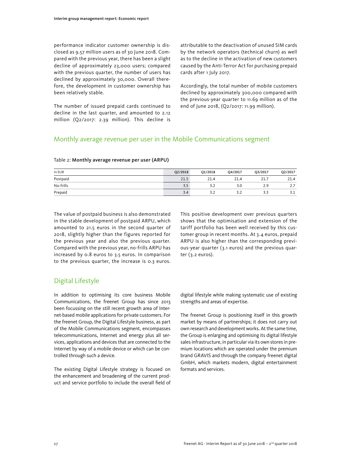performance indicator customer ownership is disclosed as 9.57 million users as of 30 June 2018. Compared with the previous year, there has been a slight decline of approximately 23,000 users; compared with the previous quarter, the number of users has declined by approximately 30,000. Overall therefore, the development in customer ownership has been relatively stable.

The number of issued prepaid cards continued to decline in the last quarter, and amounted to 2.12 million (Q2/2017: 2.39 million). This decline is

attributable to the deactivation of unused SIM cards by the network operators (technical churn) as well as to the decline in the activation of new customers caused by the Anti-Terror Act for purchasing prepaid cards after 1 July 2017.

Accordingly, the total number of mobile customers declined by approximately 300,000 compared with the previous-year quarter to 11.69 million as of the end of June 2018, (Q2/2017: 11.99 million).

#### Monthly average revenue per user in the Mobile Communications segment

| In EUR    | Q2/2018 | Q1/2018 | Q4/2017 | Q3/2017 | Q2/2017 |
|-----------|---------|---------|---------|---------|---------|
| Postpaid  | 21.5    | 21.4    | 21.4    |         | 21.4    |
| No-frills | 3.5     | 3.2     | 3.0     | 2.9     | $\sim$  |
| Prepaid   | 3.4     |         |         |         | ⊥.د     |

Table 2: Monthly average revenue per user (ARPU)

The value of postpaid business is also demonstrated in the stable development of postpaid ARPU, which amounted to 21.5 euros in the second quarter of 2018, slightly higher than the figures reported for the previous year and also the previous quarter. Compared with the previous year, no-frills ARPU has increased by 0.8 euros to 3.5 euros. In comparison to the previous quarter, the increase is 0.3 euros.

This positive development over previous quarters shows that the optimisation and extension of the tariff portfolio has been well received by this customer group in recent months. At 3.4 euros, prepaid ARPU is also higher than the corresponding previous-year quarter (3.1 euros) and the previous quarter (3.2 euros).

#### Digital Lifestyle

In addition to optimising its core business Mobile Communications, the freenet Group has since 2013 been focussing on the still recent growth area of Internet-based mobile applications for private customers. For the freenet Group, the Digital Lifestyle business, as part of the Mobile Communications segment, encompasses telecommunications, Internet and energy plus all services, applications and devices that are connected to the Internet by way of a mobile device or which can be controlled through such a device.

The existing Digital Lifestyle strategy is focused on the enhancement and broadening of the current product and service portfolio to include the overall field of

digital lifestyle while making systematic use of existing strengths and areas of expertise.

The freenet Group is positioning itself in this growth market by means of partnerships; it does not carry out own research and development works. At the same time, the Group is enlarging and optimising its digital lifestyle sales infrastructure, in particular via its own stores in premium locations which are operated under the premium brand GRAVIS and through the company freenet digital GmbH, which markets modern, digital entertainment formats and services.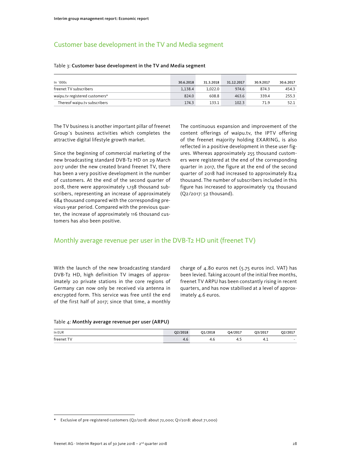#### Customer base development in the TV and Media segment

| In $000s$                      | 30.6.2018 | 31.3.2018 | 31.12.2017 | 30.9.2017 | 30.6.2017 |
|--------------------------------|-----------|-----------|------------|-----------|-----------|
| freenet TV subscribers         | 1.138.4   | 1.022.0   | 974.6      | 874.3     | 454.3     |
| waipu.tv registered customers* | 824.0     | 608.8     | 463.6      | 339.4     | 255.3     |
| Thereof waipu.tv subscribers   | 174.3     | 133.1     | 102.3      | 71.9      | 52.1      |

#### Table 3: Customer base development in the TV and Media segment

The TV business is another important pillar of freenet Group´s business activities which completes the attractive digital lifestyle growth market.

Since the beginning of commercial marketing of the new broadcasting standard DVB-T2 HD on 29 March 2017 under the new created brand freenet TV, there has been a very positive development in the number of customers. At the end of the second quarter of 2018, there were approximately 1,138 thousand subscribers, representing an increase of approximately 684 thousand compared with the corresponding previous-year period. Compared with the previous quarter, the increase of approximately 116 thousand customers has also been positive.

The continuous expansion and improvement of the content offerings of waipu.tv, the IPTV offering of the freenet majority holding EXARING, is also reflected in a positive development in these user figures. Whereas approximately 255 thousand customers were registered at the end of the corresponding quarter in 2017, the figure at the end of the second quarter of 2018 had increased to approximately 824 thousand. The number of subscribers included in this figure has increased to approximately 174 thousand (Q2/2017: 52 thousand).

#### Monthly average revenue per user in the DVB-T2 HD unit (freenet TV)

With the launch of the new broadcasting standard DVB-T2 HD, high definition TV images of approximately 20 private stations in the core regions of Germany can now only be received via antenna in encrypted form. This service was free until the end of the first half of 2017; since that time, a monthly charge of 4.80 euros net (5.75 euros incl. VAT) has been levied. Taking account of the initial free months, freenet TV ARPU has been constantly rising in recent quarters, and has now stabilised at a level of approximately 4.6 euros.

#### Table 4: Monthly average revenue per user (ARPU)

| In EUR              | JZ1 ZU 18 | Q1/2018 | Q4/2017 | Q3/2017                    | Q2/2017 |
|---------------------|-----------|---------|---------|----------------------------|---------|
| treenet<br>,,,,,,,, | 4.U       | −.∪     | −.      | 4.1<br>$\cdot$ $\cdot$ $-$ | $\sim$  |

Exclusive of pre-registered customers (Q2/2018: about 72,000; Q1/2018: about 71,000)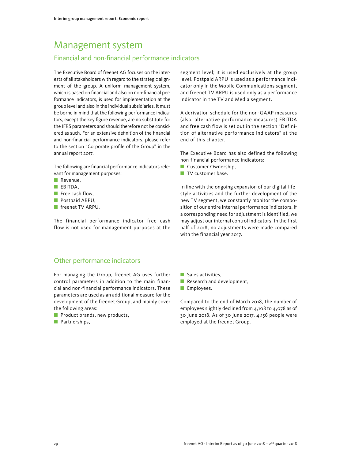## Management system

#### Financial and non-financial performance indicators

The Executive Board of freenet AG focuses on the interests of all stakeholders with regard to the strategic alignment of the group. A uniform management system, which is based on financial and also on non-financial performance indicators, is used for implementation at the group level and also in the individual subsidiaries. It must be borne in mind that the following performance indicators, except the key figure revenue, are no substitute for the IFRS parameters and should therefore not be considered as such. For an extensive definition of the financial and non-financial performance indicators, please refer to the section "Corporate profile of the Group" in the annual report 2017.

The following are financial performance indicators relevant for management purposes:

- Revenue,
- EBITDA,
- Free cash flow,
- Postpaid ARPU,
- freenet TV ARPU.

The financial performance indicator free cash flow is not used for management purposes at the

#### Other performance indicators

For managing the Group, freenet AG uses further control parameters in addition to the main financial and non-financial performance indicators. These parameters are used as an additional measure for the development of the freenet Group, and mainly cover the following areas:

- Product brands, new products,
- Partnerships,

segment level; it is used exclusively at the group level. Postpaid ARPU is used as a performance indicator only in the Mobile Communications segment, and freenet TV ARPU is used only as a performance indicator in the TV and Media segment.

A derivation schedule for the non-GAAP measures (also: alternative performance measures) EBITDA and free cash flow is set out in the section "Definition of alternative performance indicators" at the end of this chapter.

The Executive Board has also defined the following non-financial performance indicators:

- Customer Ownership,
- TV customer base.

In line with the ongoing expansion of our digital-lifestyle activities and the further development of the new TV segment, we constantly monitor the composition of our entire internal performance indicators. If a corresponding need for adjustment is identified, we may adjust our internal control indicators. In the first half of 2018, no adjustments were made compared with the financial year 2017.

- Sales activities,
- Research and development,
- Employees.

Compared to the end of March 2018, the number of employees slightly declined from 4,108 to 4,078 as of 30 June 2018. As of 30 June 2017, 4,156 people were employed at the freenet Group.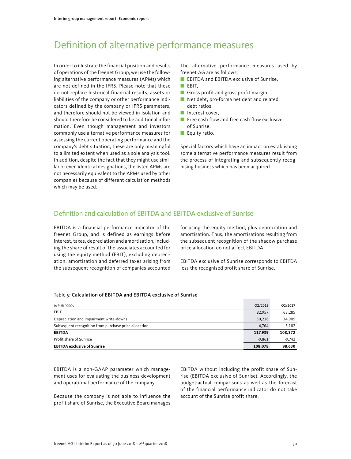## Definition of alternative performance measures

In order to illustrate the financial position and results of operations of the freenet Group, we use the following alternative performance measures (APMs) which are not defined in the IFRS. Please note that these do not replace historical financial results, assets or liabilities of the company or other performance indicators defined by the company or IFRS parameters, and therefore should not be viewed in isolation and should therefore be considered to be additional information. Even though management and investors commonly use alternative performance measures for assessing the current operating performance and the company's debt situation, these are only meaningful to a limited extent when used as a sole analysis tool. In addition, despite the fact that they might use similar or even identical designations, the listed APMs are not necessarily equivalent to the APMs used by other companies because of different calculation methods which may be used.

The alternative performance measures used by freenet AG are as follows:

- EBITDA and EBITDA exclusive of Sunrise,
- EBIT,
- Gross profit and gross profit margin,
- Net debt, pro-forma net debt and related debt ratios,
- Interest cover,
- Free cash flow and free cash flow exclusive of Sunrise,
- $\blacksquare$  Equity ratio.

Special factors which have an impact on establishing some alternative performance measures result from the process of integrating and subsequently recognising business which has been acquired.

#### Definition and calculation of EBITDA and EBITDA exclusive of Sunrise

EBITDA is a financial performance indicator of the freenet Group, and is defined as earnings before interest, taxes, depreciation and amortisation, including the share of result of the associates accounted for using the equity method (EBIT), excluding depreciation, amortisation and deferred taxes arising from the subsequent recognition of companies accounted

for using the equity method, plus depreciation and amortisation. Thus, the amortisations resulting from the subsequent recognition of the shadow purchase price allocation do not affect EBITDA.

EBITDA exclusive of Sunrise corresponds to EBITDA less the recognised profit share of Sunrise.

|  | Table 5: Calculation of EBITDA and EBITDA exclusive of Sunrise |
|--|----------------------------------------------------------------|
|--|----------------------------------------------------------------|

| In EUR `000s                                          | Q2/2018  | Q2/2017  |
|-------------------------------------------------------|----------|----------|
| EBIT                                                  | 82,957   | 68,285   |
| Depreciation and impairment write-downs               | 30,218   | 34,905   |
| Subsequent recognition from purchase price allocation | 4.764    | 5,182    |
| <b>EBITDA</b>                                         | 117,939  | 108,372  |
| Profit share of Sunrise                               | $-9.861$ | $-9,742$ |
| <b>EBITDA exclusive of Sunrise</b>                    | 108,078  | 98,630   |

EBITDA is a non-GAAP parameter which management uses for evaluating the business development and operational performance of the company.

Because the company is not able to influence the profit share of Sunrise, the Executive Board manages

EBITDA without including the profit share of Sunrise (EBITDA exclusive of Sunrise). Accordingly, the budget-actual comparisons as well as the forecast of the financial performance indicator do not take account of the Sunrise profit share.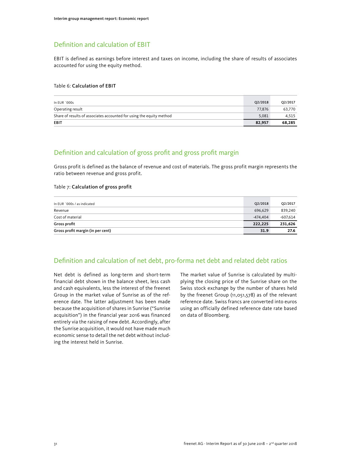#### Definition and calculation of EBIT

EBIT is defined as earnings before interest and taxes on income, including the share of results of associates accounted for using the equity method.

#### Table 6: Calculation of EBIT

| In EUR `000s                                                         | 02/2018 | Q2/2017 |
|----------------------------------------------------------------------|---------|---------|
| Operating result                                                     | 77.876  | 63.770  |
| Share of results of associates accounted for using the equity method | 5.081   | 4.515   |
| EBIT                                                                 | 82,957  | 68.285  |

#### Definition and calculation of gross profit and gross profit margin

Gross profit is defined as the balance of revenue and cost of materials. The gross profit margin represents the ratio between revenue and gross profit.

#### Table 7: Calculation of gross profit

| In EUR `000s / as indicated       | Q2/2018    | Q2/2017  |
|-----------------------------------|------------|----------|
| Revenue                           | 696.629    | 839,240  |
| Cost of material                  | $-474.404$ | -607,614 |
| Gross profit                      | 222,225    | 231,626  |
| Gross profit margin (in per cent) | 31.9       | 27.6     |

#### Definition and calculation of net debt, pro-forma net debt and related debt ratios

Net debt is defined as long-term and short-term financial debt shown in the balance sheet, less cash and cash equivalents, less the interest of the freenet Group in the market value of Sunrise as of the reference date. The latter adjustment has been made because the acquisition of shares in Sunrise ("Sunrise acquisition") in the financial year 2016 was financed entirely via the raising of new debt. Accordingly, after the Sunrise acquisition, it would not have made much economic sense to detail the net debt without including the interest held in Sunrise.

The market value of Sunrise is calculated by multiplying the closing price of the Sunrise share on the Swiss stock exchange by the number of shares held by the freenet Group (11,051,578) as of the relevant reference date. Swiss francs are converted into euros using an officially defined reference date rate based on data of Bloomberg.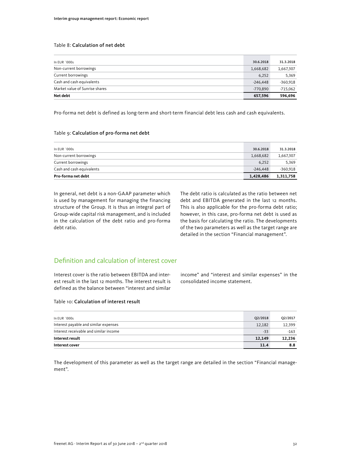#### Table 8: Calculation of net debt

| Net debt                       | 657,596    | 596,696    |
|--------------------------------|------------|------------|
| Market value of Sunrise shares | $-770.890$ | $-715.062$ |
| Cash and cash equivalents      | $-246.448$ | $-360,918$ |
| Current borrowings             | 6,252      | 5,369      |
| Non-current borrowings         | 1,668,682  | 1,667,307  |
| In EUR `000s                   | 30.6.2018  | 31.3.2018  |
|                                |            |            |

Pro-forma net debt is defined as long-term and short-term financial debt less cash and cash equivalents.

#### Table 9: Calculation of pro-forma net debt

| In EUR `000s              | 30.6.2018  | 31.3.2018 |
|---------------------------|------------|-----------|
| Non-current borrowings    | 1,668,682  | 1,667,307 |
| Current borrowings        | 6,252      | 5,369     |
| Cash and cash equivalents | $-246.448$ | -360.918  |
| Pro-forma net debt        | 1,428,486  | 1,311,758 |

In general, net debt is a non-GAAP parameter which is used by management for managing the financing structure of the Group. It is thus an integral part of Group-wide capital risk management, and is included in the calculation of the debt ratio and pro-forma debt ratio.

The debt ratio is calculated as the ratio between net debt and EBITDA generated in the last 12 months. This is also applicable for the pro-forma debt ratio; however, in this case, pro-forma net debt is used as the basis for calculating the ratio. The developments of the two parameters as well as the target range are detailed in the section "Financial management".

#### Definition and calculation of interest cover

Interest cover is the ratio between EBITDA and interest result in the last 12 months. The interest result is defined as the balance between "interest and similar

income" and "interest and similar expenses" in the consolidated income statement.

#### Table 10: Calculation of interest result

| In EUR `000s                           | Q2/2018 | Q2/2017 |
|----------------------------------------|---------|---------|
| Interest payable and similar expenses  | 12.182  | 12.399  |
| Interest receivable and similar income | $-33$   | $-163$  |
| Interest result                        | 12.149  | 12.236  |
| Interest cover                         | 11.4    | 8.8     |

The development of this parameter as well as the target range are detailed in the section "Financial management".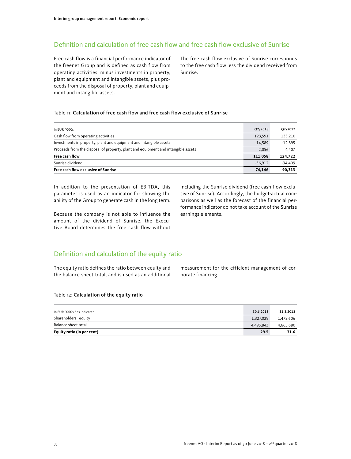#### Definition and calculation of free cash flow and free cash flow exclusive of Sunrise

Free cash flow is a financial performance indicator of the freenet Group and is defined as cash flow from operating activities, minus investments in property, plant and equipment and intangible assets, plus proceeds from the disposal of property, plant and equipment and intangible assets.

The free cash flow exclusive of Sunrise corresponds to the free cash flow less the dividend received from Sunrise.

#### Table 11: Calculation of free cash flow and free cash flow exclusive of Sunrise

| In EUR `000s                                                                      | Q2/2018   | Q2/2017   |
|-----------------------------------------------------------------------------------|-----------|-----------|
| Cash flow from operating activities                                               | 123.591   | 133,210   |
| Investments in property, plant and equipment and intangible assets                | $-14.589$ | $-12.895$ |
| Proceeds from the disposal of property, plant and equipment and intangible assets | 2.056     | 4.407     |
| Free cash flow                                                                    | 111.058   | 124,722   |
| Sunrise dividend                                                                  | $-36.912$ | $-34,409$ |
| Free cash flow exclusive of Sunrise                                               | 74.146    | 90.313    |

In addition to the presentation of EBITDA, this parameter is used as an indicator for showing the ability of the Group to generate cash in the long term.

Because the company is not able to influence the amount of the dividend of Sunrise, the Executive Board determines the free cash flow without

including the Sunrise dividend (free cash flow exclusive of Sunrise). Accordingly, the budget-actual comparisons as well as the forecast of the financial performance indicator do not take account of the Sunrise earnings elements.

#### Definition and calculation of the equity ratio

The equity ratio defines the ratio between equity and the balance sheet total, and is used as an additional measurement for the efficient management of corporate financing.

#### Table 12: Calculation of the equity ratio

| In EUR `000s / as indicated | 30.6.2018 | 31.3.2018 |
|-----------------------------|-----------|-----------|
| Shareholders' equity        | 1.327.029 | 1,473,606 |
| Balance sheet total         | 4.495.843 | 4,665,680 |
| Equity ratio (in per cent)  | 29.5      | 31.6      |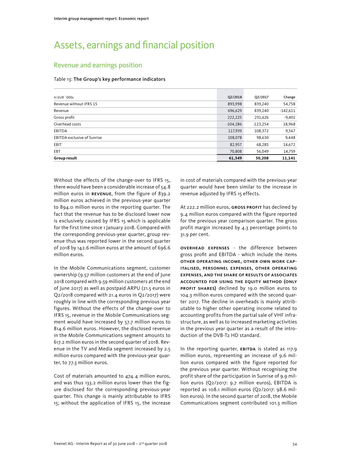# Assets, earnings and financial position

#### Revenue and earnings position

#### Table 13: The Group's key performance indicators

| In EUR `000s                       | Q2/2018    | Q2/2017    | Change     |
|------------------------------------|------------|------------|------------|
| Revenue without IFRS 15            | 893,998    | 839,240    | 54,758     |
| Revenue                            | 696,629    | 839,240    | $-142,611$ |
| Gross profit                       | 222,225    | 231,626    | $-9,401$   |
| Overhead costs                     | $-104,286$ | $-123,254$ | 18,968     |
| EBITDA                             | 117,939    | 108,372    | 9,567      |
| <b>EBITDA</b> exclusive of Sunrise | 108,078    | 98,630     | 9,448      |
| EBIT                               | 82,957     | 68,285     | 14,672     |
| EBT                                | 70,808     | 56,049     | 14,759     |
| Group result                       | 61,349     | 50,208     | 11,141     |

Without the effects of the change-over to IFRS 15, there would have been a considerable increase of 54.8 million euros in REVENUE, from the figure of 839.2 million euros achieved in the previous-year quarter to 894.0 million euros in the reporting quarter. The fact that the revenue has to be disclosed lower now is exclusively caused by IFRS 15 which is applicable for the first time since 1 January 2018. Compared with the corresponding previous-year quarter, group revenue thus was reported lower in the second quarter of 2018 by 142.6 million euros at the amount of 696.6 million euros.

In the Mobile Communications segment, customer ownership (9.57 million customers at the end of June 2018 compared with 9.59 million customers at the end of June 2017) as well as postpaid ARPU (21.5 euros in Q2/2018 compared with 21.4 euros in Q2/2017) were roughly in line with the corresponding previous year figures. Without the effects of the change-over to IFRS 15, revenue in the Mobile Communications segment would have increased by 57.7 million euros to 814.6 million euros. However, the disclosed revenue in the Mobile Communications segment amounts to 617.2 million euros in the second quarter of 2018. Revenue in the TV and Media segment increased by 2.5 million euros compared with the previous-year quarter, to 77.3 million euros.

Cost of materials amounted to 474.4 million euros, and was thus 133.2 million euros lower than the figure disclosed for the corresponding previous-year quarter. This change is mainly attributable to IFRS 15; without the application of IFRS 15, the increase

in cost of materials compared with the previous-year quarter would have been similar to the increase in revenue adjusted by IFRS 15 effects.

At 222.2 million euros, GROSS PROFIT has declined by 9.4 million euros compared with the figure reported for the previous year comparison quarter. The gross profit margin increased by 4.3 percentage points to 31.9 per cent.

Overhead expenses - the difference between gross profit and EBITDA - which include the items other operating income, other own work capitalised, personnel expenses, other operating expenses, and the share of results of associates accounted for using the equity method (only PROFIT SHARES) declined by 19.0 million euros to 104.3 million euros compared with the second quarter 2017. The decline in overheads is mainly attributable to higher other operating income related to accounting profits from the partial sale of VHF infrastructure, as well as to increased marketing activities in the previous year quarter as a result of the introduction of the DVB-T2 HD standard.

In the reporting quarter, EBITDA is stated as 117.9 million euros, representing an increase of 9.6 million euros compared with the figure reported for the previous year quarter. Without recognising the profit share of the participation in Sunrise of 9.9 million euros (Q2/2017: 9.7 million euros), EBITDA is reported as 108.1 million euros (Q2/2017: 98.6 million euros). In the second quarter of 2018, the Mobile Communications segment contributed 101.3 million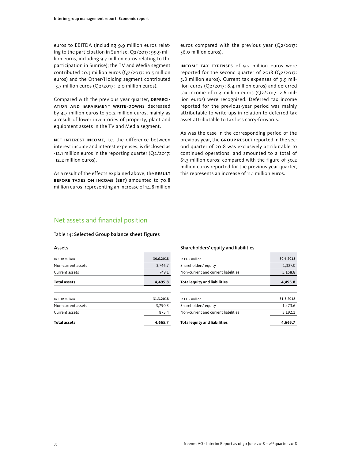euros to EBITDA (including 9.9 million euros relating to the participation in Sunrise; Q2/2017: 99.9 million euros, including 9.7 million euros relating to the participation in Sunrise); the TV and Media segment contributed 20.3 million euros (Q2/2017: 10.5 million euros) and the Other/Holding segment contributed -3.7 million euros (Q2/2017: -2.0 million euros).

Compared with the previous year quarter, DEPRECIation and impairment write-downs decreased by 4.7 million euros to 30.2 million euros, mainly as a result of lower inventories of property, plant and equipment assets in the TV and Media segment.

Net interest income, i.e. the difference between interest income and interest expenses, is disclosed as -12.1 million euros in the reporting quarter (Q2/2017: -12.2 million euros).

As a result of the effects explained above, the RESULT before taxes on income (EBT) amounted to 70.8 million euros, representing an increase of 14.8 million

euros compared with the previous year (Q2/2017: 56.0 million euros).

Income tax expenses of 9.5 million euros were reported for the second quarter of 2018 (Q2/2017: 5.8 million euros). Current tax expenses of 9.9 million euros (Q2/2017: 8.4 million euros) and deferred tax income of 0.4 million euros (Q2/2017: 2.6 million euros) were recognised. Deferred tax income reported for the previous-year period was mainly attributable to write-ups in relation to deferred tax asset attributable to tax loss carry-forwards.

As was the case in the corresponding period of the previous year, the GROUP RESULT reported in the second quarter of 2018 was exclusively attributable to continued operations, and amounted to a total of 61.3 million euros; compared with the figure of 50.2 million euros reported for the previous year quarter, this represents an increase of 11.1 million euros.

#### Net assets and financial position

#### Table 14: Selected Group balance sheet figures

| Assets              |           |
|---------------------|-----------|
| In FUR million      | 30.6.2018 |
| Non-current assets  | 3,746.7   |
| Current assets      | 749.1     |
| <b>Total assets</b> | 4,495.8   |
|                     |           |
| In EUR million      | 31.3.2018 |
| Non-current assets  | 3,790.3   |
| Current assets      | 875.4     |
| <b>Total assets</b> | 4,665.7   |

#### Shareholders' equity and liabilities

| In FUR million                      | 30.6.2018 |
|-------------------------------------|-----------|
| Shareholders' equity                | 1,327.0   |
| Non-current and current liabilities | 3,168.8   |
| <b>Total equity and liabilities</b> | 4,495.8   |
| In FUR million                      | 31.3.2018 |
| Shareholders' equity                | 1,473.6   |
| Non-current and current liabilities | 3,192.1   |
| <b>Total equity and liabilities</b> | 4.665.7   |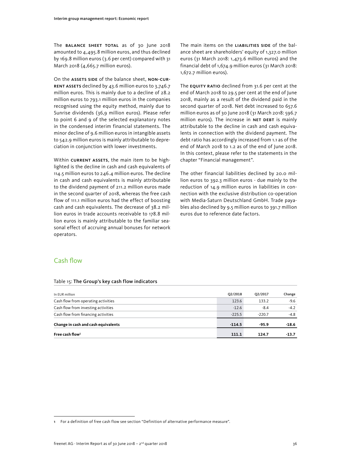The **BALANCE SHEET TOTAL** as of 30 June 2018 amounted to 4,495.8 million euros, and thus declined by 169.8 million euros (3.6 per cent) compared with 31 March 2018 (4,665.7 million euros).

On the ASSETS SIDE of the balance sheet, NON-CURrent assets declined by 43.6 million euros to 3,746.7 million euros. This is mainly due to a decline of 28.2 million euros to 793.1 million euros in the companies recognised using the equity method, mainly due to Sunrise dividends (36,9 million euros). Please refer to point 6 and 9 of the selected explanatory notes in the condensed interim financial statements. The minor decline of 9.6 million euros in intangible assets to 542.9 million euros is mainly attributable to depreciation in conjunction with lower investments.

Within CURRENT ASSETS, the main item to be highlighted is the decline in cash and cash equivalents of 114.5 million euros to 246.4 million euros. The decline in cash and cash equivalents is mainly attributable to the dividend payment of 211.2 million euros made in the second quarter of 2018, whereas the free cash flow of 111.1 million euros had the effect of boosting cash and cash equivalents. The decrease of 38.2 million euros in trade accounts receivable to 178.8 million euros is mainly attributable to the familiar seasonal effect of accruing annual bonuses for network operators.

The main items on the LIABILITIES SIDE of the balance sheet are shareholders' equity of 1,327.0 million euros (31 March 2018: 1,473.6 million euros) and the financial debt of 1,674.9 million euros (31 March 2018: 1,672.7 million euros).

The **EQUITY RATIO** declined from 31.6 per cent at the end of March 2018 to 29.5 per cent at the end of June 2018, mainly as a result of the dividend paid in the second quarter of 2018. Net debt increased to 657.6 million euros as of 30 June 2018 (31 March 2018: 596.7 million euros). The increase in NET DEBT is mainly attributable to the decline in cash and cash equivalents in connection with the dividend payment. The debt ratio has accordingly increased from 1.1 as of the end of March 2018 to 1.2 as of the end of June 2018. In this context, please refer to the statements in the chapter "Financial management".

The other financial liabilities declined by 20.0 million euros to 392.3 million euros - due mainly to the reduction of 14.9 million euros in liabilities in connection with the exclusive distribution co-operation with Media-Saturn Deutschland GmbH. Trade payables also declined by 9.5 million euros to 391.7 million euros due to reference date factors.

#### Cash flow

Table 15: The Group's key cash flow indicators

| In EUR million                      | Q2/2018  | Q2/2017  | Change  |
|-------------------------------------|----------|----------|---------|
| Cash flow from operating activities | 123.6    | 133.2    | $-9.6$  |
| Cash flow from investing activities | $-12.6$  | $-8.4$   | $-4.2$  |
| Cash flow from financing activities | $-225.5$ | $-220.7$ | $-4.8$  |
| Change in cash and cash equivalents | $-114.5$ | $-95.9$  | $-18.6$ |
| Free cash flow $1$                  | 111.1    | 124.7    | $-13.7$ |

<sup>1</sup> For a definition of free cash flow see section "Definition of alternative performance measure".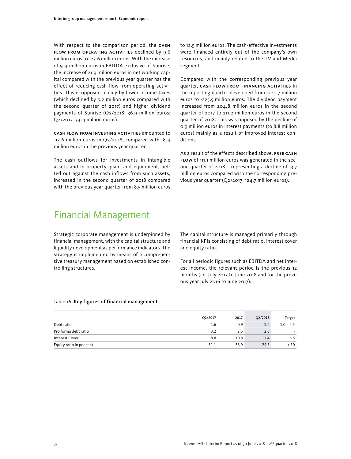With respect to the comparison period, the CASH flow from operating activities declined by 9.6 million euros to 123.6 million euros. With the increase of 9.4 million euros in EBITDA exclusive of Sunrise, the increase of 21.9 million euros in net working capital compared with the previous year quarter has the effect of reducing cash flow from operating activities. This is opposed mainly by lower income taxes (which declined by 5.2 million euros compared with the second quarter of 2017) and higher dividend payments of Sunrise (Q2/2018: 36.9 million euros; Q2/2017: 34.4 million euros).

Cash flow from investing activities amounted to -12.6 million euros in Q2/2018, compared with -8.4 million euros in the previous year quarter.

The cash outflows for investments in intangible assets and in property, plant and equipment, netted out against the cash inflows from such assets, increased in the second quarter of 2018 compared with the previous year quarter from 8.5 million euros to 12.5 million euros. The cash-effective investments were financed entirely out of the company's own resources, and mainly related to the TV and Media segment.

Compared with the corresponding previous year quarter, CASH FLOW FROM FINANCING ACTIVITIES in the reporting quarter developed from -220.7 million euros to -225.5 million euros. The dividend payment increased from 204.8 million euros in the second quarter of 2017 to 211.2 million euros in the second quarter of 2018. This was opposed by the decline of 0.9 million euros in interest payments (to 8.8 million euros) mainly as a result of improved interest conditions.

As a result of the effects described above, free cash FLOW of 111.1 million euros was generated in the second quarter of 2018 – representing a decline of 13.7 million euros compared with the corresponding previous year quarter (Q2/2017: 124.7 million euros).

### Financial Management

Strategic corporate management is underpinned by financial management, with the capital structure and liquidity development as performance indicators. The strategy is implemented by means of a comprehensive treasury management based on established controlling structures.

The capital structure is managed primarily through financial KPIs consisting of debt ratio, interest cover and equity ratio.

For all periodic figures such as EBITDA and net interest income, the relevant period is the previous 12 months (i.e. July 2017 to June 2018 and for the previous year July 2016 to June 2017).

|                          | Q2/2017 | 2017 | Q2/2018 | <b>Target</b> |
|--------------------------|---------|------|---------|---------------|
| Debt ratio               | 1.6     | 0.9  | 1.2     | $1.0 - 2.5$   |
| Pro forma debt ratio     | 3.2     | 2.5  | 2.6     |               |
| Interest Cover           | 8.8     | 10.8 | 11.4    | > 5           |
| Equity ratio in per cent | 31.1    | 33.9 | 29.5    | > 50          |

#### Table 16: Key figures of financial management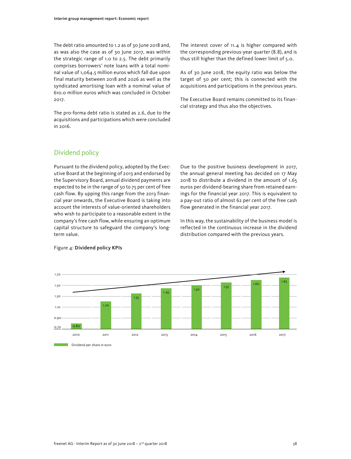The debt ratio amounted to 1.2 as of 30 June 2018 and, as was also the case as of 30 June 2017, was within the strategic range of 1.0 to 2.5. The debt primarily comprises borrowers' note loans with a total nominal value of 1,064.5 million euros which fall due upon final maturity between 2018 and 2026 as well as the syndicated amortising loan with a nominal value of 610.0 million euros which was concluded in October 2017.

The pro-forma debt ratio is stated as 2.6, due to the acquisitions and participations which were concluded in 2016.

The interest cover of 11.4 is higher compared with the corresponding previous-year quarter (8.8), and is thus still higher than the defined lower limit of 5.0.

As of 30 June 2018, the equity ratio was below the target of 50 per cent; this is connected with the acquisitions and participations in the previous years.

The Executive Board remains committed to its financial strategy and thus also the objectives.

### Dividend policy

Pursuant to the dividend policy, adopted by the Executive Board at the beginning of 2013 and endorsed by the Supervisory Board, annual dividend payments are expected to be in the range of 50 to 75 per cent of free cash flow. By upping this range from the 2013 financial year onwards, the Executive Board is taking into account the interests of value-oriented shareholders who wish to participate to a reasonable extent in the company's free cash flow, while ensuring an optimum capital structure to safeguard the company's longterm value.

Due to the positive business development in 2017, the annual general meeting has decided on 17 May 2018 to distribute a dividend in the amount of 1.65 euros per dividend-bearing share from retained earnings for the financial year 2017. This is equivalent to a pay-out ratio of almost 62 per cent of the free cash flow generated in the financial year 2017.

In this way, the sustainability of the business model is reflected in the continuous increase in the dividend distribution compared with the previous years.



Figure 4: Dividend policy KPIs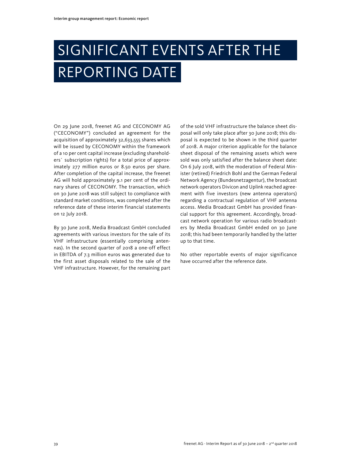# SIGNIFICANT EVENTS AFTER THE REPORTING DATE

On 29 June 2018, freenet AG and CECONOMY AG ("CECONOMY") concluded an agreement for the acquisition of approximately 32,633,555 shares which will be issued by CECONOMY within the framework of a 10 per cent capital increase (excluding shareholders´ subscription rights) for a total price of approximately 277 million euros or 8.50 euros per share. After completion of the capital increase, the freenet AG will hold approximately 9.1 per cent of the ordinary shares of CECONOMY. The transaction, which on 30 June 2018 was still subject to compliance with standard market conditions, was completed after the reference date of these interim financial statements on 12 July 2018.

By 30 June 2018, Media Broadcast GmbH concluded agreements with various investors for the sale of its VHF infrastructure (essentially comprising antennas). In the second quarter of 2018 a one-off effect in EBITDA of 7.3 million euros was generated due to the first asset disposals related to the sale of the VHF infrastructure. However, for the remaining part

of the sold VHF infrastructure the balance sheet disposal will only take place after 30 June 2018; this disposal is expected to be shown in the third quarter of 2018. A major criterion applicable for the balance sheet disposal of the remaining assets which were sold was only satisfied after the balance sheet date: On 6 July 2018, with the moderation of Federal Minister (retired) Friedrich Bohl and the German Federal Network Agency (Bundesnetzagentur), the broadcast network operators Divicon and Uplink reached agreement with five investors (new antenna operators) regarding a contractual regulation of VHF antenna access. Media Broadcast GmbH has provided financial support for this agreement. Accordingly, broadcast network operation for various radio broadcasters by Media Broadcast GmbH ended on 30 June 2018; this had been temporarily handled by the latter up to that time.

No other reportable events of major significance have occurred after the reference date.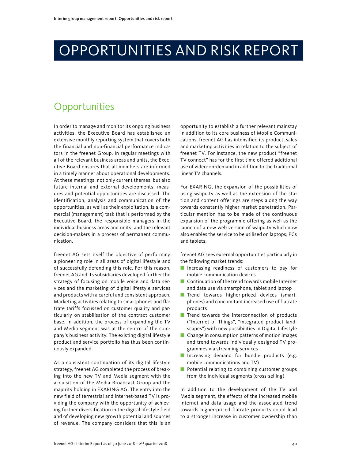# OPPORTUNITIES AND RISK REPORT

## **Opportunities**

In order to manage and monitor its ongoing business activities, the Executive Board has established an extensive monthly reporting system that covers both the financial and non-financial performance indicators in the freenet Group. In regular meetings with all of the relevant business areas and units, the Executive Board ensures that all members are informed in a timely manner about operational developments. At these meetings, not only current themes, but also future internal and external developments, measures and potential opportunities are discussed. The identification, analysis and communication of the opportunities, as well as their exploitation, is a commercial (management) task that is performed by the Executive Board, the responsible managers in the individual business areas and units, and the relevant decision-makers in a process of permanent communication.

freenet AG sets itself the objective of performing a pioneering role in all areas of digital lifestyle and of successfully defending this role. For this reason, freenet AG and its subsidiaries developed further the strategy of focusing on mobile voice and data services and the marketing of digital lifestyle services and products with a careful and consistent approach. Marketing activities relating to smartphones and flatrate tariffs focussed on customer quality and particularly on stabilisation of the contract customer base. In addition, the process of expanding the TV and Media segment was at the centre of the company's business activity. The existing digital lifestyle product and service portfolio has thus been continuously expanded.

As a consistent continuation of its digital lifestyle strategy, freenet AG completed the process of breaking into the new TV and Media segment with the acquisition of the Media Broadcast Group and the majority holding in EXARING AG. The entry into the new field of terrestrial and internet-based TV is providing the company with the opportunity of achieving further diversification in the digital lifestyle field and of developing new growth potential and sources of revenue. The company considers that this is an

opportunity to establish a further relevant mainstay in addition to its core business of Mobile Communications. freenet AG has intensified its product, sales and marketing activities in relation to the subject of freenet TV. For instance, the new product "freenet TV connect" has for the first time offered additional use of video-on-demand in addition to the traditional linear TV channels.

For EXARING, the expansion of the possibilities of using waipu.tv as well as the extension of the station and content offerings are steps along the way towards constantly higher market penetration. Particular mention has to be made of the continuous expansion of the programme offering as well as the launch of a new web version of waipu.tv which now also enables the service to be utilised on laptops, PCs and tablets.

freenet AG sees external opportunities particularly in the following market trends:

- Increasing readiness of customers to pay for mobile communication devices
- Continuation of the trend towards mobile Internet and data use via smartphone, tablet and laptop
- Trend towards higher-priced devices (smartphones) and concomitant increased use of flatrate products
- Trend towards the interconnection of products ("Internet of Things", "integrated product landscapes") with new possibilities in Digital Lifestyle
- Change in consumption patterns of motion images and trend towards individually designed TV programmes via streaming services
- Increasing demand for bundle products (e.g. mobile communications and TV)
- Potential relating to combining customer groups from the individual segments (cross-selling)

In addition to the development of the TV and Media segment, the effects of the increased mobile internet and data usage and the associated trend towards higher-priced flatrate products could lead to a stronger increase in customer ownership than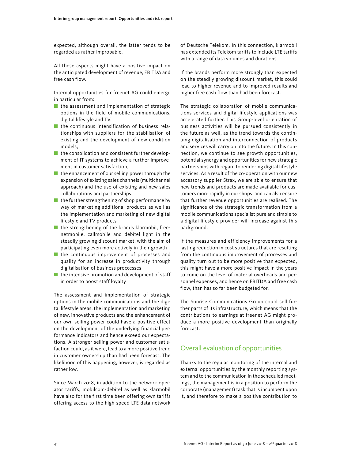expected, although overall, the latter tends to be regarded as rather improbable.

All these aspects might have a positive impact on the anticipated development of revenue, EBITDA and free cash flow.

Internal opportunities for freenet AG could emerge in particular from:

- the assessment and implementation of strategic options in the field of mobile communications, digital lifestyle and TV,
- the continuous intensification of business relationships with suppliers for the stabilisation of existing and the development of new condition models,
- the consolidation and consistent further development of IT systems to achieve a further improvement in customer satisfaction,
- the enhancement of our selling power through the expansion of existing sales channels (multichannel approach) and the use of existing and new sales collaborations and partnerships,
- the further strengthening of shop performance by way of marketing additional products as well as the implementation and marketing of new digital lifestyle and TV products
- the strengthening of the brands klarmobil, freenetmobile, callmobile and debitel light in the steadily growing discount market, with the aim of participating even more actively in their growth
- the continuous improvement of processes and quality for an increase in productivity through digitalisation of business proccesses
- $\blacksquare$  the intensive promotion and development of staff in order to boost staff loyalty

The assessment and implementation of strategic options in the mobile communications and the digital lifestyle areas, the implementation and marketing of new, innovative products and the enhancement of our own selling power could have a positive effect on the development of the underlying financial performance indicators and hence exceed our expectations. A stronger selling power and customer satisfaction could, as it were, lead to a more positive trend in customer ownership than had been forecast. The likelihood of this happening, however, is regarded as rather low.

Since March 2018, in addition to the network operator tariffs, mobilcom-debitel as well as klarmobil have also for the first time been offering own tariffs offering access to the high-speed LTE data network

of Deutsche Telekom. In this connection, klarmobil has extended its Telekom tariffs to include LTE tariffs with a range of data volumes and durations.

If the brands perform more strongly than expected on the steadily growing discount market, this could lead to higher revenue and to improved results and higher free cash flow than had been forecast.

The strategic collaboration of mobile communications services and digital lifestyle applications was accelerated further. This Group-level orientation of business activities will be pursued consistently in the future as well, as the trend towards the continuing digitalisation and interconnection of products and services will carry on into the future. In this connection, we continue to see growth opportunities, potential synergy and opportunities for new strategic partnerships with regard to rendering digital lifestyle services. As a result of the co-operation with our new accessory supplier Strax, we are able to ensure that new trends and products are made available for customers more rapidly in our shops, and can also ensure that further revenue opportunities are realised. The significance of the strategic transformation from a mobile communications specialist pure and simple to a digital lifestyle provider will increase against this background.

If the measures and efficiency improvements for a lasting reduction in cost structures that are resulting from the continuous improvement of processes and quality turn out to be more positive than expected, this might have a more positive impact in the years to come on the level of material overheads and personnel expenses, and hence on EBITDA and free cash flow, than has so far been budgeted for.

The Sunrise Communications Group could sell further parts of its infrastructure, which means that the contributions to earnings at freenet AG might produce a more positive development than originally forecast.

### Overall evaluation of opportunities

Thanks to the regular monitoring of the internal and external opportunities by the monthly reporting system and to the communication in the scheduled meetings, the management is in a position to perform the corporate (management) task that is incumbent upon it, and therefore to make a positive contribution to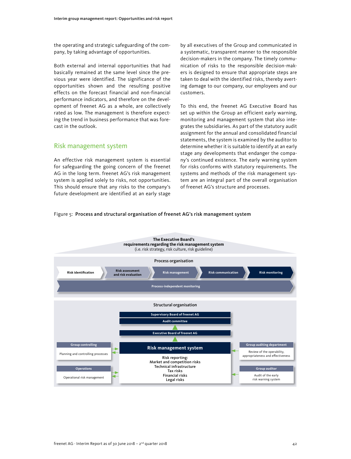the operating and strategic safeguarding of the company, by taking advantage of opportunities.

Both external and internal opportunities that had basically remained at the same level since the previous year were identified. The significance of the opportunities shown and the resulting positive effects on the forecast financial and non-financial performance indicators, and therefore on the development of freenet AG as a whole, are collectively rated as low. The management is therefore expecting the trend in business performance that was forecast in the outlook.

### Risk management system

An effective risk management system is essential for safeguarding the going concern of the freenet AG in the long term. freenet AG's risk management system is applied solely to risks, not opportunities. This should ensure that any risks to the company's future development are identified at an early stage by all executives of the Group and communicated in a systematic, transparent manner to the responsible decision-makers in the company. The timely communication of risks to the responsible decision-makers is designed to ensure that appropriate steps are taken to deal with the identified risks, thereby averting damage to our company, our employees and our customers.

To this end, the freenet AG Executive Board has set up within the Group an efficient early warning, monitoring and management system that also integrates the subsidiaries. As part of the statutory audit assignment for the annual and consolidated financial statements, the system is examined by the auditor to determine whether it is suitable to identify at an early stage any developments that endanger the company's continued existence. The early warning system for risks conforms with statutory requirements. The systems and methods of the risk management system are an integral part of the overall organisation of freenet AG's structure and processes.

#### Figure 5: Process and structural organisation of freenet AG's risk management system

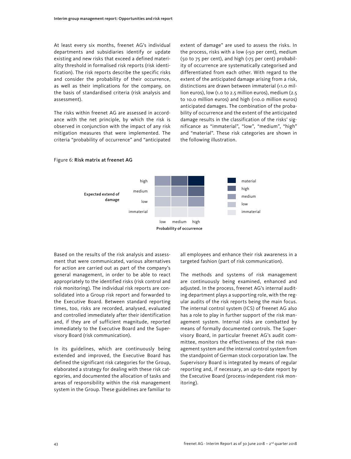At least every six months, freenet AG's individual departments and subsidiaries identify or update existing and new risks that exceed a defined materiality threshold in formalised risk reports (risk identification). The risk reports describe the specific risks and consider the probability of their occurrence, as well as their implications for the company, on the basis of standardised criteria (risk analysis and assessment).

The risks within freenet AG are assessed in accordance with the net principle, by which the risk is observed in conjunction with the impact of any risk mitigation measures that were implemented. The criteria "probability of occurrence" and "anticipated extent of damage" are used to assess the risks. In the process, risks with a low ( $50$  per cent), medium (50 to 75 per cent), and high (>75 per cent) probability of occurrence are systematically categorised and differentiated from each other. With regard to the extent of the anticipated damage arising from a risk, distinctions are drawn between immaterial (<1.0 million euros), low (1.0 to 2.5 million euros), medium (2.5 to 10.0 million euros) and high (>10.0 million euros) anticipated damages. The combination of the probability of occurrence and the extent of the anticipated damage results in the classification of the risks' significance as "immaterial", "low", "medium", "high" and "material". These risk categories are shown in the following illustration.

#### Figure 6: Risk matrix at freenet AG



Based on the results of the risk analysis and assessment that were communicated, various alternatives for action are carried out as part of the company's general management, in order to be able to react appropriately to the identified risks (risk control and risk monitoring). The individual risk reports are consolidated into a Group risk report and forwarded to the Executive Board. Between standard reporting times, too, risks are recorded, analysed, evaluated and controlled immediately after their identification and, if they are of sufficient magnitude, reported immediately to the Executive Board and the Supervisory Board (risk communication).

In its guidelines, which are continuously being extended and improved, the Executive Board has defined the significant risk categories for the Group, elaborated a strategy for dealing with these risk categories, and documented the allocation of tasks and areas of responsibility within the risk management system in the Group. These guidelines are familiar to

all employees and enhance their risk awareness in a targeted fashion (part of risk communication).

The methods and systems of risk management are continuously being examined, enhanced and adjusted. In the process, freenet AG's internal auditing department plays a supporting role, with the regular audits of the risk reports being the main focus. The internal control system (ICS) of freenet AG also has a role to play in further support of the risk management system. Internal risks are combatted by means of formally documented controls. The Supervisory Board, in particular freenet AG's audit committee, monitors the effectiveness of the risk management system and the internal control system from the standpoint of German stock corporation law. The Supervisory Board is integrated by means of regular reporting and, if necessary, an up-to-date report by the Executive Board (process-independent risk monitoring).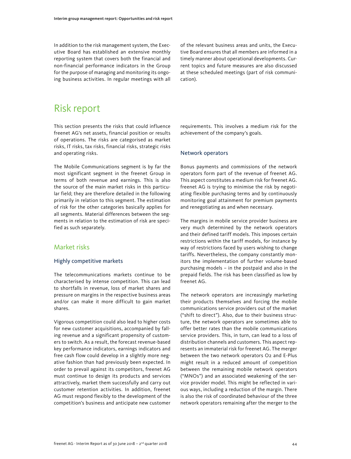In addition to the risk management system, the Executive Board has established an extensive monthly reporting system that covers both the financial and non-financial performance indicators in the Group for the purpose of managing and monitoring its ongoing business activities. In regular meetings with all of the relevant business areas and units, the Executive Board ensures that all members are informed in a timely manner about operational developments. Current topics and future measures are also discussed at these scheduled meetings (part of risk communication).

### Risk report

This section presents the risks that could influence freenet AG's net assets, financial position or results of operations. The risks are categorised as market risks, IT risks, tax risks, financial risks, strategic risks and operating risks.

The Mobile Communications segment is by far the most significant segment in the freenet Group in terms of both revenue and earnings. This is also the source of the main market risks in this particular field; they are therefore detailed in the following primarily in relation to this segment. The estimation of risk for the other categories basically applies for all segments. Material differences between the segments in relation to the estimation of risk are specified as such separately.

### Market risks

### Highly competitive markets

The telecommunications markets continue to be characterised by intense competition. This can lead to shortfalls in revenue, loss of market shares and pressure on margins in the respective business areas and/or can make it more difficult to gain market shares.

Vigorous competition could also lead to higher costs for new customer acquisitions, accompanied by falling revenue and a significant propensity of customers to switch. As a result, the forecast revenue-based key performance indicators, earnings indicators and free cash flow could develop in a slightly more negative fashion than had previously been expected. In order to prevail against its competitors, freenet AG must continue to design its products and services attractively, market them successfully and carry out customer retention activities. In addition, freenet AG must respond flexibly to the development of the competition's business and anticipate new customer

requirements. This involves a medium risk for the achievement of the company's goals.

#### Network operators

Bonus payments and commissions of the network operators form part of the revenue of freenet AG. This aspect constitutes a medium risk for freenet AG. freenet AG is trying to minimise the risk by negotiating flexible purchasing terms and by continuously monitoring goal attainment for premium payments and renegotiating as and when necessary.

The margins in mobile service provider business are very much determined by the network operators and their defined tariff models. This imposes certain restrictions within the tariff models, for instance by way of restrictions faced by users wishing to change tariffs. Nevertheless, the company constantly monitors the implementation of further volume-based purchasing models – in the postpaid and also in the prepaid fields. The risk has been classified as low by freenet AG.

The network operators are increasingly marketing their products themselves and forcing the mobile communications service providers out of the market ("shift to direct"). Also, due to their business structure, the network operators are sometimes able to offer better rates than the mobile communications service providers. This, in turn, can lead to a loss of distribution channels and customers. This aspect represents an immaterial risk for freenet AG. The merger between the two network operators O2 and E-Plus might result in a reduced amount of competition between the remaining mobile network operators ("MNOs") and an associated weakening of the service provider model. This might be reflected in various ways, including a reduction of the margin. There is also the risk of coordinated behaviour of the three network operators remaining after the merger to the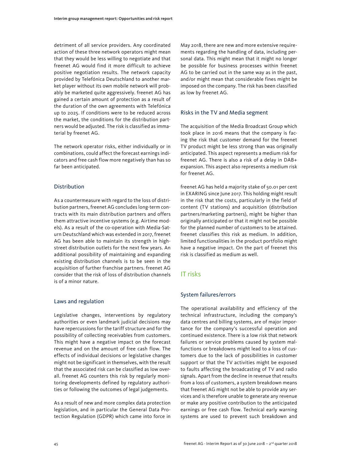detriment of all service providers. Any coordinated action of these three network operators might mean that they would be less willing to negotiate and that freenet AG would find it more difficult to achieve positive negotiation results. The network capacity provided by Telefónica Deutschland to another market player without its own mobile network will probably be marketed quite aggressively. freenet AG has gained a certain amount of protection as a result of the duration of the own agreements with Telefónica up to 2025. If conditions were to be reduced across the market, the conditions for the distribution partners would be adjusted. The risk is classified as immaterial by freenet AG.

The network operator risks, either individually or in combinations, could affect the forecast earnings indicators and free cash flow more negatively than has so far been anticipated.

### Distribution

As a countermeasure with regard to the loss of distribution partners, freenet AG concludes long-term contracts with its main distribution partners and offers them attractive incentive systems (e.g. Airtime models). As a result of the co-operation with Media-Saturn Deutschland which was extended in 2017, freenet AG has been able to maintain its strength in highstreet distribution outlets for the next few years. An additional possibility of maintaining and expanding existing distribution channels is to be seen in the acquisition of further franchise partners. freenet AG consider that the risk of loss of distribution channels is of a minor nature.

### Laws and regulation

Legislative changes, interventions by regulatory authorities or even landmark judicial decisions may have repercussions for the tariff structure and for the possibility of collecting receivables from customers. This might have a negative impact on the forecast revenue and on the amount of free cash flow. The effects of individual decisions or legislative changes might not be significant in themselves, with the result that the associated risk can be classified as low overall. freenet AG counters this risk by regularly monitoring developments defined by regulatory authorities or following the outcomes of legal judgements.

As a result of new and more complex data protection legislation, and in particular the General Data Protection Regulation (GDPR) which came into force in

May 2018, there are new and more extensive requirements regarding the handling of data, including personal data. This might mean that it might no longer be possible for business processes within freenet AG to be carried out in the same way as in the past, and/or might mean that considerable fines might be imposed on the company. The risk has been classified as low by freenet AG.

### Risks in the TV and Media segment

The acquisition of the Media Broadcast Group which took place in 2016 means that the company is facing the risk that customer demand for the freenet TV product might be less strong than was originally anticipated. This aspect represents a medium risk for freenet AG. There is also a risk of a delay in DAB+ expansion. This aspect also represents a medium risk for freenet AG.

freenet AG has held a majority stake of 50.01 per cent in EXARING since June 2017. This holding might result in the risk that the costs, particularly in the field of content (TV stations) and acquisition (distribution partners/marketing partners), might be higher than originally anticipated or that it might not be possible for the planned number of customers to be attained. freenet classifies this risk as medium. In addition, limited functionalities in the product portfolio might have a negative impact. On the part of freenet this risk is classified as medium as well.

### IT risks

#### System failures/errors

The operational availability and efficiency of the technical infrastructure, including the company's data centres and billing systems, are of major importance for the company's successful operation and continued existence. There is a low risk that network failures or service problems caused by system malfunctions or breakdowns might lead to a loss of customers due to the lack of possibilities in customer support or that the TV activities might be exposed to faults affecting the broadcasting of TV and radio signals. Apart from the decline in revenue that results from a loss of customers, a system breakdown means that freenet AG might not be able to provide any services and is therefore unable to generate any revenue or make any positive contribution to the anticipated earnings or free cash flow. Technical early warning systems are used to prevent such breakdown and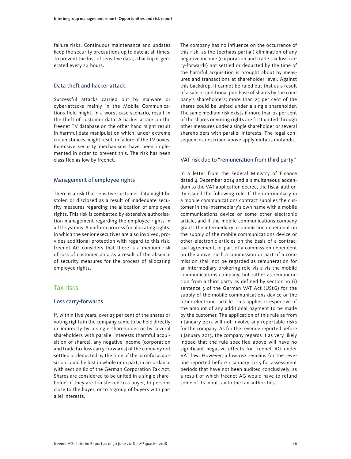failure risks. Continuous maintenance and updates keep the security precautions up to date at all times. To prevent the loss of sensitive data, a backup is generated every 24 hours.

### Data theft and hacker attack

Successful attacks carried out by malware or cyber-attacks mainly in the Mobile Communications field might, in a worst-case scenario, result in the theft of customer data. A hacker attack on the freenet TV database on the other hand might result in harmful data manipulation which, under extreme circumstances, might result in failure of the TV boxes. Extensive security mechanisms have been implemented in order to prevent this. The risk has been classified as low by freenet.

### Management of employee rights

There is a risk that sensitive customer data might be stolen or disclosed as a result of inadequate security measures regarding the allocation of employee rights. This risk is combatted by extensive authorisation management regarding the employee rights in all IT systems. A uniform process for allocating rights, in which the senior executives are also involved, provides additional protection with regard to this risk. freenet AG considers that there is a medium risk of loss of customer data as a result of the absence of security measures for the process of allocating employee rights.

### Tax risks

### Loss carry-forwards

If, within five years, over 25 per cent of the shares or voting rights in the company came to be held directly or indirectly by a single shareholder or by several shareholders with parallel interests (harmful acquisition of shares), any negative income (corporation and trade tax loss carry-forwards) of the company not settled or deducted by the time of the harmful acquisition could be lost in whole or in part, in accordance with section 8c of the German Corporation Tax Act. Shares are considered to be united in a single shareholder if they are transferred to a buyer, to persons close to the buyer, or to a group of buyers with parallel interests.

The company has no influence on the occurrence of this risk, as the (perhaps partial) elimination of any negative income (corporation and trade tax loss carry-forwards) not settled or deducted by the time of the harmful acquisition is brought about by measures and transactions at shareholder level. Against this backdrop, it cannot be ruled out that as a result of a sale or additional purchase of shares by the company's shareholders; more than 25 per cent of the shares could be united under a single shareholder. The same medium risk exists if more than 25 per cent of the shares or voting rights are first united through other measures under a single shareholder or several shareholders with parallel interests. The legal consequences described above apply mutatis mutandis.

### VAT risk due to "remuneration from third party"

In a letter from the Federal Ministry of Finance dated 4 December 2014 and a simultaneous addendum to the VAT application decree, the fiscal authority issued the following rule: If the intermediary in a mobile communications contract supplies the customer in the intermediary's own name with a mobile communications device or some other electronic article, and if the mobile communications company grants the intermediary a commission dependent on the supply of the mobile communications device or other electronic articles on the basis of a contractual agreement, or part of a commission dependent on the above, such a commission or part of a commission shall not be regarded as remuneration for an intermediary brokering role vis-a-vis the mobile communications company, but rather as remuneration from a third party as defined by section 10 (1) sentence 3 of the German VAT Act (UStG) for the supply of the mobile communications device or the other electronic article. This applies irrespective of the amount of any additional payment to be made by the customer. The application of this rule as from 1 January 2015 will not involve any reportable risks for the company. As for the revenue reported before 1 January 2015, the company regards it as very likely indeed that the rule specified above will have no significant negative effects for freenet AG under VAT law. However, a low risk remains for the revenue reported before 1 January 2015 for assessment periods that have not been audited conclusively, as a result of which freenet AG would have to refund some of its input tax to the tax authorities.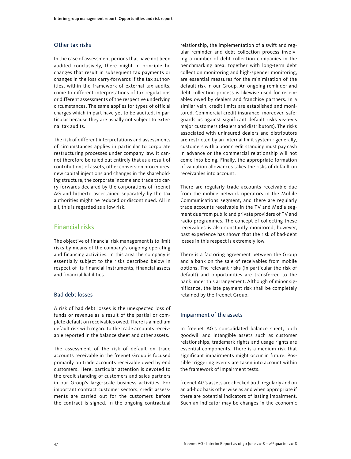### Other tax risks

In the case of assessment periods that have not been audited conclusively, there might in principle be changes that result in subsequent tax payments or changes in the loss carry-forwards if the tax authorities, within the framework of external tax audits, come to different interpretations of tax regulations or different assessments of the respective underlying circumstances. The same applies for types of official charges which in part have yet to be audited, in particular because they are usually not subject to external tax audits.

The risk of different interpretations and assessments of circumstances applies in particular to corporate restructuring processes under company law. It cannot therefore be ruled out entirely that as a result of contributions of assets, other conversion procedures, new capital injections and changes in the shareholding structure, the corporate income and trade tax carry-forwards declared by the corporations of freenet AG and hitherto ascertained separately by the tax authorities might be reduced or discontinued. All in all, this is regarded as a low risk.

### Financial risks

The objective of financial risk management is to limit risks by means of the company's ongoing operating and financing activities. In this area the company is essentially subject to the risks described below in respect of its financial instruments, financial assets and financial liabilities.

### Bad debt losses

A risk of bad debt losses is the unexpected loss of funds or revenue as a result of the partial or complete default on receivables owed. There is a medium default risk with regard to the trade accounts receivable reported in the balance sheet and other assets.

The assessment of the risk of default on trade accounts receivable in the freenet Group is focused primarily on trade accounts receivable owed by end customers. Here, particular attention is devoted to the credit standing of customers and sales partners in our Group's large-scale business activities. For important contract customer sectors, credit assessments are carried out for the customers before the contract is signed. In the ongoing contractual

relationship, the implementation of a swift and regular reminder and debt collection process involving a number of debt collection companies in the benchmarking area, together with long-term debt collection monitoring and high-spender monitoring, are essential measures for the minimisation of the default risk in our Group. An ongoing reminder and debt collection process is likewise used for receivables owed by dealers and franchise partners. In a similar vein, credit limits are established and monitored. Commercial credit insurance, moreover, safeguards us against significant default risks vis-a-vis major customers (dealers and distributors). The risks associated with uninsured dealers and distributors are restricted by an internal limit system - generally, customers with a poor credit standing must pay cash in advance or the commercial relationship will not come into being. Finally, the appropriate formation of valuation allowances takes the risks of default on receivables into account.

There are regularly trade accounts receivable due from the mobile network operators in the Mobile Communications segment, and there are regularly trade accounts receivable in the TV and Media segment due from public and private providers of TV and radio programmes. The concept of collecting these receivables is also constantly monitored; however, past experience has shown that the risk of bad-debt losses in this respect is extremely low.

There is a factoring agreement between the Group and a bank on the sale of receivables from mobile options. The relevant risks (in particular the risk of default) and opportunities are transferred to the bank under this arrangement. Although of minor significance, the late payment risk shall be completely retained by the freenet Group.

### Impairment of the assets

In freenet AG's consolidated balance sheet, both goodwill and intangible assets such as customer relationships, trademark rights and usage rights are essential components. There is a medium risk that significant impairments might occur in future. Possible triggering events are taken into account within the framework of impairment tests.

freenet AG's assets are checked both regularly and on an ad-hoc basis otherwise as and when appropriate if there are potential indicators of lasting impairment. Such an indicator may be changes in the economic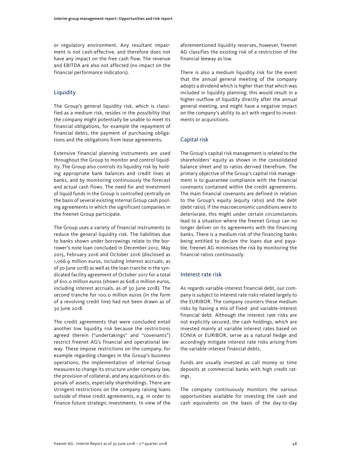or regulatory environment. Any resultant impairment is not cash-effective, and therefore does not have any impact on the free cash flow. The revenue and EBITDA are also not affected (no impact on the financial performance indicators).

### Liquidity

The Group's general liquidity risk, which is classified as a medium risk, resides in the possibility that the company might potentially be unable to meet its financial obligations, for example the repayment of financial debts, the payment of purchasing obligations and the obligations from lease agreements.

Extensive financial planning instruments are used throughout the Group to monitor and control liquidity. The Group also controls its liquidity risk by holding appropriate bank balances and credit lines at banks, and by monitoring continuously the forecast and actual cash flows. The need for and investment of liquid funds in the Group is controlled centrally on the basis of several existing internal Group cash pooling agreements in which the significant companies in the freenet Group participate.

The Group uses a variety of financial instruments to reduce the general liquidity risk. The liabilities due to banks shown under borrowings relate to the borrower's note loan concluded in December 2012, May 2015, February 2016 and October 2016 (disclosed as 1,066.9 million euros, including interest accruals, as of 30 June 2018) as well as the loan tranche in the syndicated facility agreement of October 2017 for a total of 610.0 million euros (shown as 608.0 million euros, including interest accruals, as of 30 June 2018). The second tranche for 100.0 million euros (in the form of a revolving credit line) had not been drawn as of 30 June 2018.

The credit agreements that were concluded entail another low liquidity risk because the restrictions agreed therein ("undertakings" and "covenants") restrict freenet AG's financial and operational leeway. These impose restrictions on the company, for example regarding changes in the Group's business operations, the implementation of internal Group measures to change its structure under company law, the provision of collateral, and any acquisitions or disposals of assets, especially shareholdings. There are stringent restrictions on the company raising loans outside of these credit agreements, e.g. in order to finance future strategic investments. In view of the

aforementioned liquidity reserves, however, freenet AG classifies the existing risk of a restriction of the financial leeway as low.

There is also a medium liquidity risk for the event that the annual general meeting of the company adopts a dividend which is higher than that which was included in liquidity planning; this would result in a higher outflow of liquidity directly after the annual general meeting, and might have a negative impact on the company's ability to act with regard to investments or acquisitions.

### Capital risk

The Group's capital risk management is related to the shareholders' equity as shown in the consolidated balance sheet and to ratios derived therefrom. The primary objective of the Group's capital risk management is to guarantee compliance with the financial covenants contained within the credit agreements. The main financial covenants are defined in relation to the Group's equity (equity ratio) and the debt (debt ratio). If the macroeconomic conditions were to deteriorate, this might under certain circumstances lead to a situation where the freenet Group can no longer deliver on its agreements with the financing banks. There is a medium risk of the financing banks being entitled to declare the loans due and payable. freenet AG minimises the risk by monitoring the financial ratios continuously.

### Interest rate risk

As regards variable-interest financial debt, our company is subject to interest rate risks related largely to the EURIBOR. The company counters these medium risks by having a mix of fixed- and variable-interest financial debt. Although the interest rate risks are not explicitly secured, the cash holdings, which are invested mainly at variable interest rates based on EONIA or EURIBOR, serve as a natural hedge and accordingly mitigate interest rate risks arising from the variable-interest financial debts.

Funds are usually invested as call money or time deposits at commercial banks with high credit ratings.

The company continuously monitors the various opportunities available for investing the cash and cash equivalents on the basis of the day-to-day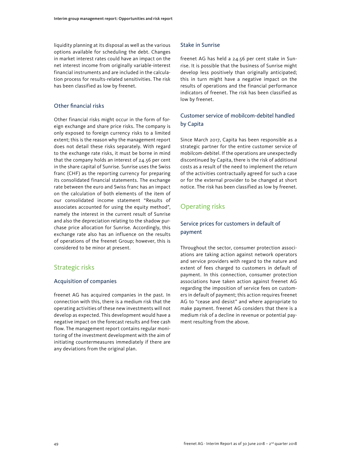liquidity planning at its disposal as well as the various options available for scheduling the debt. Changes in market interest rates could have an impact on the net interest income from originally variable-interest financial instruments and are included in the calculation process for results-related sensitivities. The risk has been classified as low by freenet.

### Other financial risks

Other financial risks might occur in the form of foreign exchange and share price risks. The company is only exposed to foreign currency risks to a limited extent; this is the reason why the management report does not detail these risks separately. With regard to the exchange rate risks, it must be borne in mind that the company holds an interest of 24.56 per cent in the share capital of Sunrise. Sunrise uses the Swiss franc (CHF) as the reporting currency for preparing its consolidated financial statements. The exchange rate between the euro and Swiss franc has an impact on the calculation of both elements of the item of our consolidated income statement "Results of associates accounted for using the equity method", namely the interest in the current result of Sunrise and also the depreciation relating to the shadow purchase price allocation for Sunrise. Accordingly, this exchange rate also has an influence on the results of operations of the freenet Group; however, this is considered to be minor at present.

### Strategic risks

#### Acquisition of companies

freenet AG has acquired companies in the past. In connection with this, there is a medium risk that the operating activities of these new investments will not develop as expected. This development would have a negative impact on the forecast results and free cash flow. The management report contains regular monitoring of the investment development with the aim of initiating countermeasures immediately if there are any deviations from the original plan.

### Stake in Sunrise

freenet AG has held a 24.56 per cent stake in Sunrise. It is possible that the business of Sunrise might develop less positively than originally anticipated; this in turn might have a negative impact on the results of operations and the financial performance indicators of freenet. The risk has been classified as low by freenet.

### Customer service of mobilcom-debitel handled by Capita

Since March 2017, Capita has been responsible as a strategic partner for the entire customer service of mobilcom-debitel. If the operations are unexpectedly discontinued by Capita, there is the risk of additional costs as a result of the need to implement the return of the activities contractually agreed for such a case or for the external provider to be changed at short notice. The risk has been classified as low by freenet.

### Operating risks

### Service prices for customers in default of payment

Throughout the sector, consumer protection associations are taking action against network operators and service providers with regard to the nature and extent of fees charged to customers in default of payment. In this connection, consumer protection associations have taken action against freenet AG regarding the imposition of service fees on customers in default of payment; this action requires freenet AG to "cease and desist" and where appropriate to make payment. freenet AG considers that there is a medium risk of a decline in revenue or potential payment resulting from the above.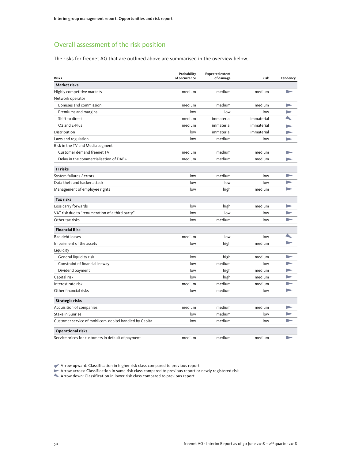### Overall assessment of the risk position

The risks for freenet AG that are outlined above are summarised in the overview below.

| Risks                                                  | Probability<br>of occurrence | <b>Expected extent</b><br>of damage | Risk       | Tendency                  |
|--------------------------------------------------------|------------------------------|-------------------------------------|------------|---------------------------|
| <b>Market risks</b>                                    |                              |                                     |            |                           |
| Highly competitive markets                             | medium                       | medium                              | medium     | <b>Contract Contract</b>  |
| Network operator                                       |                              |                                     |            |                           |
| Bonuses and commission                                 | medium                       | medium                              | medium     |                           |
| Premiums and margins                                   | low                          | low                                 | low        | n.                        |
| Shift to direct                                        | medium                       | immaterial                          | immaterial | $\blacktriangle$          |
| O2 and E-Plus                                          | medium                       | immaterial                          | immaterial | <b>The State</b>          |
| Distribution                                           | low                          | immaterial                          | immaterial | ∍                         |
| Laws and regulation                                    | low                          | medium                              | low        | <b>The State</b>          |
| Risk in the TV and Media segment                       |                              |                                     |            |                           |
| Customer demand freenet TV                             | medium                       | medium                              | medium     |                           |
| Delay in the commercialisation of DAB+                 | medium                       | medium                              | medium     |                           |
| IT risks                                               |                              |                                     |            |                           |
| System failures / errors                               | low                          | medium                              | low        |                           |
| Data theft and hacker attack                           | low                          | low                                 | low        |                           |
| Management of employee rights                          | low                          | high                                | medium     |                           |
| <b>Tax risks</b>                                       |                              |                                     |            |                           |
| Loss carry forwards                                    | low                          | high                                | medium     |                           |
| VAT risk due to "renumeration of a third party"        | low                          | low                                 | low        |                           |
| Other tax risks                                        | low                          | medium                              | low        | <b>The Second Service</b> |
| <b>Financial Risk</b>                                  |                              |                                     |            |                           |
| <b>Bad debt losses</b>                                 | medium                       | low                                 | low        |                           |
| Impairment of the assets                               | low                          | high                                | medium     |                           |
| Liquidity                                              |                              |                                     |            |                           |
| General liquidity risk                                 | low                          | high                                | medium     | n.                        |
| Constraint of financial leeway                         | low                          | medium                              | low        | D                         |
| Dividend payment                                       | low                          | high                                | medium     | D                         |
| Capital risk                                           | low                          | high                                | medium     | T.                        |
| Interest rate risk                                     | medium                       | medium                              | medium     | <b>The Second Service</b> |
| Other financial risks                                  | low                          | medium                              | low        | <b>De</b>                 |
| Strategic risks                                        |                              |                                     |            |                           |
| Acquisition of companies                               | medium                       | medium                              | medium     | n.                        |
| Stake in Sunrise                                       | low                          | medium                              | low        | <b>De</b>                 |
| Customer service of mobilcom-debitel handled by Capita | low                          | medium                              | low        | D                         |
| <b>Operational risks</b>                               |                              |                                     |            |                           |
| Service prices for customers in default of payment     | medium                       | medium                              | medium     | n a                       |

Arrow upward: Classification in higher risk class compared to previous report

Arrow across: Classification in same risk class compared to previous report or newly registered risk

Arrow down: Classification in lower risk class compared to previous report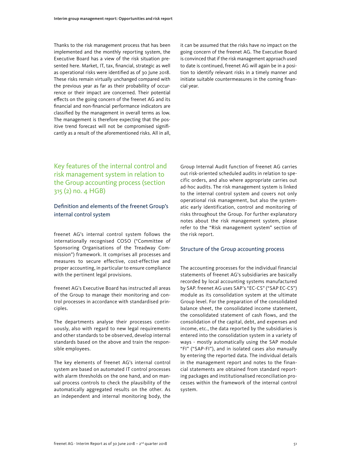Thanks to the risk management process that has been implemented and the monthly reporting system, the Executive Board has a view of the risk situation presented here. Market, IT, tax, financial, strategic as well as operational risks were identified as of 30 June 2018. These risks remain virtually unchanged compared with the previous year as far as their probability of occurrence or their impact are concerned. Their potential effects on the going concern of the freenet AG and its financial and non-financial performance indicators are classified by the management in overall terms as low. The management is therefore expecting that the positive trend forecast will not be compromised significantly as a result of the aforementioned risks. All in all,

it can be assumed that the risks have no impact on the going concern of the freenet AG. The Executive Board is convinced that if the risk management approach used to date is continued, freenet AG will again be in a position to identify relevant risks in a timely manner and initiate suitable countermeasures in the coming financial year.

### Key features of the internal control and risk management system in relation to the Group accounting process (section 315 (2) no. 4 HGB)

### Definition and elements of the freenet Group's internal control system

freenet AG's internal control system follows the internationally recognised COSO ("Committee of Sponsoring Organisations of the Treadway Commission") framework. It comprises all processes and measures to secure effective, cost-effective and proper accounting, in particular to ensure compliance with the pertinent legal provisions.

freenet AG's Executive Board has instructed all areas of the Group to manage their monitoring and control processes in accordance with standardised principles.

The departments analyse their processes continuously, also with regard to new legal requirements and other standards to be observed, develop internal standards based on the above and train the responsible employees.

The key elements of freenet AG's internal control system are based on automated IT control processes with alarm thresholds on the one hand, and on manual process controls to check the plausibility of the automatically aggregated results on the other. As an independent and internal monitoring body, the

Group Internal Audit function of freenet AG carries out risk-oriented scheduled audits in relation to specific orders, and also where appropriate carries out ad-hoc audits. The risk management system is linked to the internal control system and covers not only operational risk management, but also the systematic early identification, control and monitoring of risks throughout the Group. For further explanatory notes about the risk management system, please refer to the "Risk management system" section of the risk report.

### Structure of the Group accounting process

The accounting processes for the individual financial statements of freenet AG's subsidiaries are basically recorded by local accounting systems manufactured by SAP. freenet AG uses SAP's "EC-CS" ("SAP EC-CS") module as its consolidation system at the ultimate Group level. For the preparation of the consolidated balance sheet, the consolidated income statement, the consolidated statement of cash flows, and the consolidation of the capital, debt, and expenses and income, etc., the data reported by the subsidiaries is entered into the consolidation system in a variety of ways - mostly automatically using the SAP module "FI" ("SAP-FI"), and in isolated cases also manually by entering the reported data. The individual details in the management report and notes to the financial statements are obtained from standard reporting packages and institutionalised reconciliation processes within the framework of the internal control system.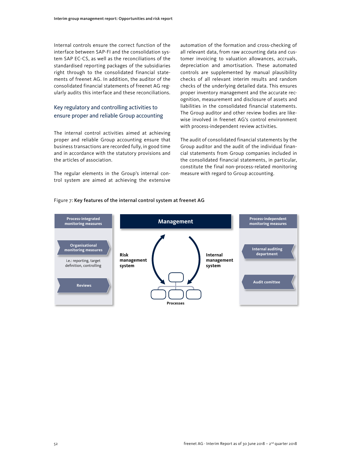Internal controls ensure the correct function of the interface between SAP-FI and the consolidation system SAP EC-CS, as well as the reconciliations of the standardised reporting packages of the subsidiaries right through to the consolidated financial statements of freenet AG. In addition, the auditor of the consolidated financial statements of freenet AG regularly audits this interface and these reconciliations.

### Key regulatory and controlling activities to ensure proper and reliable Group accounting

The internal control activities aimed at achieving proper and reliable Group accounting ensure that business transactions are recorded fully, in good time and in accordance with the statutory provisions and the articles of association.

The regular elements in the Group's internal control system are aimed at achieving the extensive automation of the formation and cross-checking of all relevant data, from raw accounting data and customer invoicing to valuation allowances, accruals, depreciation and amortisation. These automated controls are supplemented by manual plausibility checks of all relevant interim results and random checks of the underlying detailed data. This ensures proper inventory management and the accurate recognition, measurement and disclosure of assets and liabilities in the consolidated financial statements. The Group auditor and other review bodies are likewise involved in freenet AG's control environment with process-independent review activities.

The audit of consolidated financial statements by the Group auditor and the audit of the individual financial statements from Group companies included in the consolidated financial statements, in particular, constitute the final non-process-related monitoring measure with regard to Group accounting.

### Figure 7: Key features of the internal control system at freenet AG

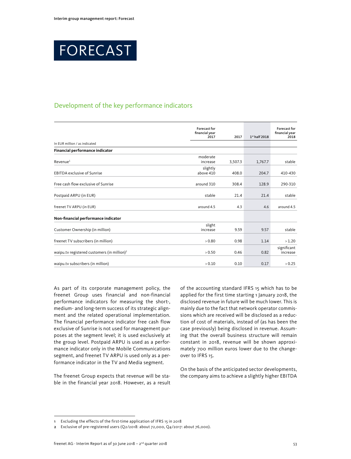

### Development of the key performance indicators

|                                                         | Forecast for<br>financial year<br>2017 | 2017    | 1st half 2018 | Forecast for<br>financial year<br>2018 |
|---------------------------------------------------------|----------------------------------------|---------|---------------|----------------------------------------|
| In EUR million / as indicated                           |                                        |         |               |                                        |
| Financial performance indicator                         |                                        |         |               |                                        |
| Revenue <sup>1</sup>                                    | moderate<br>increase                   | 3,507.3 | 1,767.7       | stable                                 |
| <b>EBITDA</b> exclusive of Sunrise                      | slightly<br>above 410                  | 408.0   | 204.7         | 410-430                                |
| Free cash flow exclusive of Sunrise                     | around 310                             | 308.4   | 128.9         | 290-310                                |
| Postpaid ARPU (in EUR)                                  | stable                                 | 21.4    | 21.4          | stable                                 |
| freenet TV ARPU (in EUR)                                | around 4.5                             | 4.3     | 4.6           | around 4.5                             |
| Non-financial performance indicator                     |                                        |         |               |                                        |
| Customer Ownership (in million)                         | slight<br>increase                     | 9.59    | 9.57          | stable                                 |
| freenet TV subscribers (in million)                     | > 0.80                                 | 0.98    | 1.14          | >1.20                                  |
| waipu.tv registered customers (in million) <sup>2</sup> | > 0.50                                 | 0.46    | 0.82          | significant<br>increase                |
| waipu.tv subscribers (in million)                       | > 0.10                                 | 0.10    | 0.17          | > 0.25                                 |

As part of its corporate management policy, the freenet Group uses financial and non-financial performance indicators for measuring the short-, medium- and long-term success of its strategic alignment and the related operational implementation. The financial performance indicator free cash flow exclusive of Sunrise is not used for management purposes at the segment level; it is used exclusively at the group level. Postpaid ARPU is used as a performance indicator only in the Mobile Communications segment, and freenet TV ARPU is used only as a performance indicator in the TV and Media segment.

The freenet Group expects that revenue will be stable in the financial year 2018. However, as a result of the accounting standard IFRS 15 which has to be applied for the first time starting 1 January 2018, the disclosed revenue in future will be much lower. This is mainly due to the fact that network operator commissions which are received will be disclosed as a reduction of cost of materials, instead of (as has been the case previously) being disclosed in revenue. Assuming that the overall business structure will remain constant in 2018, revenue will be shown approximately 700 million euros lower due to the changeover to IFRS 15.

On the basis of the anticipated sector developments, the company aims to achieve a slightly higher EBITDA

<sup>1</sup> Excluding the effects of the first-time application of IFRS 15 in 2018

<sup>2</sup> Exclusive of pre-registered users (Q2/2018: about 72,000, Q4/2017: about 76,000).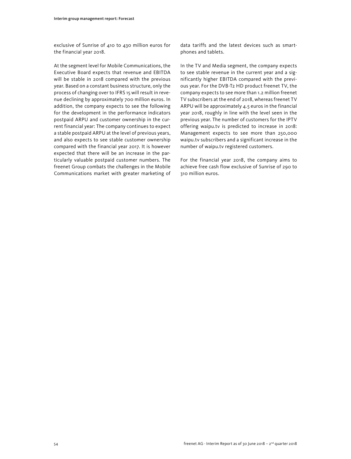exclusive of Sunrise of 410 to 430 million euros for the financial year 2018.

At the segment level for Mobile Communications, the Executive Board expects that revenue and EBITDA will be stable in 2018 compared with the previous year. Based on a constant business structure, only the process of changing over to IFRS 15 will result in revenue declining by approximately 700 million euros. In addition, the company expects to see the following for the development in the performance indicators postpaid ARPU and customer ownership in the current financial year: The company continues to expect a stable postpaid ARPU at the level of previous years, and also expects to see stable customer ownership compared with the financial year 2017. It is however expected that there will be an increase in the particularly valuable postpaid customer numbers. The freenet Group combats the challenges in the Mobile Communications market with greater marketing of data tariffs and the latest devices such as smartphones and tablets.

In the TV and Media segment, the company expects to see stable revenue in the current year and a significantly higher EBITDA compared with the previous year. For the DVB-T2 HD product freenet TV, the company expects to see more than 1.2 million freenet TV subscribers at the end of 2018, whereas freenet TV ARPU will be approximately 4.5 euros in the financial year 2018, roughly in line with the level seen in the previous year. The number of customers for the IPTV offering waipu.tv is predicted to increase in 2018: Management expects to see more than 250,000 waipu.tv subscribers and a significant increase in the number of waipu.tv registered customers.

For the financial year 2018, the company aims to achieve free cash flow exclusive of Sunrise of 290 to 310 million euros.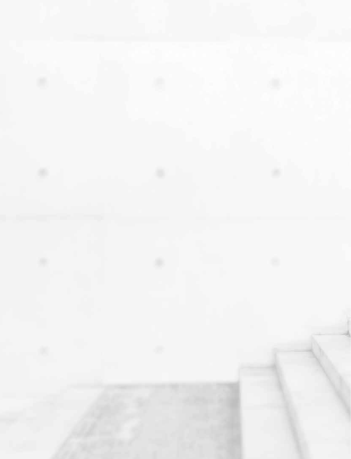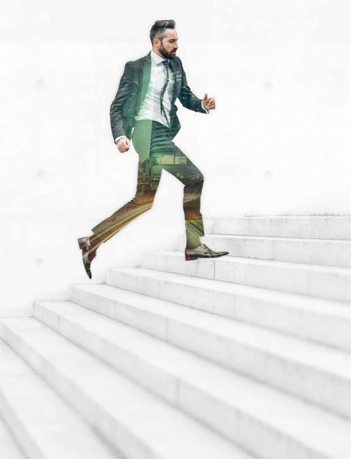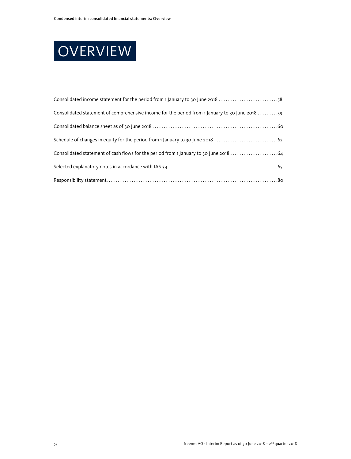

| Consolidated income statement for the period from 1 January to 30 June 2018 58                  |
|-------------------------------------------------------------------------------------------------|
| Consolidated statement of comprehensive income for the period from 1 January to 30 June 2018 59 |
|                                                                                                 |
|                                                                                                 |
|                                                                                                 |
|                                                                                                 |
|                                                                                                 |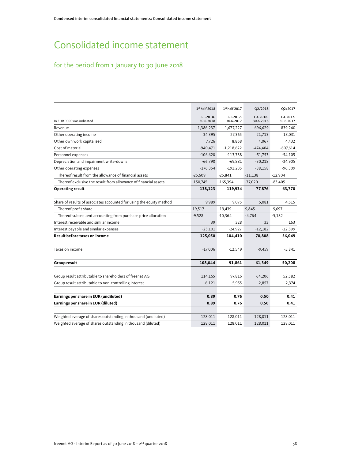## Consolidated income statement

### for the period from 1 January to 30 June 2018

|                                                                      | 1st half 2018          | 1st half 2017          | Q2/2018                | Q2/2017                |
|----------------------------------------------------------------------|------------------------|------------------------|------------------------|------------------------|
| In EUR `000s/as indicated                                            | 1.1.2018-<br>30.6.2018 | 1.1.2017-<br>30.6.2017 | 1.4.2018-<br>30.6.2018 | 1.4.2017-<br>30.6.2017 |
| Revenue                                                              | 1,386,237              | 1,677,227              | 696,629                | 839,240                |
| Other operating income                                               | 34,395                 | 27,365                 | 21,713                 | 13,031                 |
| Other own work capitalised                                           | 7,726                  | 8,868                  | 4,067                  | 4,432                  |
| Cost of material                                                     | $-940,471$             | $-1,218,622$           | $-474,404$             | $-607,614$             |
| Personnel expenses                                                   | $-106,620$             | $-113,788$             | $-51,753$              | $-54,105$              |
| Depreciation and impairment write-downs                              | $-66,790$              | $-69,881$              | $-30,218$              | $-34,905$              |
| Other operating expenses                                             | $-176,354$             | $-191,235$             | $-88,158$              | $-96,309$              |
| Thereof result from the allowance of financial assets                | $-25,609$              | $-25,841$              | $-11,138$              | $-12,904$              |
| Thereof exclusive the result from allowance of financial assets      | $-150,745$             | $-165,394$             | $-77,020$              | $-83,405$              |
| <b>Operating result</b>                                              | 138,123                | 119,934                | 77,876                 | 63,770                 |
|                                                                      |                        |                        |                        |                        |
| Share of results of associates accounted for using the equity method | 9,989                  | 9.075                  | 5,081                  | 4,515                  |
| Thereof profit share                                                 | 19,517                 | 19,439                 | 9,845                  | 9,697                  |
| Thereof subsequent accounting from purchase price allocation         | $-9,528$               | $-10,364$              | $-4,764$               | $-5,182$               |
| Interest receivable and similar income                               | 39                     | 328                    | 33                     | 163                    |
| Interest payable and similar expenses                                | $-23,101$              | $-24,927$              | $-12,182$              | $-12,399$              |
| Result before taxes on income                                        | 125,050                | 104,410                | 70,808                 | 56,049                 |
| Taxes on income                                                      | $-17,006$              | $-12,549$              | $-9,459$               | $-5,841$               |
| Group result                                                         | 108,044                | 91,861                 | 61,349                 | 50,208                 |
| Group result attributable to shareholders of freenet AG              | 114,165                | 97,816                 | 64,206                 | 52,582                 |
| Group result attributable to non-controlling interest                | $-6,121$               | $-5,955$               | $-2,857$               | $-2,374$               |
|                                                                      |                        |                        |                        |                        |
| Earnings per share in EUR (undiluted)                                | 0.89                   | 0.76                   | 0.50                   | 0.41                   |
| Earnings per share in EUR (diluted)                                  | 0.89                   | 0.76                   | 0.50                   | 0.41                   |
|                                                                      |                        |                        |                        |                        |
| Weighted average of shares outstanding in thousand (undiluted)       | 128,011                | 128,011                | 128,011                | 128,011                |
| Weighted average of shares outstanding in thousand (diluted)         | 128,011                | 128,011                | 128,011                | 128,011                |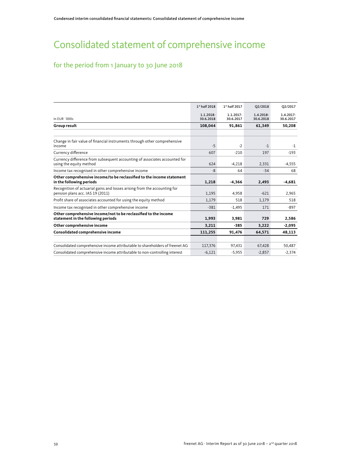# Consolidated statement of comprehensive income

### for the period from 1 January to 30 June 2018

|                                                                                                               | $1st$ half 2018        | 1st half 2017          | O2/2018                | Q2/2017                |
|---------------------------------------------------------------------------------------------------------------|------------------------|------------------------|------------------------|------------------------|
| In EUR `000s                                                                                                  | 1.1.2018-<br>30.6.2018 | 1.1.2017-<br>30.6.2017 | 1.4.2018-<br>30.6.2018 | 1.4.2017-<br>30.6.2017 |
| <b>Group result</b>                                                                                           | 108,044                | 91,861                 | 61,349                 | 50,208                 |
|                                                                                                               |                        |                        |                        |                        |
| Change in fair value of financial instruments through other comprehensive<br>income                           | $-5$                   | $-2$                   | $-1$                   | $-1$                   |
| Currency difference                                                                                           | 607                    | $-210$                 | 197                    | $-193$                 |
| Currency difference from subsequent accounting of associates accounted for<br>using the equity method         | 624                    | $-4.218$               | 2,331                  | $-4,555$               |
| Income tax recognised in other comprehensive income                                                           | $-8$                   | 64                     | $-34$                  | 68                     |
| Other comprehensive income/to be reclassified to the income statement<br>in the following periods             | 1,218                  | $-4,366$               | 2,493                  | $-4,681$               |
| Recognition of actuarial gains and losses arising from the accounting for<br>pension plans acc. IAS 19 (2011) | 1,195                  | 4,958                  | $-621$                 | 2,965                  |
| Profit share of associates accounted for using the equity method                                              | 1,179                  | 518                    | 1,179                  | 518                    |
| Income tax recognised in other comprehensive income                                                           | $-381$                 | $-1,495$               | 171                    | $-897$                 |
| Other comprehensive income/not to be reclassified to the income<br>statement in the following periods         | 1,993                  | 3,981                  | 729                    | 2,586                  |
| Other comprehensive income                                                                                    | 3,211                  | $-385$                 | 3,222                  | $-2,095$               |
| Consolidated comprehensive income                                                                             | 111,255                | 91,476                 | 64,571                 | 48,113                 |
|                                                                                                               |                        |                        |                        |                        |
| Consolidated comprehensive income attributable to shareholders of freenet AG                                  | 117,376                | 97,431                 | 67,428                 | 50,487                 |
| Consolidated comprehensive income attributable to non-controlling interest                                    | $-6,121$               | $-5,955$               | $-2,857$               | $-2,374$               |
|                                                                                                               |                        |                        |                        |                        |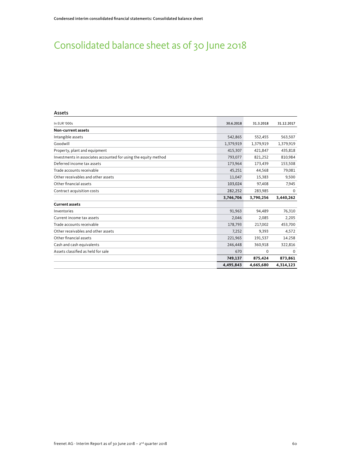# Consolidated balance sheet as of 30 June 2018

#### Assets

| In EUR '000s                                                    | 30.6.2018 | 31.3.2018 | 31.12.2017 |
|-----------------------------------------------------------------|-----------|-----------|------------|
| Non-current assets                                              |           |           |            |
| Intangible assets                                               | 542,865   | 552,455   | 563,507    |
| Goodwill                                                        | 1,379,919 | 1,379,919 | 1,379,919  |
| Property, plant and equipment                                   | 415,307   | 421,847   | 435,818    |
| Investments in associates accounted for using the equity method | 793,077   | 821,252   | 810,984    |
| Deferred income tax assets                                      | 173,964   | 173,439   | 153,508    |
| Trade accounts receivable                                       | 45,251    | 44.568    | 79,081     |
| Other receivables and other assets                              | 11,047    | 15,383    | 9,500      |
| Other financial assets                                          | 103,024   | 97,408    | 7,945      |
| Contract acquisition costs                                      | 282,252   | 283,985   | $\Omega$   |
|                                                                 | 3,746,706 | 3,790,256 | 3,440,262  |
| <b>Current assets</b>                                           |           |           |            |
| Inventories                                                     | 91,963    | 94.489    | 76,310     |
| Current income tax assets                                       | 2,046     | 2.085     | 2,205      |
| Trade accounts receivable                                       | 178,793   | 217,002   | 453,700    |
| Other receivables and other assets                              | 7,252     | 9,393     | 4,572      |
| Other financial assets                                          | 221,965   | 191,537   | 14.258     |
| Cash and cash equivalents                                       | 246,448   | 360,918   | 322,816    |
| Assets classified as held for sale                              | 670       | $\Omega$  | $\Omega$   |
|                                                                 | 749,137   | 875,424   | 873,861    |
|                                                                 | 4,495,843 | 4,665,680 | 4,314,123  |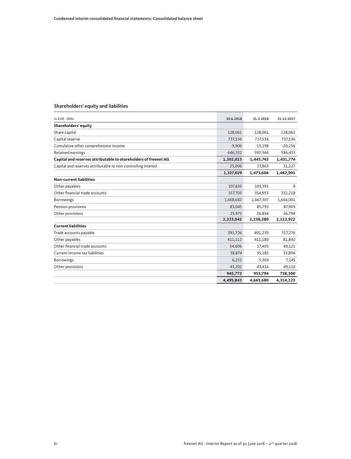### Shareholders' equity and liabilities

| In EUR `000s                                                    | 30.6.2018 | 31.3.2018 | 31.12.2017  |
|-----------------------------------------------------------------|-----------|-----------|-------------|
| Shareholders' equity                                            |           |           |             |
| Share capital                                                   | 128,061   | 128,061   | 128,061     |
| Capital reserve                                                 | 737,536   | 737,536   | 737,536     |
| Cumulative other comprehensive income                           | $-9,906$  | $-13,198$ | $-20,256$   |
| Retained earnings                                               | 446,332   | 593,344   | 586,433     |
| Capital and reserves attributable to shareholders of freenet AG | 1,302,023 | 1,445,743 | 1,431,774   |
| Capital and reserves attributable to non-controlling interest   | 25,006    | 27,863    | 31,127      |
|                                                                 | 1,327,029 | 1,473,606 | 1,462,901   |
| <b>Non-current liabilities</b>                                  |           |           |             |
| Other payables                                                  | 107,635   | 103,391   | $\mathbf 0$ |
| Other financial trade accounts                                  | 337,705   | 354,953   | 332,218     |
| Borrowings                                                      | 1,668,682 | 1,667,307 | 1,666,001   |
| Pension provisions                                              | 83.045    | 85.793    | 87,909      |
| Other provisions                                                | 25,975    | 26.836    | 26,794      |
|                                                                 | 2,223,042 | 2,238,280 | 2,112,922   |
| <b>Current liabilities</b>                                      |           |           |             |
| Trade accounts payable                                          | 391,726   | 401,239   | 517,276     |
| Other payables                                                  | 411,112   | 411,180   | 81,842      |
| Other financial trade accounts                                  | 54,606    | 57,405    | 49,121      |
| Current income tax liabilities                                  | 38,874    | 35,185    | 33,806      |
| Borrowings                                                      | 6,252     | 5,369     | 7,145       |
| Other provisions                                                | 43,202    | 43,416    | 49,110      |
|                                                                 | 945,772   | 953,794   | 738,300     |
|                                                                 | 4,495,843 | 4,665,680 | 4,314,123   |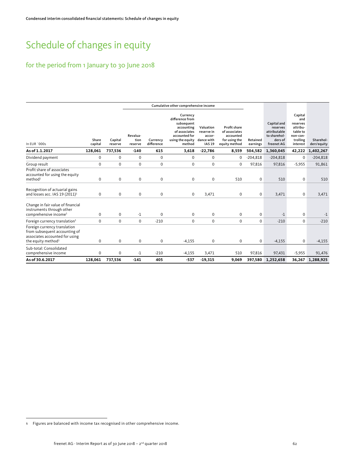# Schedule of changes in equity

### for the period from 1 January to 30 June 2018

|                                                                                                                                   |                  |                    |                             |                        | Cumulative other comprehensive income                                                                                   |                                                                  |                                                                              |                      |                                                                                  |                                                                                        |                          |
|-----------------------------------------------------------------------------------------------------------------------------------|------------------|--------------------|-----------------------------|------------------------|-------------------------------------------------------------------------------------------------------------------------|------------------------------------------------------------------|------------------------------------------------------------------------------|----------------------|----------------------------------------------------------------------------------|----------------------------------------------------------------------------------------|--------------------------|
| In EUR `000s                                                                                                                      | Share<br>capital | Capital<br>reserve | Revalua-<br>tion<br>reserve | Currency<br>difference | Currency<br>difference from<br>subsequent<br>accounting<br>of associates<br>accounted for<br>using the equity<br>method | Valuation<br>reserve in<br>accor-<br>dance with<br><b>IAS 19</b> | Profit share<br>of associates<br>accounted<br>for using the<br>equity method | Retained<br>earnings | Capital and<br>reserves<br>attributable<br>to sharehol-<br>ders of<br>freenet AG | Capital<br>and<br>reserves<br>attribu-<br>table to<br>non-con-<br>trolling<br>interest | Sharehol-<br>ders'equity |
| As of 1.1.2017                                                                                                                    | 128,061          | 737,536            | $-140$                      | 615                    | 3,618                                                                                                                   | $-22,786$                                                        | 8,559                                                                        | 504,582              | 1,360,045                                                                        | 42,222                                                                                 | 1,402,267                |
| Dividend payment                                                                                                                  | 0                | $\mathbf 0$        | $\mathsf{O}\xspace$         | $\mathbf 0$            | $\mathbf 0$                                                                                                             | $\mathbf 0$                                                      | 0                                                                            | $-204,818$           | $-204,818$                                                                       | $\mathbf 0$                                                                            | $-204,818$               |
| Group result                                                                                                                      | 0                | $\mathbf 0$        | $\mathbf 0$                 | $\mathbf 0$            | $\mathbf 0$                                                                                                             | $\mathbf 0$                                                      | 0                                                                            | 97,816               | 97,816                                                                           | $-5,955$                                                                               | 91,861                   |
| Profit share of associates<br>accounted for using the equity<br>method <sup>1</sup>                                               | 0                | $\mathbf 0$        | $\mathbf 0$                 | $\mathbf 0$            | $\mathbf 0$                                                                                                             | $\mathbf 0$                                                      | 510                                                                          | 0                    | 510                                                                              | $\mathbf 0$                                                                            | 510                      |
| Recognition of actuarial gains<br>and losses acc. IAS 19 (2011) <sup>1</sup>                                                      | $\mathbf 0$      | $\mathbf 0$        | $\mathsf{O}\xspace$         | $\mathbf 0$            | $\mathbf 0$                                                                                                             | 3,471                                                            | 0                                                                            | 0                    | 3,471                                                                            | $\mathbf 0$                                                                            | 3,471                    |
| Change in fair value of financial<br>instruments through other<br>comprehensive income <sup>1</sup>                               | $\mathbf 0$      | $\mathbf 0$        | $-1$                        | $\mathbf 0$            | $\mathbf 0$                                                                                                             | $\mathsf{O}\xspace$                                              | $\mathbf 0$                                                                  | $\mathbf 0$          | $-1$                                                                             | $\mathbf 0$                                                                            | -1                       |
| Foreign currency translation <sup>1</sup>                                                                                         | 0                | $\mathbf 0$        | $\mathbf 0$                 | $-210$                 | $\mathbf 0$                                                                                                             | $\mathbf 0$                                                      | $\Omega$                                                                     | $\mathbf 0$          | $-210$                                                                           | $\mathbf 0$                                                                            | $-210$                   |
| Foreign currency translation<br>from subsequent accounting of<br>associates accounted for using<br>the equity method <sup>1</sup> | 0                | $\mathbf 0$        | $\mathbf 0$                 | $\mathbf 0$            | $-4,155$                                                                                                                | $\mathbf 0$                                                      | 0                                                                            | $\mathbf 0$          | $-4,155$                                                                         | $\mathbf 0$                                                                            | $-4,155$                 |
| Sub-total: Consolidated<br>comprehensive income                                                                                   | 0                | $\mathbf 0$        | $-1$                        | $-210$                 | $-4,155$                                                                                                                | 3,471                                                            | 510                                                                          | 97,816               | 97,431                                                                           | $-5,955$                                                                               | 91,476                   |
| As of 30.6.2017                                                                                                                   | 128,061          | 737,536            | $-141$                      | 405                    | $-537$                                                                                                                  | $-19,315$                                                        | 9,069                                                                        | 397,580              | 1,252,658                                                                        | 36,267                                                                                 | 1,288,925                |

<sup>1</sup> Figures are balanced with income tax recognised in other comprehensive income.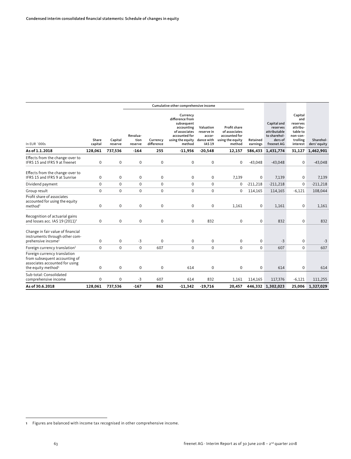|                                                                                                                                   |                  |                     |                             |                        | Cumulative other comprehensive income                                                                                   |                                                                  |                                                                              |                      |                                                                                  |                                                                                        |                           |
|-----------------------------------------------------------------------------------------------------------------------------------|------------------|---------------------|-----------------------------|------------------------|-------------------------------------------------------------------------------------------------------------------------|------------------------------------------------------------------|------------------------------------------------------------------------------|----------------------|----------------------------------------------------------------------------------|----------------------------------------------------------------------------------------|---------------------------|
| In EUR `000s                                                                                                                      | Share<br>capital | Capital<br>reserve  | Revalua-<br>tion<br>reserve | Currency<br>difference | Currency<br>difference from<br>subsequent<br>accounting<br>of associates<br>accounted for<br>using the equity<br>method | Valuation<br>reserve in<br>accor-<br>dance with<br><b>IAS 19</b> | Profit share<br>of associates<br>accounted for<br>using the equity<br>method | Retained<br>earnings | Capital and<br>reserves<br>attributable<br>to sharehol-<br>ders of<br>freenet AG | Capital<br>and<br>reserves<br>attribu-<br>table to<br>non-con-<br>trolling<br>interest | Sharehol-<br>ders' equity |
| As of 1.1.2018                                                                                                                    | 128,061          | 737,536             | $-164$                      | 255                    | $-11,956$                                                                                                               | $-20,548$                                                        | 12,157                                                                       | 586,433              | 1,431,774                                                                        | 31,127                                                                                 | 1,462,901                 |
| Effects from the change-over to<br>IFRS 15 and IFRS 9 at freenet                                                                  | $\mathbf 0$      | 0                   | 0                           | $\pmb{0}$              | $\mathbf 0$                                                                                                             | $\pmb{0}$                                                        | $\mathbf 0$                                                                  | $-43.048$            | $-43,048$                                                                        | 0                                                                                      | $-43,048$                 |
| Effects from the change-over to<br>IFRS 15 and IFRS 9 at Sunrise                                                                  | $\mathbf 0$      | $\mathbf 0$         | 0                           | $\mathbf 0$            | $\mathbf 0$                                                                                                             | $\mathbf 0$                                                      | 7,139                                                                        | 0                    | 7,139                                                                            | 0                                                                                      | 7,139                     |
| Dividend payment                                                                                                                  | $\pmb{0}$        | $\mathbf 0$         | $\mathbf 0$                 | $\mathbf 0$            | $\mathbf 0$                                                                                                             | $\pmb{0}$                                                        | 0                                                                            | $-211,218$           | $-211,218$                                                                       | $\mathbf 0$                                                                            | $-211,218$                |
| Group result                                                                                                                      | $\pmb{0}$        | $\mathbf 0$         | $\mathbf 0$                 | $\mathbf 0$            | $\mathbf 0$                                                                                                             | $\pmb{0}$                                                        | 0                                                                            | 114,165              | 114,165                                                                          | $-6,121$                                                                               | 108,044                   |
| Profit share of associates<br>accounted for using the equity<br>method <sup>1</sup>                                               | $\mathbf 0$      | $\mathbf 0$         | 0                           | $\mathbf 0$            | $\mathbf 0$                                                                                                             | $\mathbf 0$                                                      | 1,161                                                                        | 0                    | 1,161                                                                            | 0                                                                                      | 1,161                     |
| Recognition of actuarial gains<br>and losses acc. IAS 19 (2011) <sup>1</sup>                                                      | $\mathbf 0$      | $\mathbf 0$         | 0                           | $\mathbf 0$            | $\mathbf 0$                                                                                                             | 832                                                              | $\mathbf 0$                                                                  | $\mathbf 0$          | 832                                                                              | $\mathbf 0$                                                                            | 832                       |
| Change in fair value of financial<br>instruments through other com-<br>prehensive income <sup>1</sup>                             | $\mathbf 0$      | $\mathbf 0$         | $-3$                        | $\Omega$               | $\mathbf 0$                                                                                                             | $\pmb{0}$                                                        | $\mathbf 0$                                                                  | 0                    | $-3$                                                                             | $\mathbf 0$                                                                            | $-3$                      |
| Foreign currency translation $1$                                                                                                  | $\pmb{0}$        | $\mathbf 0$         | $\mathbf 0$                 | 607                    | $\mathbf 0$                                                                                                             | $\pmb{0}$                                                        | $\mathbf 0$                                                                  | $\mathbf 0$          | 607                                                                              | $\mathbf 0$                                                                            | 607                       |
| Foreign currency translation<br>from subsequent accounting of<br>associates accounted for using<br>the equity method <sup>1</sup> | $\pmb{0}$        | $\mathsf{O}\xspace$ | $\mathbf 0$                 | $\pmb{0}$              | 614                                                                                                                     | $\pmb{0}$                                                        | 0                                                                            | $\mathbf 0$          | 614                                                                              | $\boldsymbol{0}$                                                                       | 614                       |
| Sub-total: Consolidated<br>comprehensive income                                                                                   | $\mathbf 0$      | $\mathbf 0$         | $-3$                        | 607                    | 614                                                                                                                     | 832                                                              | 1,161                                                                        | 114,165              | 117,376                                                                          | $-6,121$                                                                               | 111,255                   |
| As of 30.6.2018                                                                                                                   | 128,061          | 737,536             | $-167$                      | 862                    | $-11,342$                                                                                                               | $-19,716$                                                        | 20,457                                                                       |                      | 446,332 1,302,023                                                                | 25,006                                                                                 | 1,327,029                 |

<sup>1</sup> Figures are balanced with income tax recognised in other comprehensive income.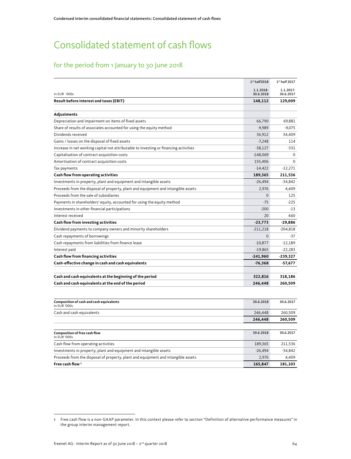## Consolidated statement of cash flows

### for the period from 1 January to 30 June 2018

|                                                                                       | $1st$ half 2018        | 1st half 2017          |
|---------------------------------------------------------------------------------------|------------------------|------------------------|
| In EUR `000s                                                                          | 1.1.2018-<br>30.6.2018 | 1.1.2017-<br>30.6.2017 |
| Result before interest and taxes (EBIT)                                               | 148,112                | 129,009                |
|                                                                                       |                        |                        |
| Adjustments                                                                           |                        |                        |
| Depreciation and impairment on items of fixed assets                                  | 66,790                 | 69,881                 |
| Share of results of associates accounted for using the equity method                  | $-9,989$               | $-9,075$               |
| Dividends received                                                                    | 36,912                 | 34,409                 |
| Gains / losses on the disposal of fixed assets                                        | $-7,248$               | 114                    |
| Increase in net working capital not attributable to investing or financing activities | $-38,127$              | $-531$                 |
| Capitalisation of contract acquisition costs                                          | $-148,069$             | $\Omega$               |
| Amortisation of contract acquisition costs                                            | 155,406                | $\Omega$               |
| Tax payments                                                                          | $-14,422$              | $-12,271$              |
| Cash flow from operating activities                                                   | 189,365                | 211,536                |
| Investments in property, plant and equipment and intangible assets                    | $-26,494$              | $-34,842$              |
| Proceeds from the disposal of property, plant and equipment and intangible assets     | 2,976                  | 4,409                  |
| Proceeds from the sale of subsidiaries                                                | $\Omega$               | 125                    |
| Payments in shareholders' equity, accounted for using the equity method               | $-75$                  | $-225$                 |
| Investments in other financial participations                                         | $-200$                 | $-13$                  |
| Interest received                                                                     | 20                     | 660                    |
| Cash flow from investing activities                                                   | $-23,773$              | $-29,886$              |
| Dividend payments to company owners and minority shareholders                         | $-211,218$             | $-204,818$             |
| Cash repayments of borrowings                                                         | $\Omega$               | $-37$                  |
| Cash repayments from liabilities from finance lease                                   | $-10,877$              | $-12,189$              |
| Interest paid                                                                         | $-19.865$              | $-22,283$              |
| Cash flow from financing activities                                                   | $-241,960$             | -239,327               |
| Cash-effective change in cash and cash equivalents                                    | $-76,368$              | $-57,677$              |
|                                                                                       |                        |                        |
| Cash and cash equivalents at the beginning of the period                              | 322,816                | 318,186                |
| Cash and cash equivalents at the end of the period                                    | 246,448                | 260,509                |
|                                                                                       |                        |                        |
| Composition of cash and cash equivalents<br>In EUR '000s                              | 30.6.2018              | 30.6.2017              |
| Cash and cash equivalents                                                             | 246,448                | 260,509                |
|                                                                                       | 246,448                | 260,509                |
|                                                                                       |                        |                        |
| <b>Composition of free cash flow</b><br>In EUR '000s                                  | 30.6.2018              | 30.6.2017              |
| Cash flow from operating activities                                                   | 189,365                | 211,536                |
| Investments in property, plant and equipment and intangible assets                    | $-26,494$              | $-34,842$              |
| Proceeds from the disposal of property, plant and equipment and intangible assets     | 2,976                  | 4,409                  |
| Free cash flow <sup>1</sup>                                                           | 165,847                | 181,103                |

<sup>1</sup> Free cash flow is a non-GAAP parameter. In this context please refer to section "Definition of alternative performance measures" in the group interim management report.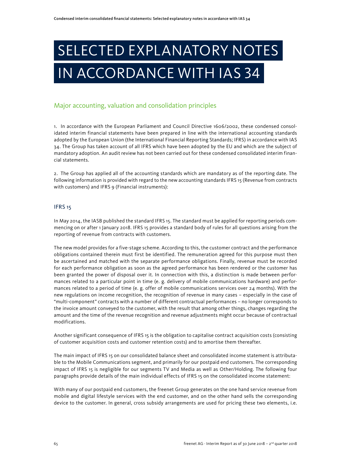# SELECTED EXPLANATORY NOTES IN ACCORDANCE WITH IAS 34

### Major accounting, valuation and consolidation principles

1. In accordance with the European Parliament and Council Directive 1606/2002, these condensed consolidated interim financial statements have been prepared in line with the international accounting standards adopted by the European Union (the International Financial Reporting Standards; IFRS) in accordance with IAS 34. The Group has taken account of all IFRS which have been adopted by the EU and which are the subject of mandatory adoption. An audit review has not been carried out for these condensed consolidated interim financial statements.

2. The Group has applied all of the accounting standards which are mandatory as of the reporting date. The following information is provided with regard to the new accounting standards IFRS 15 (Revenue from contracts with customers) and IFRS 9 (Financial instruments):

### IFRS 15

In May 2014, the IASB published the standard IFRS 15. The standard must be applied for reporting periods commencing on or after 1 January 2018. IFRS 15 provides a standard body of rules for all questions arising from the reporting of revenue from contracts with customers.

The new model provides for a five-stage scheme. According to this, the customer contract and the performance obligations contained therein must first be identified. The remuneration agreed for this purpose must then be ascertained and matched with the separate performance obligations. Finally, revenue must be recorded for each performance obligation as soon as the agreed performance has been rendered or the customer has been granted the power of disposal over it. In connection with this, a distinction is made between performances related to a particular point in time (e. g. delivery of mobile communications hardware) and performances related to a period of time (e. g. offer of mobile communications services over 24 months). With the new regulations on income recognition, the recognition of revenue in many cases – especially in the case of "multi-component" contracts with a number of different contractual performances – no longer corresponds to the invoice amount conveyed to the customer, with the result that among other things, changes regarding the amount and the time of the revenue recognition and revenue adjustments might occur because of contractual modifications.

Another significant consequence of IFRS 15 is the obligation to capitalise contract acquisition costs (consisting of customer acquisition costs and customer retention costs) and to amortise them thereafter.

The main impact of IFRS 15 on our consolidated balance sheet and consolidated income statement is attributable to the Mobile Communications segment, and primarily for our postpaid end customers. The corresponding impact of IFRS 15 is negligible for our segments TV and Media as well as Other/Holding. The following four paragraphs provide details of the main individual effects of IFRS 15 on the consolidated income statement:

With many of our postpaid end customers, the freenet Group generates on the one hand service revenue from mobile and digital lifestyle services with the end customer, and on the other hand sells the corresponding device to the customer. In general, cross subsidy arrangements are used for pricing these two elements, i.e.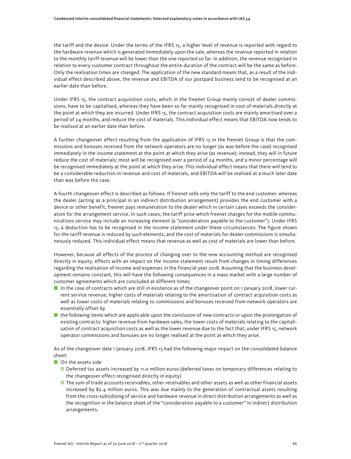the tariff and the device. Under the terms of the IFRS 15, a higher level of revenue is reported with regard to the hardware revenue which is generated immediately upon the sale, whereas the revenue reported in relation to the monthly tariff revenue will be lower than the one reported so far. In addition, the revenue recognised in relation to every customer contract throughout the entire duration of the contract will be the same as before. Only the realisation times are changed: The application of the new standard means that, as a result of the individual effect described above, the revenue and EBITDA of our postpaid business tend to be recognised at an earlier date than before.

Under IFRS 15, the contract acquisition costs, which in the freenet Group mainly consist of dealer commissions, have to be capitalised, whereas they have been so far mainly recognised in cost of materials directly at the point at which they are incurred. Under IFRS 15, the contract acquisition costs are mainly amortised over a period of 24 months, and reduce the cost of materials. This individual effect means that EBITDA now tends to be realised at an earlier date than before.

A further changeover effect resulting from the application of IFRS 15 in the freenet Group is that the commissions and bonuses received from the network operators are no longer (as was before the case) recognised immediately in the income statement at the point at which they arise (as revenue); instead, they will in future reduce the cost of materials: most will be recognised over a period of 24 months, and a minor percentage will be recognised immediately at the point at which they arise. This individual effect means that there will tend to be a considerable reduction in revenue and cost of materials, and EBITDA will be realised at a much later date than was before the case.

A fourth changeover effect is described as follows: If freenet sells only the tariff to the end customer, whereas the dealer (acting as a principal in an indirect distribution arrangement) provides the end customer with a device or other benefit, freenet pays remuneration to the dealer which in certain cases exceeds the consideration for the arrangement service. In such cases, the tariff price which freenet charges for the mobile communications service may include an increasing element (a "consideration payable to the customer"). Under IFRS 15, a deduction has to be recognised in the income statement under these circumstances: The figure shown for the tariff revenue is reduced by such elements, and the cost of materials for dealer commissions is simultaneously reduced. This individual effect means that revenue as well as cost of materials are lower than before.

However, because all effects of the process of changing over to the new accounting method are recognised directly in equity, effects with an impact on the income statement result from changes in timing differences regarding the realisation of income and expenses in the financial year 2018. Assuming that the business development remains constant, this will have the following consequences in a mass market with a large number of customer agreements which are concluded at different times:

- In the case of contracts which are still in existence as of the changeover point on 1 January 2018, lower current service revenue, higher costs of materials relating to the amortisation of contract acquisition costs as well as lower costs of materials relating to commissions and bonuses received from network operators are essentially offset by
- the following items which are applicable upon the conclusion of new contracts or upon the prolongation of existing contracts: higher revenue from hardware sales, the lower costs of materials relating to the capitalisation of contract acquisition costs as well as the lower revenue due to the fact that, under IFRS 15, network operator commissions and bonuses are no longer realised at the point at which they arise.

As of the changeover date 1 January 2018, IFRS 15 had the following major impact on the consolidated balance sheet:

- On the assets side
	- Deferred tax assets increased by 11.0 million euros (deferred taxes on temporary differences relating to the changeover effect recognised directly in equity)
	- The sum of trade accounts receivables, other receivables and other assets as well as other financial assets increased by 82.4 million euros. This was due mainly to the generation of contractual assets resulting from the cross-subsidising of service and hardware revenue in direct distribution arrangements as well as the recognition in the balance sheet of the "consideration payable to a customer" in indirect distribution arrangements.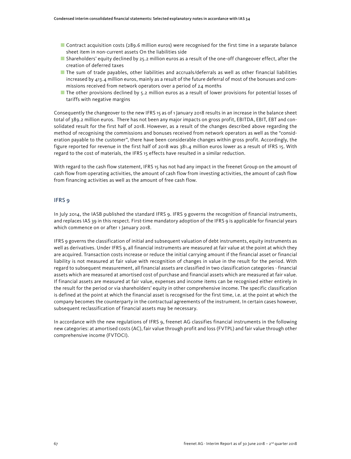- Contract acquisition costs (289.6 million euros) were recognised for the first time in a separate balance sheet item in non-current assets On the liabilities side
- Shareholders' equity declined by 25.2 million euros as a result of the one-off changeover effect, after the creation of deferred taxes
- The sum of trade payables, other liabilities and accruals/deferrals as well as other financial liabilities increased by 413.4 million euros, mainly as a result of the future deferral of most of the bonuses and commissions received from network operators over a period of 24 months
- The other provisions declined by 5.2 million euros as a result of lower provisions for potential losses of tariffs with negative margins

Consequently the changeover to the new IFRS 15 as of 1 January 2018 results in an increase in the balance sheet total of 389.2 million euros. There has not been any major impacts on gross profit, EBITDA, EBIT, EBT and consolidated result for the first half of 2018. However, as a result of the changes described above regarding the method of recognising the commissions and bonuses received from network operators as well as the "consideration payable to the customer", there have been considerable changes within gross profit. Accordingly, the figure reported for revenue in the first half of 2018 was 381.4 million euros lower as a result of IFRS 15. With regard to the cost of materials, the IFRS 15 effects have resulted in a similar reduction.

With regard to the cash flow statement, IFRS 15 has not had any impact in the freenet Group on the amount of cash flow from operating activities, the amount of cash flow from investing activities, the amount of cash flow from financing activities as well as the amount of free cash flow.

#### IFRS 9

In July 2014, the IASB published the standard IFRS 9. IFRS 9 governs the recognition of financial instruments, and replaces IAS 39 in this respect. First-time mandatory adoption of the IFRS 9 is applicable for financial years which commence on or after 1 January 2018.

IFRS 9 governs the classification of initial and subsequent valuation of debt instruments, equity instruments as well as derivatives. Under IFRS 9, all financial instruments are measured at fair value at the point at which they are acquired. Transaction costs increase or reduce the initial carrying amount if the financial asset or financial liability is not measured at fair value with recognition of changes in value in the result for the period. With regard to subsequent measurement, all financial assets are classified in two classification categories - financial assets which are measured at amortised cost of purchase and financial assets which are measured at fair value. If financial assets are measured at fair value, expenses and income items can be recognised either entirely in the result for the period or via shareholders' equity in other comprehensive income. The specific classification is defined at the point at which the financial asset is recognised for the first time, i.e. at the point at which the company becomes the counterparty in the contractual agreements of the instrument. In certain cases however, subsequent reclassification of financial assets may be necessary.

In accordance with the new regulations of IFRS 9, freenet AG classifies financial instruments in the following new categories: at amortised costs (AC), fair value through profit and loss (FVTPL) and fair value through other comprehensive income (FVTOCI).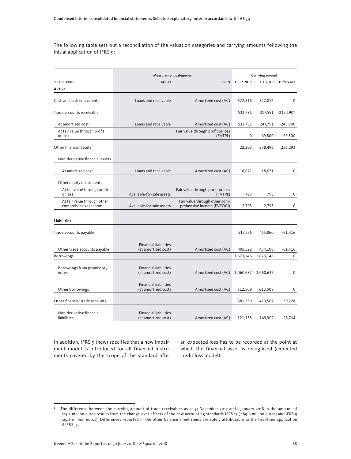The following table sets out a reconciliation of the valuation categories and carrying amounts following the initial application of IFRS 9:

|                                                     | <b>Measurement categories</b>                       | Carrying amount                                             |             |           |             |
|-----------------------------------------------------|-----------------------------------------------------|-------------------------------------------------------------|-------------|-----------|-------------|
| in EUR `000s                                        | <b>IAS 39</b>                                       | IFRS 9                                                      |             |           |             |
| Aktiva                                              |                                                     |                                                             |             |           |             |
| Cash and cash equivalents                           | Loans and receivable                                | Amortized cost (AC)                                         | 322,816     | 322,816   | $\mathbf 0$ |
| Trade accounts receivable                           |                                                     |                                                             | 532,781     | 317,591   | $-215,190*$ |
| At amortized cost                                   | Loans and receivable                                | Amortized cost (AC)                                         | 532,781     | 247,791   | $-248,990$  |
| At fair value through profit<br>or loss             |                                                     | Fair value through profit or loss<br>(FVTPL)                | $\mathbf 0$ | 69,800    | 69,800      |
| Other financial assets                              |                                                     |                                                             | 22,203      | 278,496   | 256,293     |
| Non-derivative financial assets                     |                                                     |                                                             |             |           |             |
| At amortized cost                                   | Loans and receivable                                | Amortized cost (AC)                                         | 18,671      | 18.671    | $\Omega$    |
| Other equity instruments                            |                                                     |                                                             |             |           |             |
| At fair value through profit<br>or loss             | Available-for-sale assets                           | Fair value through profit or loss<br>(FVTPL)                | 793         | 793       | $\mathbf 0$ |
| At fair value through other<br>comprehensive income | Available-for-sale assets                           | Fair value through other com-<br>prehensive income (FVTOCI) | 2,793       | 2.793     | $\mathbf 0$ |
| Liabilities                                         |                                                     |                                                             |             |           |             |
| Trade accounts payable                              |                                                     |                                                             | 517,276     | 455,860   | $-61,416$   |
| Other trade accounts payable                        | <b>Financial liabilities</b><br>(at amortised cost) | Amortized cost (AC)                                         | 495,522     | 434,106   | $-61,416$   |
| <b>Borrowings</b>                                   |                                                     |                                                             | 1,673,146   | 1,673,146 | $\mathbf 0$ |
| Borrowings from promissory<br>notes                 | <b>Financial liabilities</b><br>(at amortized cost) | Amortized cost (AC)                                         | 1,060,637   | 1,060,637 | $\mathbf 0$ |
| Other borrowings                                    | <b>Financial liabilities</b><br>(at amortized cost) | Amortized cost (AC)                                         | 612,509     | 612,509   | $\Omega$    |
| Other financial trade accounts                      |                                                     |                                                             | 381,339     | 420,567   | 39,228      |
| Non-derivative financial<br>liabilities             | <b>Financial liabilities</b><br>(at amortized cost) | Amortized cost (AC)                                         | 121,138     | 149,902   | 28,764      |

In addition, IFRS 9 (new) specifies that a new impairment model is introduced for all financial instruments covered by the scope of the standard after an expected loss has to be recorded at the point at which the financial asset is recognised (expected credit loss model).

<sup>\*</sup> The difference between the carrying amount of trade receivables as at 31 December 2017 and 1 January 2018 in the amount of -215.2 million euros results from the change-over effects of the new accounting standards IFRS 15 (-189.6 million euros) and IFRS 9 (-25,6 million euros). Differences reported in the other balance sheet items are solely attributable to the first-time application of IFRS 15.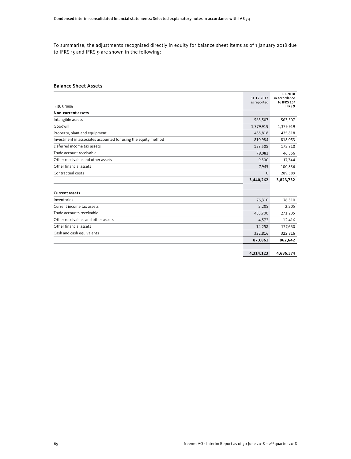To summarise, the adjustments recognised directly in equity for balance sheet items as of 1 January 2018 due to IFRS 15 and IFRS 9 are shown in the following:

#### Balance Sheet Assets

| In EUR '000s                                                   | 31.12.2017<br>as reported | 1.1.2018<br>in accordance<br>to IFRS 15/<br>IFRS9 |
|----------------------------------------------------------------|---------------------------|---------------------------------------------------|
| Non-current assets                                             |                           |                                                   |
| Intangible assets                                              | 563,507                   | 563,507                                           |
| Goodwill                                                       | 1,379,919                 | 1,379,919                                         |
| Property, plant and equipment                                  | 435,818                   | 435,818                                           |
| Investment in associates accounted for using the equity method | 810,984                   | 818,053                                           |
| Deferred income tax assets                                     | 153,508                   | 172,310                                           |
| Trade account receivable                                       | 79,081                    | 46,356                                            |
| Other receivable and other assets                              | 9,500                     | 17,344                                            |
| Other financial assets                                         | 7,945                     | 100,836                                           |
| Contractual costs                                              | $\Omega$                  | 289,589                                           |
|                                                                | 3,440,262                 | 3,823,732                                         |
| <b>Current assets</b>                                          |                           |                                                   |
| Inventories                                                    | 76,310                    | 76,310                                            |
| Current income tax assets                                      | 2,205                     | 2,205                                             |
| Trade accounts receivable                                      | 453,700                   | 271,235                                           |
| Other receivables and other assets                             | 4,572                     | 12,416                                            |
| Other financial assets                                         | 14,258                    | 177,660                                           |
| Cash and cash equivalents                                      | 322,816                   | 322,816                                           |
|                                                                | 873,861                   | 862,642                                           |
|                                                                | 4,314,123                 | 4,686,374                                         |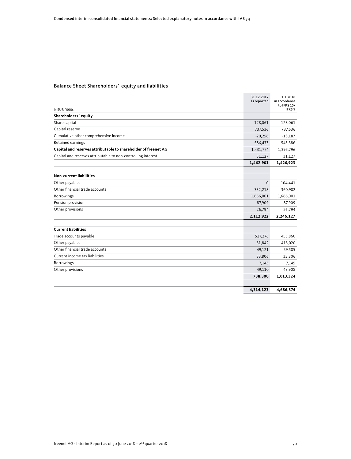### Balance Sheet Shareholders´ equity and liabilities

|                                                                | 31.12.2017<br>as reported | 1.1.2018<br>in accordance<br>to IFRS 15/ |
|----------------------------------------------------------------|---------------------------|------------------------------------------|
| in EUR '000s                                                   |                           | IFRS <sub>9</sub>                        |
| Shareholders' equity                                           |                           |                                          |
| Share capital                                                  | 128,061                   | 128,061                                  |
| Capital reserve                                                | 737,536                   | 737,536                                  |
| Cumulative other comprehensive income                          | $-20,256$                 | $-13,187$                                |
| Retained earnings                                              | 586,433                   | 543,386                                  |
| Capital and reserves attributable to shareholder of freenet AG | 1,431,774                 | 1,395,796                                |
| Capital and reserves attributable to non-controlling interest  | 31,127                    | 31,127                                   |
|                                                                | 1,462,901                 | 1,426,923                                |
| <b>Non-current liabilities</b>                                 |                           |                                          |
| Other payables                                                 | $\Omega$                  | 104,441                                  |
| Other financial trade accounts                                 | 332,218                   | 360,982                                  |
| <b>Borrowings</b>                                              | 1,666,001                 | 1,666,001                                |
| Pension provision                                              | 87,909                    | 87,909                                   |
| Other provisions                                               | 26,794                    | 26,794                                   |
|                                                                | 2,112,922                 | 2,246,127                                |
| <b>Current liabilities</b>                                     |                           |                                          |
| Trade accounts payable                                         | 517,276                   | 455,860                                  |
| Other payables                                                 | 81,842                    | 413,020                                  |
| Other financial trade accounts                                 | 49,121                    | 59,585                                   |
| Current income tax liabilities                                 | 33,806                    | 33,806                                   |
| <b>Borrowings</b>                                              | 7,145                     | 7,145                                    |
| Other provisions                                               | 49,110                    | 43,908                                   |
|                                                                | 738,300                   | 1,013,324                                |
|                                                                | 4,314,123                 | 4,686,374                                |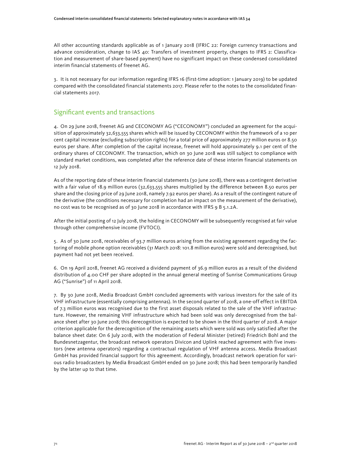All other accounting standards applicable as of 1 January 2018 (IFRIC 22: Foreign currency transactions and advance consideration, change to IAS 40: Transfers of investment property, changes to IFRS 2: Classification and measurement of share-based payment) have no significant impact on these condensed consolidated interim financial statements of freenet AG.

3. It is not necessary for our information regarding IFRS 16 (first-time adoption: 1 January 2019) to be updated compared with the consolidated financial statements 2017. Please refer to the notes to the consolidated financial statements 2017.

### Significant events and transactions

4. On 29 June 2018, freenet AG and CECONOMY AG ("CECONOMY") concluded an agreement for the acquisition of approximately 32,633,555 shares which will be issued by CECONOMY within the framework of a 10 per cent capital increase (excluding subscription rights) for a total price of approximately 277 million euros or 8.50 euros per share. After completion of the capital increase, freenet will hold approximately 9.1 per cent of the ordinary shares of CECONOMY. The transaction, which on 30 June 2018 was still subject to compliance with standard market conditions, was completed after the reference date of these interim financial statements on 12 July 2018.

As of the reporting date of these interim financial statements (30 June 2018), there was a contingent derivative with a fair value of 18.9 million euros (32,633,555 shares multiplied by the difference between 8.50 euros per share and the closing price of 29 June 2018, namely 7.92 euros per share). As a result of the contingent nature of the derivative (the conditions necessary for completion had an impact on the measurement of the derivative), no cost was to be recognised as of 30 June 2018 in accordance with IFRS 9 B 5.1.2A.

After the initial posting of 12 July 2018, the holding in CECONOMY will be subsequently recognised at fair value through other comprehensive income (FVTOCI).

5. As of 30 June 2018, receivables of 93.7 million euros arising from the existing agreement regarding the factoring of mobile phone option receivables (31 March 2018: 101.8 million euros) were sold and derecognised, but payment had not yet been received.

6. On 19 April 2018, freenet AG received a dividend payment of 36.9 million euros as a result of the dividend distribution of 4.00 CHF per share adopted in the annual general meeting of Sunrise Communications Group AG ("Sunrise") of 11 April 2018.

7. By 30 June 2018, Media Broadcast GmbH concluded agreements with various investors for the sale of its VHF infrastructure (essentially comprising antennas). In the second quarter of 2018, a one-off effect in EBITDA of 7.3 million euros was recognised due to the first asset disposals related to the sale of the VHF infrastructure. However, the remaining VHF infrastructure which had been sold was only derecognised from the balance sheet after 30 June 2018; this derecognition is expected to be shown in the third quarter of 2018. A major criterion applicable for the derecognition of the remaining assets which were sold was only satisfied after the balance sheet date: On 6 July 2018, with the moderation of Federal Minister (retired) Friedrich Bohl and the Bundesnetzagentur, the broadcast network operators Divicon and Uplink reached agreement with five investors (new antenna operators) regarding a contractual regulation of VHF antenna access. Media Broadcast GmbH has provided financial support for this agreement. Accordingly, broadcast network operation for various radio broadcasters by Media Broadcast GmbH ended on 30 June 2018; this had been temporarily handled by the latter up to that time.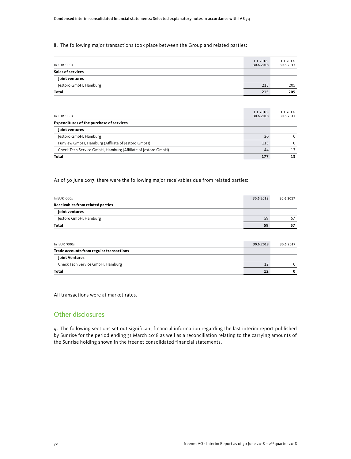### 8. The following major transactions took place between the Group and related parties:

| In EUR '000s             | 1.1.2018-<br>30.6.2018 | 1.1.2017-<br>30.6.2017 |
|--------------------------|------------------------|------------------------|
| <b>Sales of services</b> |                        |                        |
| Joint ventures           |                        |                        |
| Jestoro GmbH, Hamburg    | 215                    | 205                    |
| Total                    | 215                    | 205                    |

| In FUR '000s                                                 | 1.1.2018-<br>30.6.2018 | 1.1.2017-<br>30.6.2017 |
|--------------------------------------------------------------|------------------------|------------------------|
| <b>Expenditures of the purchase of services</b>              |                        |                        |
| Joint ventures                                               |                        |                        |
| Jestoro GmbH, Hamburg                                        | 20                     | $\Omega$               |
| Funview GmbH, Hamburg (Affiliate of Jestoro GmbH)            | 113                    | $\Omega$               |
| Check Tech Service GmbH, Hamburg (Affiliate of Jestoro GmbH) | 44                     | 13                     |
| Total                                                        | 177                    | 13                     |

As of 30 June 2017, there were the following major receivables due from related parties:

| 30.6.2018 | 30.6.2017 |
|-----------|-----------|
|           |           |
|           |           |
| 59        |           |
| 59        | 57        |
|           |           |

| In EUR `000s                             | 30.6.2018 | 30.6.2017 |
|------------------------------------------|-----------|-----------|
| Trade accounts from regular transactions |           |           |
| Joint Ventures                           |           |           |
| Check Tech Service GmbH, Hamburg         | 12        |           |
| Total                                    | 12        |           |

All transactions were at market rates.

### Other disclosures

9. The following sections set out significant financial information regarding the last interim report published by Sunrise for the period ending 31 March 2018 as well as a reconciliation relating to the carrying amounts of the Sunrise holding shown in the freenet consolidated financial statements.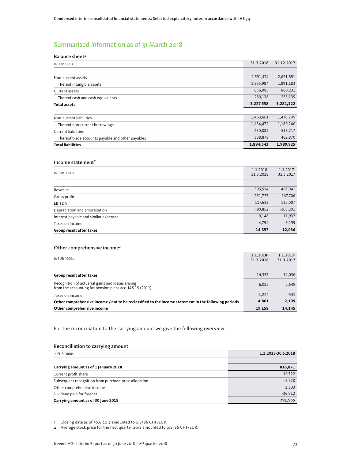### Summarised information as of 31 March 2018

| Balance sheet <sup>1</sup>                        |           |            |
|---------------------------------------------------|-----------|------------|
| In EUR '000s                                      | 31.3.2018 | 31.12.2017 |
|                                                   |           |            |
| Non-current assets                                | 2,591,474 | 2,621,891  |
| Thereof intangible assets                         | 1,835,984 | 1,891,183  |
| Current assets                                    | 636,085   | 660,231    |
| Thereof cash and cash equivalents                 | 239,138   | 233,139    |
| <b>Total assets</b>                               | 3,227,558 | 3,282,122  |
|                                                   |           |            |
| Non-current liabilities                           | 1,463,661 | 1,476,209  |
| Thereof non-current borrowings                    | 1,184,472 | 1,189,246  |
| Current liabilities                               | 430,882   | 513,717    |
| Thereof trade accounts payable and other payables | 388,878   | 462,870    |
| <b>Total liabilities</b>                          | 1,894,543 | 1,989,925  |

#### Income statement<sup>2</sup>

|                                       | 1.1.2018- | 1.1.2017-  |
|---------------------------------------|-----------|------------|
| In EUR `000s                          | 31.3.2018 | 31.3.2017  |
|                                       |           |            |
| Revenue                               | 393,514   | 403,041    |
| Gross profit                          | 251,727   | 267,706    |
| EBITDA                                | 117,633   | 132,007    |
| Depreciation and amortisation         | $-89,852$ | $-103,291$ |
| Interest payable and similar expenses | $-9,148$  | $-11,932$  |
| Taxes on income                       | $-4.794$  | $-5,159$   |
| Group result after taxes              | 14,357    | 12,036     |

### Other comprehensive income2

| In EUR `000s                                                                                                  | 1.1.2018-<br>31.3.2018 | 1.1.2017<br>31.3.2017 |
|---------------------------------------------------------------------------------------------------------------|------------------------|-----------------------|
|                                                                                                               |                        |                       |
| Group result after taxes                                                                                      | 14,357                 | 12,036                |
| Recognition of actuarial gains and losses arising<br>from the accounting for pension plans acc. IAS 19 (2011) | 6,025                  | 2,649                 |
| Taxes on income                                                                                               | $-1.224$               | $-541$                |
| Other comprehensive income / not to be reclassified to the income statement in the following periods          | 4,801                  | 2.109                 |
| Other comprehensive income                                                                                    | 19.158                 | 14.145                |
|                                                                                                               |                        |                       |

For the reconciliation to the carrying amount we give the following overview:

### Reconciliation to carrying amount

| In EUR `000s                                          | 1.1.2018-30.6.2018 |
|-------------------------------------------------------|--------------------|
| Carrying amount as of 1 January 2018                  | 816,871            |
| Current profit share                                  | 19,722             |
| Subsequent recognition from purchase price allocation | $-9,528$           |
| Other comprehensive income                            | 1,803              |
| Dividend paid for freenet                             | $-36,912$          |
| Carrying amount as of 30 June 2018                    | 791.955            |

<sup>1</sup> Closing date as of 30.6.2017 amounted to 0.8586 CHF/EUR.

<sup>2</sup> Average stock price for the first quarter 2018 amounted to 0.8586 CHF/EUR.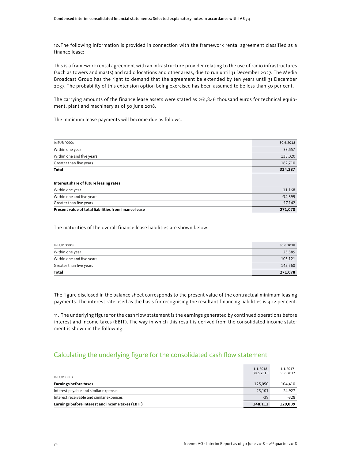10. The following information is provided in connection with the framework rental agreement classified as a finance lease:

This is a framework rental agreement with an infrastructure provider relating to the use of radio infrastructures (such as towers and masts) and radio locations and other areas, due to run until 31 December 2027. The Media Broadcast Group has the right to demand that the agreement be extended by ten years until 31 December 2037. The probability of this extension option being exercised has been assumed to be less than 50 per cent.

The carrying amounts of the finance lease assets were stated as 261,846 thousand euros for technical equipment, plant and machinery as of 30 June 2018.

The minimum lease payments will become due as follows:

| In EUR `000s                                          | 30.6.2018 |
|-------------------------------------------------------|-----------|
| Within one year                                       | 33,557    |
| Within one and five years                             | 138,020   |
| Greater than five years                               | 162,710   |
| Total                                                 | 334,287   |
| Interest share of future leasing rates                |           |
| Within one year                                       | $-11,168$ |
| Within one and five years                             | $-34,899$ |
| Greater than five years                               | $-17,142$ |
| Present value of total liabilities from finance lease | 271,078   |

The maturities of the overall finance lease liabilities are shown below:

| In EUR `000s              | 30.6.2018 |
|---------------------------|-----------|
| Within one year           | 23,389    |
| Within one and five years | 103,121   |
| Greater than five years   | 145,568   |
| Total                     | 271,078   |

The figure disclosed in the balance sheet corresponds to the present value of the contractual minimum leasing payments. The interest rate used as the basis for recognising the resultant financing liabilities is 4.12 per cent.

11. The underlying figure for the cash flow statement is the earnings generated by continued operations before interest and income taxes (EBIT). The way in which this result is derived from the consolidated income statement is shown in the following:

### Calculating the underlying figure for the consolidated cash flow statement

| In EUR '000s                                     | 1.1.2018-<br>30.6.2018 | 1.1.2017-<br>30.6.2017 |
|--------------------------------------------------|------------------------|------------------------|
| <b>Earnings before taxes</b>                     | 125,050                | 104,410                |
| Interest payable and similar expenses            | 23.101                 | 24.927                 |
| Interest receivable and similar expenses         | $-39$                  | $-328$                 |
| Earnings before interest and income taxes (EBIT) | 148.112                | 129,009                |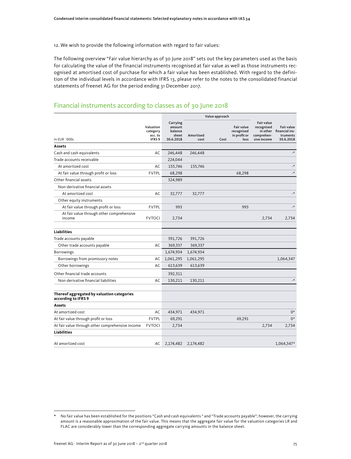12. We wish to provide the following information with regard to fair values:

The following overview "Fair value hierarchy as of 30 June 2018" sets out the key parameters used as the basis for calculating the value of the financial instruments recognised at fair value as well as those instruments recognised at amortised cost of purchase for which a fair value has been established. With regard to the definition of the individual levels in accordance with IFRS 13, please refer to the notes to the consolidated financial statements of freenet AG for the period ending 31 December 2017.

## Financial instruments according to classes as of 30 June 2018

|                                                                   |                                                      |                                                     |                     | Value approach |                                                         |                                                       |                                                                       |
|-------------------------------------------------------------------|------------------------------------------------------|-----------------------------------------------------|---------------------|----------------|---------------------------------------------------------|-------------------------------------------------------|-----------------------------------------------------------------------|
| In EUR '000s                                                      | Valuation<br>category<br>acc.to<br>IFRS <sub>9</sub> | Carrying<br>amount<br>balance<br>sheet<br>30.6.2018 | Amortised<br>cost   | Cost           | <b>Fair value</b><br>recognised<br>in profit or<br>loss | Fair value<br>recognised<br>comprehen-<br>sive income | <b>Fair value</b><br>in other financial ins-<br>truments<br>30.6.2018 |
| Assets                                                            |                                                      |                                                     |                     |                |                                                         |                                                       |                                                                       |
| Cash and cash equivalents                                         | AC                                                   | 246,448                                             | 246,448             |                |                                                         |                                                       | $\mathbf{\star}$                                                      |
| Trade accounts receivable                                         |                                                      | 224,044                                             |                     |                |                                                         |                                                       |                                                                       |
| At amortized cost                                                 | AC                                                   | 155,746                                             | 155,746             |                |                                                         |                                                       | $\mathbf{\star}$                                                      |
| At fair value through profit or loss                              | <b>FVTPL</b>                                         | 68,298                                              |                     |                | 68.298                                                  |                                                       | $\cdot^{\star}$                                                       |
| Other financial assets                                            |                                                      | 324,989                                             |                     |                |                                                         |                                                       |                                                                       |
| Non-derivative financial assets                                   |                                                      |                                                     |                     |                |                                                         |                                                       |                                                                       |
| At amortized cost                                                 | AC                                                   | 32,777                                              | 32,777              |                |                                                         |                                                       | $\cdot$                                                               |
| Other equity instruments                                          |                                                      |                                                     |                     |                |                                                         |                                                       |                                                                       |
| At fair value through profit or loss                              | <b>FVTPL</b>                                         | 993                                                 |                     |                | 993                                                     |                                                       | $\cdot$ *                                                             |
| At fair value through other comprehensive<br>income               | <b>FVTOCI</b>                                        | 2,734                                               |                     |                |                                                         | 2,734                                                 | 2,734                                                                 |
| <b>Liabilities</b>                                                |                                                      |                                                     |                     |                |                                                         |                                                       |                                                                       |
| Trade accounts payable                                            |                                                      | 391,726                                             | 391,726             |                |                                                         |                                                       |                                                                       |
| Other trade accounts payable                                      | AC                                                   | 369,337                                             | 369,337             |                |                                                         |                                                       |                                                                       |
| <b>Borrowings</b>                                                 |                                                      | 1,674,934                                           | 1,674,934           |                |                                                         |                                                       |                                                                       |
| Borrowings from promissory notes                                  | AC                                                   | 1,061,295                                           | 1,061,295           |                |                                                         |                                                       | 1,064,347                                                             |
| Other borrowings                                                  | AC                                                   | 613,639                                             | 613,639             |                |                                                         |                                                       |                                                                       |
| Other financial trade accounts                                    |                                                      | 392,311                                             |                     |                |                                                         |                                                       |                                                                       |
| Non-derivative financial liabilities                              | AC                                                   | 130,211                                             | 130,211             |                |                                                         |                                                       | $\cdot$ *                                                             |
| Thereof aggregated by valuation categories<br>according to IFRS 9 |                                                      |                                                     |                     |                |                                                         |                                                       |                                                                       |
| Assets                                                            |                                                      |                                                     |                     |                |                                                         |                                                       |                                                                       |
| At amortized cost                                                 | AC                                                   | 434,971                                             | 434,971             |                |                                                         |                                                       | $0*$                                                                  |
| At fair value through profit or loss                              | <b>FVTPL</b>                                         | 69,291                                              |                     |                | 69,291                                                  |                                                       | $0*$                                                                  |
| At fair value through other comprehensive income                  | <b>FVTOCI</b>                                        | 2,734                                               |                     |                |                                                         | 2,734                                                 | 2,734                                                                 |
| <b>Liabilities</b>                                                |                                                      |                                                     |                     |                |                                                         |                                                       |                                                                       |
| At amortized cost                                                 | AC                                                   |                                                     | 2,174,482 2,174,482 |                |                                                         |                                                       | 1,064,347*                                                            |

No fair value has been established for the positions "Cash and cash equivalents " and "Trade accounts payable"; however, the carrying amount is a reasonable approximation of the fair value. This means that the aggregate fair value for the valuation categories LR and FLAC are considerably lower than the corresponding aggregate carrying amounts in the balance sheet.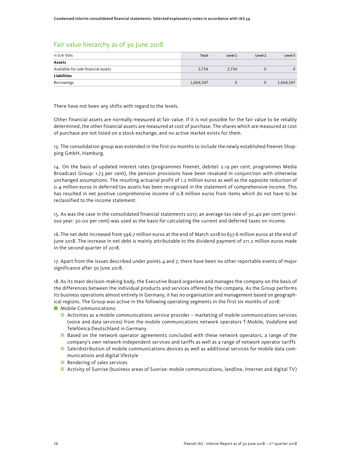### Fair value hierarchy as of 30 June 2018

| In EUR '000s                        | Total     | Level 1 | Level 2 | Level 3   |
|-------------------------------------|-----------|---------|---------|-----------|
|                                     |           |         |         |           |
| Assets                              |           |         |         |           |
| Available-for-sale financial assets | 2.734     | 2.734   |         | 0         |
| Liabilities                         |           |         |         |           |
| Borrowings                          | 1,064,347 |         |         | 1,064,347 |

There have not been any shifts with regard to the levels.

Other financial assets are normally measured at fair value. If it is not possible for the fair value to be reliably determined, the other financial assets are measured at cost of purchase. The shares which are measured at cost of purchase are not listed on a stock exchange, and no active market exists for them.

13. The consolidation group was extended in the first six months to include the newly established freenet Shopping GmbH, Hamburg.

14. On the basis of updated interest rates (programmes freenet, debitel: 2.19 per cent, programmes Media Broadcast Group: 1.73 per cent), the pension provisions have been revalued in conjunction with otherwise unchanged assumptions. The resulting actuarial profit of 1.2 million euros as well as the opposite reduction of 0.4 million euros in deferred tax assets has been recognised in the statement of comprehensive income. This has resulted in net positive comprehensive income of 0.8 million euros from items which do not have to be reclassified to the income statement.

15. As was the case in the consolidated financial statements 2017, an average tax rate of 30.40 per cent (previous year: 30.00 per cent) was used as the basis for calculating the current and deferred taxes on income.

16. The net debt increased from 596.7 million euros at the end of March 2018 to 657.6 million euros at the end of June 2018. The increase in net debt is mainly attributable to the dividend payment of 211.2 million euros made in the second quarter of 2018.

17. Apart from the issues described under points 4 and 7, there have been no other reportable events of major significance after 30 June 2018.

18. As its main decision-making body, the Executive Board organises and manages the company on the basis of the differences between the individual products and services offered by the company. As the Group performs its business operations almost entirely in Germany, it has no organisation and management based on geographical regions. The Group was active in the following operating segments in the first six months of 2018:

■ Mobile Communications:

- Activities as a mobile communications service provider marketing of mobile communications services (voice and data services) from the mobile communications network operators T-Mobile, Vodafone and Telefónica Deutschland in Germany
- Based on the network operator agreements concluded with these network operators, a range of the company's own network-independent services and tariffs as well as a range of network operator tariffs
- Sale/distribution of mobile communications devices as well as additional services for mobile data communications and digital lifestyle
- Rendering of sales services
- Activity of Sunrise (business areas of Sunrise: mobile communications, landline, Internet and digital TV)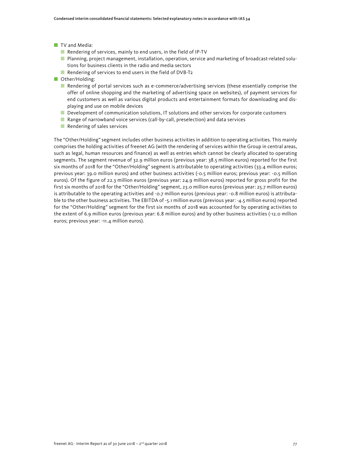- TV and Media:
	- Rendering of services, mainly to end users, in the field of IP-TV
	- Planning, project management, installation, operation, service and marketing of broadcast-related solutions for business clients in the radio and media sectors
	- Rendering of services to end users in the field of DVB-T2
- Other/Holding:
	- Rendering of portal services such as e-commerce/advertising services (these essentially comprise the offer of online shopping and the marketing of advertising space on websites), of payment services for end customers as well as various digital products and entertainment formats for downloading and displaying and use on mobile devices
	- Development of communication solutions, IT solutions and other services for corporate customers
	- Range of narrowband voice services (call-by-call, preselection) and data services
	- Rendering of sales services

The "Other/Holding" segment includes other business activities in addition to operating activities. This mainly comprises the holding activities of freenet AG (with the rendering of services within the Group in central areas, such as legal, human resources and finance) as well as entries which cannot be clearly allocated to operating segments. The segment revenue of 32.9 million euros (previous year: 38.5 million euros) reported for the first six months of 2018 for the "Other/Holding" segment is attributable to operating activities (33.4 million euros; previous year: 39.0 million euros) and other business activities (-0.5 million euros; previous year: -0.5 million euros). Of the figure of 22.3 million euros (previous year: 24.9 million euros) reported for gross profit for the first six months of 2018 for the "Other/Holding" segment, 23.0 million euros (previous year: 25.7 million euros) is attributable to the operating activities and -0.7 million euros (previous year: -0.8 million euros) is attributable to the other business activities. The EBITDA of -5.1 million euros (previous year: -4.5 million euros) reported for the "Other/Holding" segment for the first six months of 2018 was accounted for by operating activities to the extent of 6.9 million euros (previous year: 6.8 million euros) and by other business activities (-12.0 million euros; previous year: -11.4 million euros).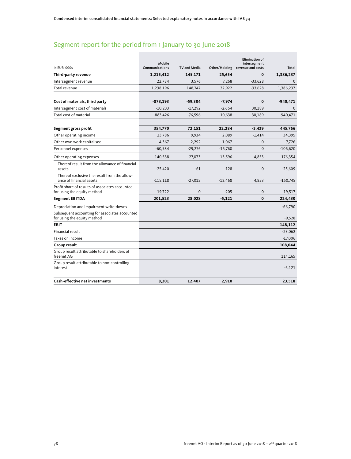# Segment report for the period from 1 January to 30 June 2018

| In EUR '000s                                                                   | Mobile<br>Communications | <b>TV and Media</b> | Other/Holding | <b>Elimination of</b><br>intersegment<br>revenue and costs | Total      |
|--------------------------------------------------------------------------------|--------------------------|---------------------|---------------|------------------------------------------------------------|------------|
| Third-party revenue                                                            | 1,215,412                | 145,171             | 25,654        | 0                                                          | 1,386,237  |
| Intersegment revenue                                                           | 22,784                   | 3,576               | 7,268         | $-33,628$                                                  | $\Omega$   |
| Total revenue                                                                  | 1,238,196                | 148,747             | 32,922        | $-33,628$                                                  | 1,386,237  |
| Cost of materials, third party                                                 | $-873,193$               | $-59,304$           | $-7,974$      | 0                                                          | $-940,471$ |
| Intersegment cost of materials                                                 | $-10,233$                | $-17,292$           | $-2,664$      | 30,189                                                     | $\Omega$   |
| Total cost of material                                                         | $-883,426$               | $-76,596$           | $-10,638$     | 30,189                                                     | $-940.471$ |
| Segment gross profit                                                           | 354,770                  | 72,151              | 22,284        | $-3,439$                                                   | 445,766    |
| Other operating income                                                         | 23,786                   | 9,934               | 2,089         | $-1,414$                                                   | 34,395     |
| Other own work capitalised                                                     | 4,367                    | 2,292               | 1,067         | $\Omega$                                                   | 7,726      |
| Personnel expenses                                                             | $-60,584$                | $-29,276$           | $-16,760$     | $\Omega$                                                   | $-106,620$ |
| Other operating expenses                                                       | $-140,538$               | $-27.073$           | $-13,596$     | 4.853                                                      | $-176,354$ |
| Thereof result from the allowance of financial<br>assets                       | $-25,420$                | $-61$               | $-128$        | $\mathbf 0$                                                | $-25,609$  |
| Thereof exclusive the result from the allow-<br>ance of financial assets       | $-115,118$               | $-27,012$           | $-13,468$     | 4,853                                                      | $-150,745$ |
| Profit share of results of associates accounted<br>for using the equity method | 19,722                   | $\Omega$            | $-205$        | $\mathbf 0$                                                | 19,517     |
| <b>Segment EBITDA</b>                                                          | 201,523                  | 28,028              | $-5,121$      | 0                                                          | 224,430    |
| Depreciation and impairment write-downs                                        |                          |                     |               |                                                            | $-66,790$  |
| Subsequent accounting for associates accounted<br>for using the equity method  |                          |                     |               |                                                            | $-9,528$   |
| <b>EBIT</b>                                                                    |                          |                     |               |                                                            | 148,112    |
| Financial result                                                               |                          |                     |               |                                                            | $-23,062$  |
| Taxes on income                                                                |                          |                     |               |                                                            | $-17,006$  |
| <b>Group result</b>                                                            |                          |                     |               |                                                            | 108,044    |
| Group result attributable to shareholders of<br>freenet AG                     |                          |                     |               |                                                            | 114,165    |
| Group result attributable to non-controlling<br>interest                       |                          |                     |               |                                                            | $-6,121$   |
| <b>Cash-effective net investments</b>                                          | 8.201                    | 12,407              | 2,910         |                                                            | 23,518     |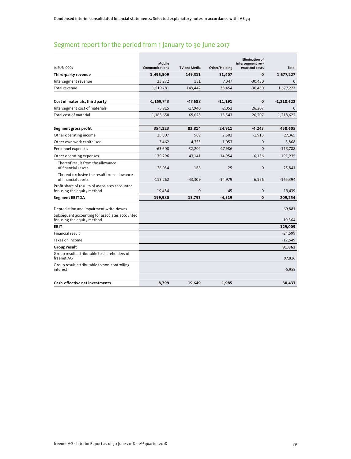# Segment report for the period from 1 January to 30 June 2017

| In FUR '000s                                                                   | Mobile<br>Communications | TV and Media | Other/Holding | <b>Elimination of</b><br>intersegment rev-<br>enue and costs | Total        |
|--------------------------------------------------------------------------------|--------------------------|--------------|---------------|--------------------------------------------------------------|--------------|
| Third-party revenue                                                            | 1,496,509                | 149,311      | 31,407        | $\mathbf{0}$                                                 | 1,677,227    |
| Intersegment revenue                                                           | 23,272                   | 131          | 7,047         | $-30,450$                                                    | $\Omega$     |
| Total revenue                                                                  | 1,519,781                | 149,442      | 38,454        | $-30,450$                                                    | 1,677,227    |
| Cost of materials, third party                                                 | $-1,159,743$             | $-47,688$    | $-11,191$     | $\mathbf 0$                                                  | $-1,218,622$ |
| Intersegment cost of materials                                                 | $-5,915$                 | $-17,940$    | $-2,352$      | 26,207                                                       | $\Omega$     |
| Total cost of material                                                         | $-1,165,658$             | $-65,628$    | $-13,543$     | 26,207                                                       | $-1,218,622$ |
| Segment gross profit                                                           | 354,123                  | 83,814       | 24,911        | $-4,243$                                                     | 458,605      |
| Other operating income                                                         | 25,807                   | 969          | 2,502         | $-1,913$                                                     | 27,365       |
| Other own work capitalised                                                     | 3,462                    | 4,353        | 1,053         | $\Omega$                                                     | 8,868        |
| Personnel expenses                                                             | $-63,600$                | $-32,202$    | $-17,986$     | $\Omega$                                                     | $-113,788$   |
| Other operating expenses                                                       | $-139,296$               | $-43,141$    | $-14,954$     | 6,156                                                        | $-191,235$   |
| Thereof result from the allowance<br>of financial assets                       | $-26,034$                | 168          | 25            | $\mathbf 0$                                                  | $-25,841$    |
| Thereof exclusive the result from allowance<br>of financial assets             | $-113,262$               | $-43,309$    | $-14,979$     | 6,156                                                        | $-165,394$   |
| Profit share of results of associates accounted<br>for using the equity method | 19,484                   | $\Omega$     | $-45$         | $\overline{0}$                                               | 19.439       |
| <b>Segment EBITDA</b>                                                          | 199,980                  | 13,793       | $-4,519$      | $\mathbf{0}$                                                 | 209,254      |
| Depreciation and impairment write-downs                                        |                          |              |               |                                                              | $-69,881$    |
| Subsequent accounting for associates accounted<br>for using the equity method  |                          |              |               |                                                              | $-10,364$    |
| <b>EBIT</b>                                                                    |                          |              |               |                                                              | 129,009      |
| Financial result                                                               |                          |              |               |                                                              | $-24,599$    |
| Taxes on income                                                                |                          |              |               |                                                              | $-12,549$    |
| Group result                                                                   |                          |              |               |                                                              | 91,861       |
| Group result attributable to shareholders of<br>freenet AG                     |                          |              |               |                                                              | 97,816       |
| Group result attributable to non-controlling<br>interest                       |                          |              |               |                                                              | $-5,955$     |
| <b>Cash-effective net investments</b>                                          | 8.799                    | 19.649       | 1.985         |                                                              | 30.433       |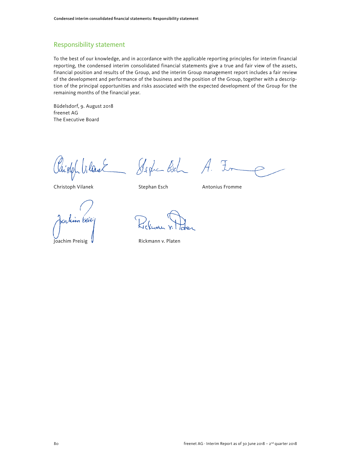#### Responsibility statement

To the best of our knowledge, and in accordance with the applicable reporting principles for interim financial reporting, the condensed interim consolidated financial statements give a true and fair view of the assets, financial position and results of the Group, and the interim Group management report includes a fair review of the development and performance of the business and the position of the Group, together with a description of the principal opportunities and risks associated with the expected development of the Group for the remaining months of the financial year.

Büdelsdorf, 9. August 2018 freenet AG The Executive Board

Chiefph Vilent Stephen Boch A. Fr

Christoph Vilanek Stephan Esch Antonius Fromme

Jaction Keisip

Joachim Preisig V **Rickmann v. Platen**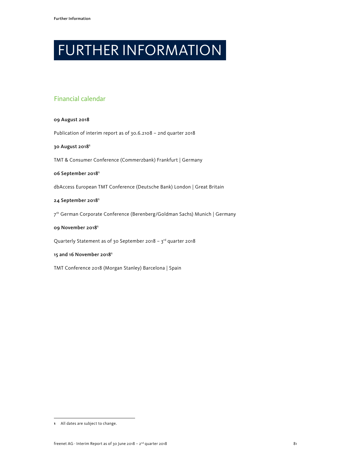# FURTHER INFORMATION

### Financial calendar

#### 09 August 2018

Publication of interim report as of 30.6.2108 – 2nd quarter 2018

#### 30 August 2018<sup>1</sup>

TMT & Consumer Conference (Commerzbank) Frankfurt | Germany

#### 06 September 2018<sup>1</sup>

dbAccess European TMT Conference (Deutsche Bank) London | Great Britain

#### 24 September 2018<sup>1</sup>

7th German Corporate Conference (Berenberg/Goldman Sachs) Munich | Germany

#### 09 November 2018<sup>1</sup>

Quarterly Statement as of 30 September 2018 - 3rd quarter 2018

#### 15 and 16 November 2018<sup>1</sup>

TMT Conference 2018 (Morgan Stanley) Barcelona | Spain

**<sup>1</sup>** All dates are subject to change.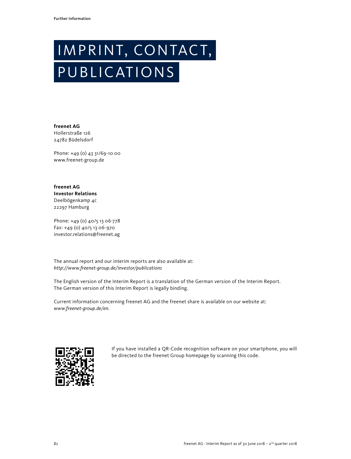# IMPRINT, CONTACT, PUBLICATIONS

**freenet AG** Hollerstraße 126 24782 Büdelsdorf

Phone: +49 (0) 43 31/69-10 00 www.freenet-group.de

**freenet AG Investor Relations** Deelbögenkamp 4c 22297 Hamburg

Phone: +49 (0) 40/5 13 06-778 Fax: +49 (0) 40/5 13 06-970 investor.relations@freenet.ag

The annual report and our interim reports are also available at: *http://www.freenet-group.de/investor/publications*

The English version of the Interim Report is a translation of the German version of the Interim Report. The German version of this Interim Report is legally binding.

Current information concerning freenet AG and the freenet share is available on our website at: *www.freenet-group.de/en.*



If you have installed a QR-Code recognition software on your smartphone, you will be directed to the freenet Group homepage by scanning this code.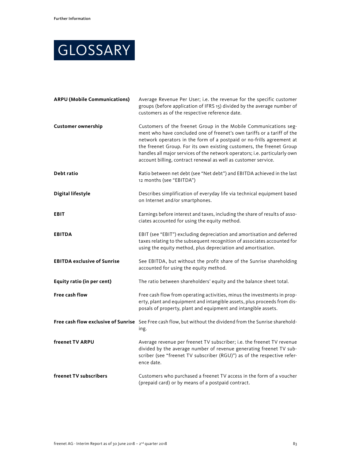# **GLOSSARY**

| <b>ARPU (Mobile Communications)</b> | Average Revenue Per User; i.e. the revenue for the specific customer<br>groups (before application of IFRS 15) divided by the average number of<br>customers as of the respective reference date.                                                                                                                                                                                                                                            |
|-------------------------------------|----------------------------------------------------------------------------------------------------------------------------------------------------------------------------------------------------------------------------------------------------------------------------------------------------------------------------------------------------------------------------------------------------------------------------------------------|
| <b>Customer ownership</b>           | Customers of the freenet Group in the Mobile Communications seg-<br>ment who have concluded one of freenet's own tariffs or a tariff of the<br>network operators in the form of a postpaid or no-frills agreement at<br>the freenet Group. For its own existing customers, the freenet Group<br>handles all major services of the network operators; i.e. particularly own<br>account billing, contract renewal as well as customer service. |
| Debt ratio                          | Ratio between net debt (see "Net debt") and EBITDA achieved in the last<br>12 months (see "EBITDA")                                                                                                                                                                                                                                                                                                                                          |
| Digital lifestyle                   | Describes simplification of everyday life via technical equipment based<br>on Internet and/or smartphones.                                                                                                                                                                                                                                                                                                                                   |
| <b>EBIT</b>                         | Earnings before interest and taxes, including the share of results of asso-<br>ciates accounted for using the equity method.                                                                                                                                                                                                                                                                                                                 |
| <b>EBITDA</b>                       | EBIT (see "EBIT") excluding depreciation and amortisation and deferred<br>taxes relating to the subsequent recognition of associates accounted for<br>using the equity method, plus depreciation and amortisation.                                                                                                                                                                                                                           |
| <b>EBITDA exclusive of Sunrise</b>  | See EBITDA, but without the profit share of the Sunrise shareholding<br>accounted for using the equity method.                                                                                                                                                                                                                                                                                                                               |
| Equity ratio (in per cent)          | The ratio between shareholders' equity and the balance sheet total.                                                                                                                                                                                                                                                                                                                                                                          |
| <b>Free cash flow</b>               | Free cash flow from operating activities, minus the investments in prop-<br>erty, plant and equipment and intangible assets, plus proceeds from dis-<br>posals of property, plant and equipment and intangible assets.                                                                                                                                                                                                                       |
|                                     | Free cash flow exclusive of Sunrise See Free cash flow, but without the dividend from the Sunrise sharehold-<br>ing.                                                                                                                                                                                                                                                                                                                         |
| freenet TV ARPU                     | Average revenue per freenet TV subscriber; i.e. the freenet TV revenue<br>divided by the average number of revenue generating freenet TV sub-<br>scriber (see "freenet TV subscriber (RGU)") as of the respective refer-<br>ence date.                                                                                                                                                                                                       |
| freenet TV subscribers              | Customers who purchased a freenet TV access in the form of a voucher<br>(prepaid card) or by means of a postpaid contract.                                                                                                                                                                                                                                                                                                                   |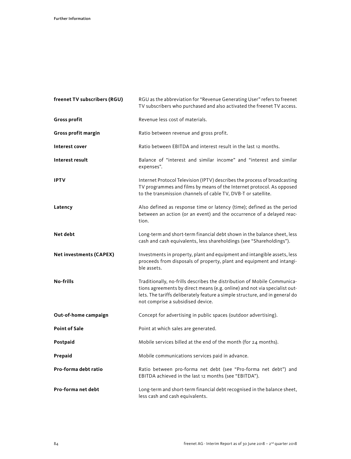| freenet TV subscribers (RGU)   | RGU as the abbreviation for "Revenue Generating User" refers to freenet<br>TV subscribers who purchased and also activated the freenet TV access.                                                                                                                           |
|--------------------------------|-----------------------------------------------------------------------------------------------------------------------------------------------------------------------------------------------------------------------------------------------------------------------------|
| Gross profit                   | Revenue less cost of materials.                                                                                                                                                                                                                                             |
| Gross profit margin            | Ratio between revenue and gross profit.                                                                                                                                                                                                                                     |
| Interest cover                 | Ratio between EBITDA and interest result in the last 12 months.                                                                                                                                                                                                             |
| Interest result                | Balance of "interest and similar income" and "interest and similar<br>expenses".                                                                                                                                                                                            |
| <b>IPTV</b>                    | Internet Protocol Television (IPTV) describes the process of broadcasting<br>TV programmes and films by means of the Internet protocol. As opposed<br>to the transmission channels of cable TV, DVB-T or satellite.                                                         |
| Latency                        | Also defined as response time or latency (time); defined as the period<br>between an action (or an event) and the occurrence of a delayed reac-<br>tion.                                                                                                                    |
| Net debt                       | Long-term and short-term financial debt shown in the balance sheet, less<br>cash and cash equivalents, less shareholdings (see "Shareholdings").                                                                                                                            |
| <b>Net investments (CAPEX)</b> | Investments in property, plant and equipment and intangible assets, less<br>proceeds from disposals of property, plant and equipment and intangi-<br>ble assets.                                                                                                            |
| <b>No-frills</b>               | Traditionally, no-frills describes the distribution of Mobile Communica-<br>tions agreements by direct means (e.g. online) and not via specialist out-<br>lets. The tariffs deliberately feature a simple structure, and in general do<br>not comprise a subsidised device. |
| Out-of-home campaign           | Concept for advertising in public spaces (outdoor advertising).                                                                                                                                                                                                             |
| <b>Point of Sale</b>           | Point at which sales are generated.                                                                                                                                                                                                                                         |
| Postpaid                       | Mobile services billed at the end of the month (for 24 months).                                                                                                                                                                                                             |
| Prepaid                        | Mobile communications services paid in advance.                                                                                                                                                                                                                             |
| Pro-forma debt ratio           | Ratio between pro-forma net debt (see "Pro-forma net debt") and<br>EBITDA achieved in the last 12 months (see "EBITDA").                                                                                                                                                    |
| Pro-forma net debt             | Long-term and short-term financial debt recognised in the balance sheet,<br>less cash and cash equivalents.                                                                                                                                                                 |